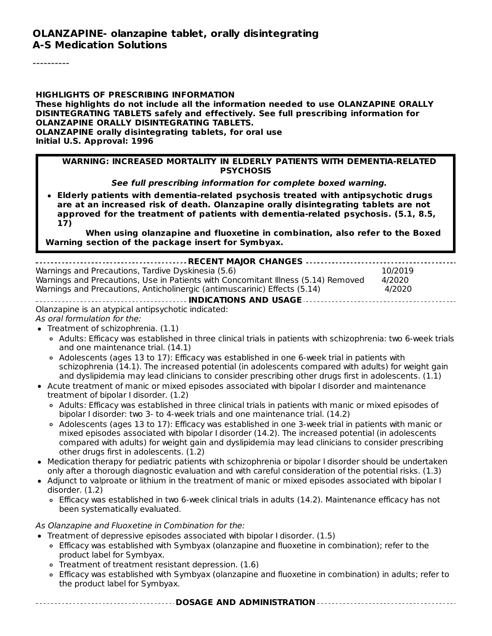**HIGHLIGHTS OF PRESCRIBING INFORMATION These highlights do not include all the information needed to use OLANZAPINE ORALLY DISINTEGRATING TABLETS safely and effectively. See full prescribing information for OLANZAPINE ORALLY DISINTEGRATING TABLETS. OLANZAPINE orally disintegrating tablets, for oral use Initial U.S. Approval: 1996**

#### **WARNING: INCREASED MORTALITY IN ELDERLY PATIENTS WITH DEMENTIA-RELATED PSYCHOSIS**

**See full prescribing information for complete boxed warning.**

**Elderly patients with dementia-related psychosis treated with antipsychotic drugs are at an increased risk of death. Olanzapine orally disintegrating tablets are not approved for the treatment of patients with dementia-related psychosis. (5.1, 8.5, 17)**

**When using olanzapine and fluoxetine in combination, also refer to the Boxed Warning section of the package insert for Symbyax.**

| Warnings and Precautions, Tardive Dyskinesia (5.6)                                | 10/2019 |  |
|-----------------------------------------------------------------------------------|---------|--|
| Warnings and Precautions, Use in Patients with Concomitant Illness (5.14) Removed | 4/2020  |  |
| Warnings and Precautions, Anticholinergic (antimuscarinic) Effects (5.14)         | 4/2020  |  |
|                                                                                   |         |  |
| Olanzanino is an atypical antipsyshetis indicated:                                |         |  |

Olanzapine is an atypical antipsychotic indicated: As oral formulation for the:

- Treatment of schizophrenia. (1.1)
	- Adults: Efficacy was established in three clinical trials in patients with schizophrenia: two 6-week trials and one maintenance trial. (14.1)
	- Adolescents (ages 13 to 17): Efficacy was established in one 6-week trial in patients with schizophrenia (14.1). The increased potential (in adolescents compared with adults) for weight gain and dyslipidemia may lead clinicians to consider prescribing other drugs first in adolescents. (1.1)
- Acute treatment of manic or mixed episodes associated with bipolar I disorder and maintenance treatment of bipolar I disorder. (1.2)
	- Adults: Efficacy was established in three clinical trials in patients with manic or mixed episodes of bipolar I disorder: two 3- to 4-week trials and one maintenance trial. (14.2)
	- Adolescents (ages 13 to 17): Efficacy was established in one 3-week trial in patients with manic or mixed episodes associated with bipolar I disorder (14.2). The increased potential (in adolescents compared with adults) for weight gain and dyslipidemia may lead clinicians to consider prescribing other drugs first in adolescents. (1.2)
- Medication therapy for pediatric patients with schizophrenia or bipolar I disorder should be undertaken only after a thorough diagnostic evaluation and with careful consideration of the potential risks. (1.3)
- Adjunct to valproate or lithium in the treatment of manic or mixed episodes associated with bipolar I disorder. (1.2)
	- Efficacy was established in two 6-week clinical trials in adults (14.2). Maintenance efficacy has not been systematically evaluated.

As Olanzapine and Fluoxetine in Combination for the:

- Treatment of depressive episodes associated with bipolar I disorder. (1.5)
	- Efficacy was established with Symbyax (olanzapine and fluoxetine in combination); refer to the product label for Symbyax.
	- Treatment of treatment resistant depression. (1.6)
	- Efficacy was established with Symbyax (olanzapine and fluoxetine in combination) in adults; refer to the product label for Symbyax.

**DOSAGE AND ADMINISTRATION**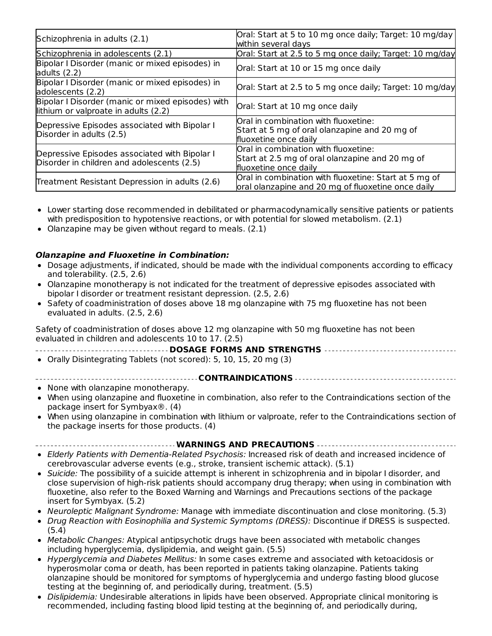| Schizophrenia in adults (2.1)                                                               | Oral: Start at 5 to 10 mg once daily; Target: 10 mg/day<br>within several days                                   |
|---------------------------------------------------------------------------------------------|------------------------------------------------------------------------------------------------------------------|
| Schizophrenia in adolescents (2.1)                                                          | Oral: Start at 2.5 to 5 mg once daily; Target: 10 mg/day                                                         |
| Bipolar I Disorder (manic or mixed episodes) in<br>adults $(2.2)$                           | Oral: Start at 10 or 15 mg once daily                                                                            |
| Bipolar I Disorder (manic or mixed episodes) in<br>adolescents (2.2)                        | Oral: Start at 2.5 to 5 mg once daily; Target: 10 mg/day                                                         |
| Bipolar I Disorder (manic or mixed episodes) with<br>lithium or valproate in adults (2.2)   | Oral: Start at 10 mg once daily                                                                                  |
| Depressive Episodes associated with Bipolar I<br>Disorder in adults (2.5)                   | Oral in combination with fluoxetine:<br>Start at 5 mg of oral olanzapine and 20 mg of<br>fluoxetine once daily   |
| Depressive Episodes associated with Bipolar I<br>Disorder in children and adolescents (2.5) | Oral in combination with fluoxetine:<br>Start at 2.5 mg of oral olanzapine and 20 mg of<br>fluoxetine once daily |
| Treatment Resistant Depression in adults (2.6)                                              | Oral in combination with fluoxetine: Start at 5 mg of<br>oral olanzapine and 20 mg of fluoxetine once daily      |

- Lower starting dose recommended in debilitated or pharmacodynamically sensitive patients or patients with predisposition to hypotensive reactions, or with potential for slowed metabolism. (2.1)
- Olanzapine may be given without regard to meals. (2.1)

#### **Olanzapine and Fluoxetine in Combination:**

- Dosage adjustments, if indicated, should be made with the individual components according to efficacy and tolerability. (2.5, 2.6)
- Olanzapine monotherapy is not indicated for the treatment of depressive episodes associated with bipolar I disorder or treatment resistant depression. (2.5, 2.6)
- Safety of coadministration of doses above 18 mg olanzapine with 75 mg fluoxetine has not been evaluated in adults. (2.5, 2.6)

Safety of coadministration of doses above 12 mg olanzapine with 50 mg fluoxetine has not been evaluated in children and adolescents 10 to 17. (2.5)

| ------------------------------------ DOSAGE FORMS AND STRENGTHS ----------------------------------- |
|-----------------------------------------------------------------------------------------------------|
| • Orally Disintegrating Tablets (not scored): 5, 10, 15, 20 mg (3)                                  |

#### **CONTRAINDICATIONS**

- None with olanzapine monotherapy.
- When using olanzapine and fluoxetine in combination, also refer to the Contraindications section of the package insert for Symbyax®. (4)
- When using olanzapine in combination with lithium or valproate, refer to the Contraindications section of the package inserts for those products. (4)

#### **WARNINGS AND PRECAUTIONS**

- Elderly Patients with Dementia-Related Psychosis: Increased risk of death and increased incidence of cerebrovascular adverse events (e.g., stroke, transient ischemic attack). (5.1)
- Suicide: The possibility of a suicide attempt is inherent in schizophrenia and in bipolar I disorder, and close supervision of high-risk patients should accompany drug therapy; when using in combination with fluoxetine, also refer to the Boxed Warning and Warnings and Precautions sections of the package insert for Symbyax. (5.2)
- Neuroleptic Malignant Syndrome: Manage with immediate discontinuation and close monitoring. (5.3)
- Drug Reaction with Eosinophilia and Systemic Symptoms (DRESS): Discontinue if DRESS is suspected.  $(5.4)$
- Metabolic Changes: Atypical antipsychotic drugs have been associated with metabolic changes including hyperglycemia, dyslipidemia, and weight gain. (5.5)
- Hyperglycemia and Diabetes Mellitus: In some cases extreme and associated with ketoacidosis or hyperosmolar coma or death, has been reported in patients taking olanzapine. Patients taking olanzapine should be monitored for symptoms of hyperglycemia and undergo fasting blood glucose testing at the beginning of, and periodically during, treatment. (5.5)
- Dislipidemia: Undesirable alterations in lipids have been observed. Appropriate clinical monitoring is recommended, including fasting blood lipid testing at the beginning of, and periodically during,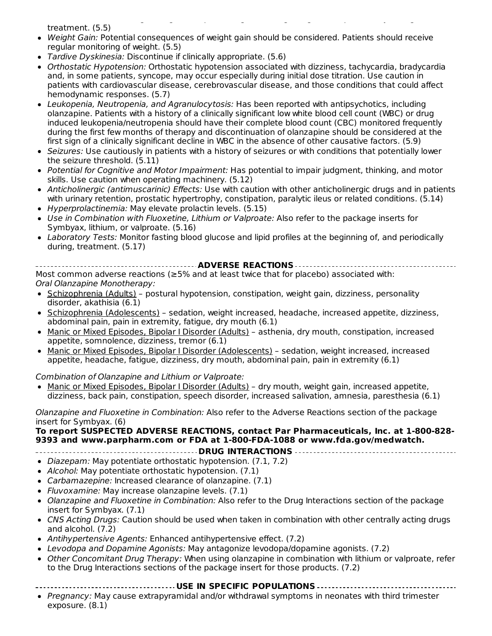recommended, including fasting blood lipid testing at the beginning of, and periodically during, treatment. (5.5)

- Weight Gain: Potential consequences of weight gain should be considered. Patients should receive regular monitoring of weight. (5.5)
- Tardive Dyskinesia: Discontinue if clinically appropriate. (5.6)
- Orthostatic Hypotension: Orthostatic hypotension associated with dizziness, tachycardia, bradycardia and, in some patients, syncope, may occur especially during initial dose titration. Use caution in patients with cardiovascular disease, cerebrovascular disease, and those conditions that could affect hemodynamic responses. (5.7)
- Leukopenia, Neutropenia, and Agranulocytosis: Has been reported with antipsychotics, including olanzapine. Patients with a history of a clinically significant low white blood cell count (WBC) or drug induced leukopenia/neutropenia should have their complete blood count (CBC) monitored frequently during the first few months of therapy and discontinuation of olanzapine should be considered at the first sign of a clinically significant decline in WBC in the absence of other causative factors. (5.9)
- Seizures: Use cautiously in patients with a history of seizures or with conditions that potentially lower the seizure threshold. (5.11)
- Potential for Cognitive and Motor Impairment: Has potential to impair judgment, thinking, and motor skills. Use caution when operating machinery. (5.12)
- Anticholinergic (antimuscarinic) Effects: Use with caution with other anticholinergic drugs and in patients with urinary retention, prostatic hypertrophy, constipation, paralytic ileus or related conditions. (5.14)
- Hyperprolactinemia: May elevate prolactin levels. (5.15)
- Use in Combination with Fluoxetine, Lithium or Valproate: Also refer to the package inserts for Symbyax, lithium, or valproate. (5.16)
- Laboratory Tests: Monitor fasting blood glucose and lipid profiles at the beginning of, and periodically during, treatment. (5.17)

**ADVERSE REACTIONS** Most common adverse reactions (≥5% and at least twice that for placebo) associated with: Oral Olanzapine Monotherapy:

- Schizophrenia (Adults) postural hypotension, constipation, weight gain, dizziness, personality disorder, akathisia (6.1)
- Schizophrenia (Adolescents) sedation, weight increased, headache, increased appetite, dizziness, abdominal pain, pain in extremity, fatigue, dry mouth (6.1)
- Manic or Mixed Episodes, Bipolar I Disorder (Adults) asthenia, dry mouth, constipation, increased appetite, somnolence, dizziness, tremor (6.1)
- Manic or Mixed Episodes, Bipolar I Disorder (Adolescents) sedation, weight increased, increased appetite, headache, fatigue, dizziness, dry mouth, abdominal pain, pain in extremity (6.1)

Combination of Olanzapine and Lithium or Valproate:

• Manic or Mixed Episodes, Bipolar I Disorder (Adults) - dry mouth, weight gain, increased appetite, dizziness, back pain, constipation, speech disorder, increased salivation, amnesia, paresthesia (6.1)

Olanzapine and Fluoxetine in Combination: Also refer to the Adverse Reactions section of the package insert for Symbyax. (6)

#### **To report SUSPECTED ADVERSE REACTIONS, contact Par Pharmaceuticals, Inc. at 1-800-828- 9393 and www.parpharm.com or FDA at 1-800-FDA-1088 or www.fda.gov/medwatch.**

**DRUG INTERACTIONS**

- Diazepam: May potentiate orthostatic hypotension. (7.1, 7.2)
- Alcohol: May potentiate orthostatic hypotension. (7.1)
- Carbamazepine: Increased clearance of olanzapine. (7.1)
- Fluvoxamine: May increase olanzapine levels. (7.1)
- Olanzapine and Fluoxetine in Combination: Also refer to the Drug Interactions section of the package insert for Symbyax. (7.1)
- CNS Acting Drugs: Caution should be used when taken in combination with other centrally acting drugs and alcohol. (7.2)
- Antihypertensive Agents: Enhanced antihypertensive effect. (7.2)
- Levodopa and Dopamine Agonists: May antagonize levodopa/dopamine agonists. (7.2)
- Other Concomitant Drug Therapy: When using olanzapine in combination with lithium or valproate, refer to the Drug Interactions sections of the package insert for those products. (7.2)
	- **USE IN SPECIFIC POPULATIONS**
- Pregnancy: May cause extrapyramidal and/or withdrawal symptoms in neonates with third trimester exposure. (8.1)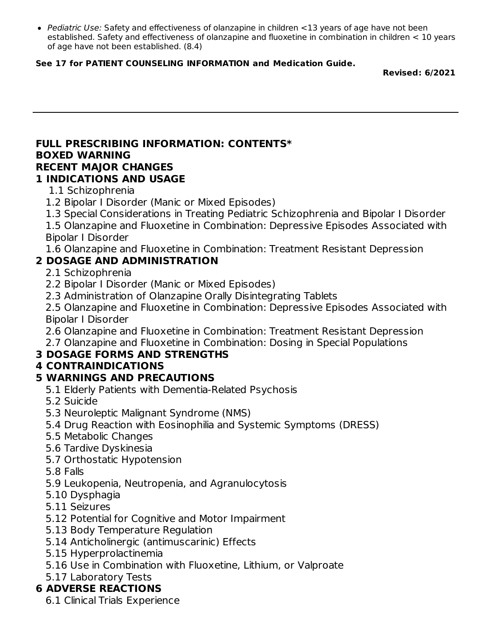• Pediatric Use: Safety and effectiveness of olanzapine in children <13 years of age have not been established. Safety and effectiveness of olanzapine and fluoxetine in combination in children < 10 years of age have not been established. (8.4)

#### **See 17 for PATIENT COUNSELING INFORMATION and Medication Guide.**

**Revised: 6/2021**

#### **FULL PRESCRIBING INFORMATION: CONTENTS\* BOXED WARNING RECENT MAJOR CHANGES**

### **1 INDICATIONS AND USAGE**

- 1.1 Schizophrenia
- 1.2 Bipolar I Disorder (Manic or Mixed Episodes)
- 1.3 Special Considerations in Treating Pediatric Schizophrenia and Bipolar I Disorder

1.5 Olanzapine and Fluoxetine in Combination: Depressive Episodes Associated with Bipolar I Disorder

1.6 Olanzapine and Fluoxetine in Combination: Treatment Resistant Depression

### **2 DOSAGE AND ADMINISTRATION**

2.1 Schizophrenia

- 2.2 Bipolar I Disorder (Manic or Mixed Episodes)
- 2.3 Administration of Olanzapine Orally Disintegrating Tablets

2.5 Olanzapine and Fluoxetine in Combination: Depressive Episodes Associated with Bipolar I Disorder

2.6 Olanzapine and Fluoxetine in Combination: Treatment Resistant Depression

2.7 Olanzapine and Fluoxetine in Combination: Dosing in Special Populations

### **3 DOSAGE FORMS AND STRENGTHS**

### **4 CONTRAINDICATIONS**

### **5 WARNINGS AND PRECAUTIONS**

- 5.1 Elderly Patients with Dementia-Related Psychosis
- 5.2 Suicide
- 5.3 Neuroleptic Malignant Syndrome (NMS)
- 5.4 Drug Reaction with Eosinophilia and Systemic Symptoms (DRESS)
- 5.5 Metabolic Changes
- 5.6 Tardive Dyskinesia
- 5.7 Orthostatic Hypotension
- 5.8 Falls
- 5.9 Leukopenia, Neutropenia, and Agranulocytosis
- 5.10 Dysphagia
- 5.11 Seizures
- 5.12 Potential for Cognitive and Motor Impairment
- 5.13 Body Temperature Regulation
- 5.14 Anticholinergic (antimuscarinic) Effects
- 5.15 Hyperprolactinemia
- 5.16 Use in Combination with Fluoxetine, Lithium, or Valproate
- 5.17 Laboratory Tests

### **6 ADVERSE REACTIONS**

6.1 Clinical Trials Experience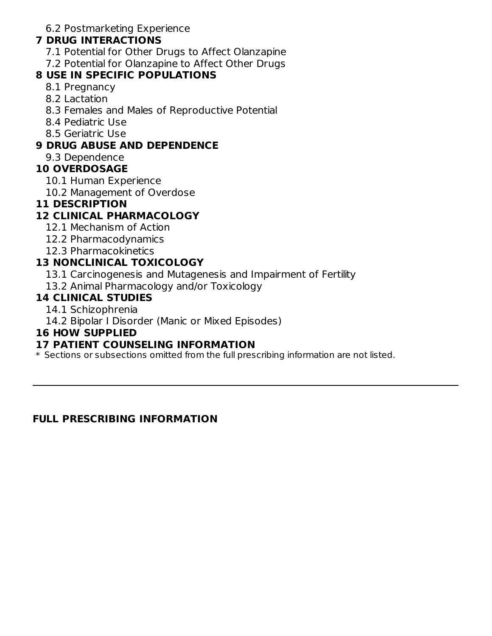6.2 Postmarketing Experience

#### **7 DRUG INTERACTIONS**

- 7.1 Potential for Other Drugs to Affect Olanzapine
- 7.2 Potential for Olanzapine to Affect Other Drugs

#### **8 USE IN SPECIFIC POPULATIONS**

- 8.1 Pregnancy
- 8.2 Lactation
- 8.3 Females and Males of Reproductive Potential
- 8.4 Pediatric Use
- 8.5 Geriatric Use

### **9 DRUG ABUSE AND DEPENDENCE**

9.3 Dependence

### **10 OVERDOSAGE**

- 10.1 Human Experience
- 10.2 Management of Overdose

### **11 DESCRIPTION**

# **12 CLINICAL PHARMACOLOGY**

- 12.1 Mechanism of Action
- 12.2 Pharmacodynamics
- 12.3 Pharmacokinetics

### **13 NONCLINICAL TOXICOLOGY**

- 13.1 Carcinogenesis and Mutagenesis and Impairment of Fertility
- 13.2 Animal Pharmacology and/or Toxicology

### **14 CLINICAL STUDIES**

- 14.1 Schizophrenia
- 14.2 Bipolar I Disorder (Manic or Mixed Episodes)

### **16 HOW SUPPLIED**

### **17 PATIENT COUNSELING INFORMATION**

\* Sections or subsections omitted from the full prescribing information are not listed.

#### **FULL PRESCRIBING INFORMATION**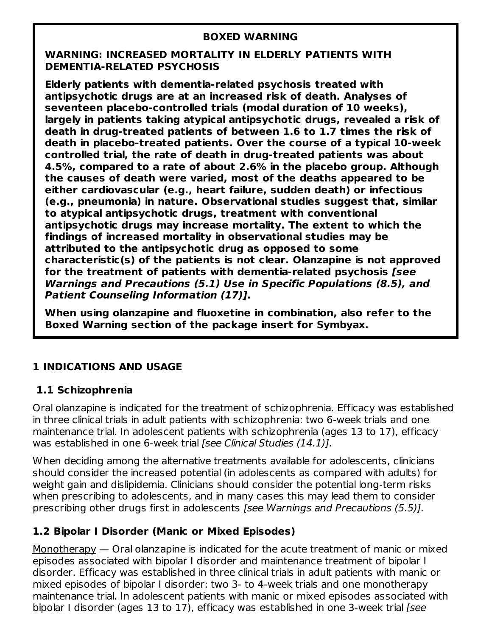#### **BOXED WARNING**

#### **WARNING: INCREASED MORTALITY IN ELDERLY PATIENTS WITH DEMENTIA-RELATED PSYCHOSIS**

**Elderly patients with dementia-related psychosis treated with antipsychotic drugs are at an increased risk of death. Analyses of seventeen placebo-controlled trials (modal duration of 10 weeks), largely in patients taking atypical antipsychotic drugs, revealed a risk of death in drug-treated patients of between 1.6 to 1.7 times the risk of death in placebo-treated patients. Over the course of a typical 10-week controlled trial, the rate of death in drug-treated patients was about 4.5%, compared to a rate of about 2.6% in the placebo group. Although the causes of death were varied, most of the deaths appeared to be either cardiovascular (e.g., heart failure, sudden death) or infectious (e.g., pneumonia) in nature. Observational studies suggest that, similar to atypical antipsychotic drugs, treatment with conventional antipsychotic drugs may increase mortality. The extent to which the findings of increased mortality in observational studies may be attributed to the antipsychotic drug as opposed to some characteristic(s) of the patients is not clear. Olanzapine is not approved for the treatment of patients with dementia-related psychosis [see Warnings and Precautions (5.1) Use in Specific Populations (8.5), and Patient Counseling Information (17)].**

**When using olanzapine and fluoxetine in combination, also refer to the Boxed Warning section of the package insert for Symbyax.**

### **1 INDICATIONS AND USAGE**

### **1.1 Schizophrenia**

Oral olanzapine is indicated for the treatment of schizophrenia. Efficacy was established in three clinical trials in adult patients with schizophrenia: two 6-week trials and one maintenance trial. In adolescent patients with schizophrenia (ages 13 to 17), efficacy was established in one 6-week trial [see Clinical Studies (14.1)].

When deciding among the alternative treatments available for adolescents, clinicians should consider the increased potential (in adolescents as compared with adults) for weight gain and dislipidemia. Clinicians should consider the potential long-term risks when prescribing to adolescents, and in many cases this may lead them to consider prescribing other drugs first in adolescents [see Warnings and Precautions (5.5)].

### **1.2 Bipolar I Disorder (Manic or Mixed Episodes)**

Monotherapy — Oral olanzapine is indicated for the acute treatment of manic or mixed episodes associated with bipolar I disorder and maintenance treatment of bipolar I disorder. Efficacy was established in three clinical trials in adult patients with manic or mixed episodes of bipolar I disorder: two 3- to 4-week trials and one monotherapy maintenance trial. In adolescent patients with manic or mixed episodes associated with bipolar I disorder (ages 13 to 17), efficacy was established in one 3-week trial [see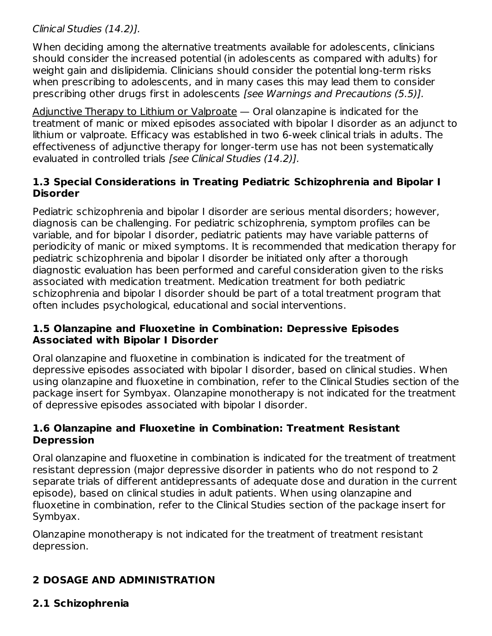### Clinical Studies (14.2)].

When deciding among the alternative treatments available for adolescents, clinicians should consider the increased potential (in adolescents as compared with adults) for weight gain and dislipidemia. Clinicians should consider the potential long-term risks when prescribing to adolescents, and in many cases this may lead them to consider prescribing other drugs first in adolescents [see Warnings and Precautions (5.5)].

Adjunctive Therapy to Lithium or Valproate — Oral olanzapine is indicated for the treatment of manic or mixed episodes associated with bipolar I disorder as an adjunct to lithium or valproate. Efficacy was established in two 6-week clinical trials in adults. The effectiveness of adjunctive therapy for longer-term use has not been systematically evaluated in controlled trials [see Clinical Studies (14.2)].

### **1.3 Special Considerations in Treating Pediatric Schizophrenia and Bipolar I Disorder**

Pediatric schizophrenia and bipolar I disorder are serious mental disorders; however, diagnosis can be challenging. For pediatric schizophrenia, symptom profiles can be variable, and for bipolar I disorder, pediatric patients may have variable patterns of periodicity of manic or mixed symptoms. It is recommended that medication therapy for pediatric schizophrenia and bipolar I disorder be initiated only after a thorough diagnostic evaluation has been performed and careful consideration given to the risks associated with medication treatment. Medication treatment for both pediatric schizophrenia and bipolar I disorder should be part of a total treatment program that often includes psychological, educational and social interventions.

### **1.5 Olanzapine and Fluoxetine in Combination: Depressive Episodes Associated with Bipolar I Disorder**

Oral olanzapine and fluoxetine in combination is indicated for the treatment of depressive episodes associated with bipolar I disorder, based on clinical studies. When using olanzapine and fluoxetine in combination, refer to the Clinical Studies section of the package insert for Symbyax. Olanzapine monotherapy is not indicated for the treatment of depressive episodes associated with bipolar I disorder.

### **1.6 Olanzapine and Fluoxetine in Combination: Treatment Resistant Depression**

Oral olanzapine and fluoxetine in combination is indicated for the treatment of treatment resistant depression (major depressive disorder in patients who do not respond to 2 separate trials of different antidepressants of adequate dose and duration in the current episode), based on clinical studies in adult patients. When using olanzapine and fluoxetine in combination, refer to the Clinical Studies section of the package insert for Symbyax.

Olanzapine monotherapy is not indicated for the treatment of treatment resistant depression.

# **2 DOSAGE AND ADMINISTRATION**

# **2.1 Schizophrenia**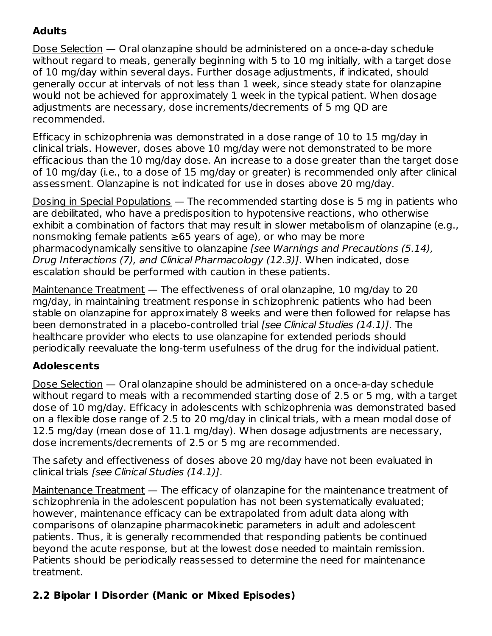### **Adults**

Dose Selection — Oral olanzapine should be administered on a once-a-day schedule without regard to meals, generally beginning with 5 to 10 mg initially, with a target dose of 10 mg/day within several days. Further dosage adjustments, if indicated, should generally occur at intervals of not less than 1 week, since steady state for olanzapine would not be achieved for approximately 1 week in the typical patient. When dosage adjustments are necessary, dose increments/decrements of 5 mg QD are recommended.

Efficacy in schizophrenia was demonstrated in a dose range of 10 to 15 mg/day in clinical trials. However, doses above 10 mg/day were not demonstrated to be more efficacious than the 10 mg/day dose. An increase to a dose greater than the target dose of 10 mg/day (i.e., to a dose of 15 mg/day or greater) is recommended only after clinical assessment. Olanzapine is not indicated for use in doses above 20 mg/day.

Dosing in Special Populations — The recommended starting dose is 5 mg in patients who are debilitated, who have a predisposition to hypotensive reactions, who otherwise exhibit a combination of factors that may result in slower metabolism of olanzapine (e.g., nonsmoking female patients ≥65 years of age), or who may be more pharmacodynamically sensitive to olanzapine [see Warnings and Precautions (5.14), Drug Interactions (7), and Clinical Pharmacology (12.3)]. When indicated, dose escalation should be performed with caution in these patients.

Maintenance Treatment — The effectiveness of oral olanzapine, 10 mg/day to 20 mg/day, in maintaining treatment response in schizophrenic patients who had been stable on olanzapine for approximately 8 weeks and were then followed for relapse has been demonstrated in a placebo-controlled trial [see Clinical Studies (14.1)]. The healthcare provider who elects to use olanzapine for extended periods should periodically reevaluate the long-term usefulness of the drug for the individual patient.

# **Adolescents**

Dose Selection — Oral olanzapine should be administered on a once-a-day schedule without regard to meals with a recommended starting dose of 2.5 or 5 mg, with a target dose of 10 mg/day. Efficacy in adolescents with schizophrenia was demonstrated based on a flexible dose range of 2.5 to 20 mg/day in clinical trials, with a mean modal dose of 12.5 mg/day (mean dose of 11.1 mg/day). When dosage adjustments are necessary, dose increments/decrements of 2.5 or 5 mg are recommended.

The safety and effectiveness of doses above 20 mg/day have not been evaluated in clinical trials [see Clinical Studies (14.1)].

Maintenance Treatment - The efficacy of olanzapine for the maintenance treatment of schizophrenia in the adolescent population has not been systematically evaluated; however, maintenance efficacy can be extrapolated from adult data along with comparisons of olanzapine pharmacokinetic parameters in adult and adolescent patients. Thus, it is generally recommended that responding patients be continued beyond the acute response, but at the lowest dose needed to maintain remission. Patients should be periodically reassessed to determine the need for maintenance treatment.

# **2.2 Bipolar I Disorder (Manic or Mixed Episodes)**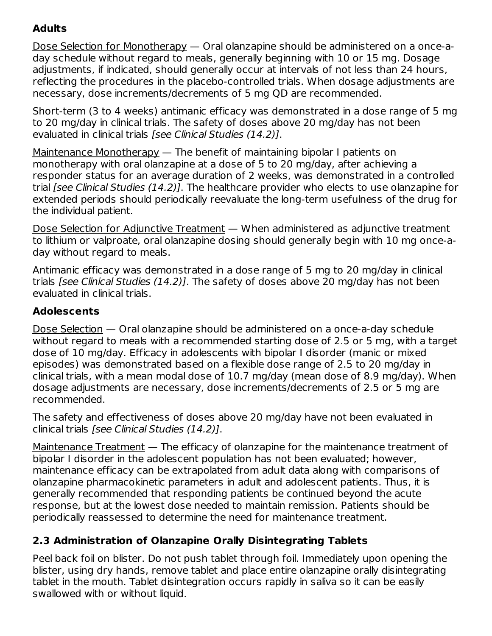# **Adults**

Dose Selection for Monotherapy — Oral olanzapine should be administered on a once-aday schedule without regard to meals, generally beginning with 10 or 15 mg. Dosage adjustments, if indicated, should generally occur at intervals of not less than 24 hours, reflecting the procedures in the placebo-controlled trials. When dosage adjustments are necessary, dose increments/decrements of 5 mg QD are recommended.

Short-term (3 to 4 weeks) antimanic efficacy was demonstrated in a dose range of 5 mg to 20 mg/day in clinical trials. The safety of doses above 20 mg/day has not been evaluated in clinical trials [see Clinical Studies (14.2)].

Maintenance Monotherapy — The benefit of maintaining bipolar I patients on monotherapy with oral olanzapine at a dose of 5 to 20 mg/day, after achieving a responder status for an average duration of 2 weeks, was demonstrated in a controlled trial [see Clinical Studies (14.2)]. The healthcare provider who elects to use olanzapine for extended periods should periodically reevaluate the long-term usefulness of the drug for the individual patient.

Dose Selection for Adjunctive Treatment - When administered as adjunctive treatment to lithium or valproate, oral olanzapine dosing should generally begin with 10 mg once-aday without regard to meals.

Antimanic efficacy was demonstrated in a dose range of 5 mg to 20 mg/day in clinical trials [see Clinical Studies (14.2)]. The safety of doses above 20 mg/day has not been evaluated in clinical trials.

# **Adolescents**

Dose Selection — Oral olanzapine should be administered on a once-a-day schedule without regard to meals with a recommended starting dose of 2.5 or 5 mg, with a target dose of 10 mg/day. Efficacy in adolescents with bipolar I disorder (manic or mixed episodes) was demonstrated based on a flexible dose range of 2.5 to 20 mg/day in clinical trials, with a mean modal dose of 10.7 mg/day (mean dose of 8.9 mg/day). When dosage adjustments are necessary, dose increments/decrements of 2.5 or 5 mg are recommended.

The safety and effectiveness of doses above 20 mg/day have not been evaluated in clinical trials [see Clinical Studies (14.2)].

Maintenance Treatment — The efficacy of olanzapine for the maintenance treatment of bipolar I disorder in the adolescent population has not been evaluated; however, maintenance efficacy can be extrapolated from adult data along with comparisons of olanzapine pharmacokinetic parameters in adult and adolescent patients. Thus, it is generally recommended that responding patients be continued beyond the acute response, but at the lowest dose needed to maintain remission. Patients should be periodically reassessed to determine the need for maintenance treatment.

# **2.3 Administration of Olanzapine Orally Disintegrating Tablets**

Peel back foil on blister. Do not push tablet through foil. Immediately upon opening the blister, using dry hands, remove tablet and place entire olanzapine orally disintegrating tablet in the mouth. Tablet disintegration occurs rapidly in saliva so it can be easily swallowed with or without liquid.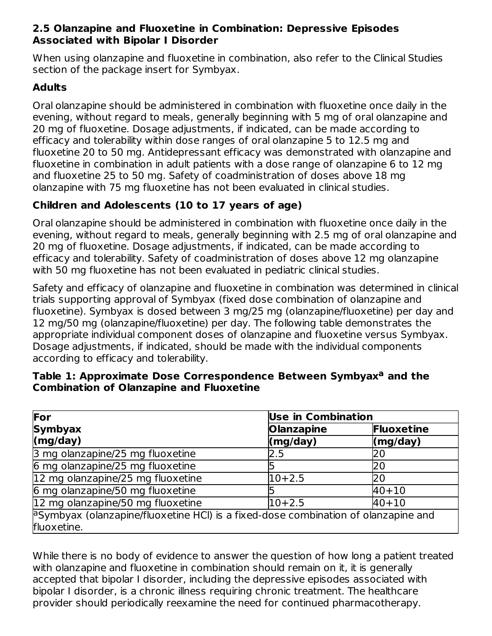### **2.5 Olanzapine and Fluoxetine in Combination: Depressive Episodes Associated with Bipolar I Disorder**

When using olanzapine and fluoxetine in combination, also refer to the Clinical Studies section of the package insert for Symbyax.

# **Adults**

Oral olanzapine should be administered in combination with fluoxetine once daily in the evening, without regard to meals, generally beginning with 5 mg of oral olanzapine and 20 mg of fluoxetine. Dosage adjustments, if indicated, can be made according to efficacy and tolerability within dose ranges of oral olanzapine 5 to 12.5 mg and fluoxetine 20 to 50 mg. Antidepressant efficacy was demonstrated with olanzapine and fluoxetine in combination in adult patients with a dose range of olanzapine 6 to 12 mg and fluoxetine 25 to 50 mg. Safety of coadministration of doses above 18 mg olanzapine with 75 mg fluoxetine has not been evaluated in clinical studies.

# **Children and Adolescents (10 to 17 years of age)**

Oral olanzapine should be administered in combination with fluoxetine once daily in the evening, without regard to meals, generally beginning with 2.5 mg of oral olanzapine and 20 mg of fluoxetine. Dosage adjustments, if indicated, can be made according to efficacy and tolerability. Safety of coadministration of doses above 12 mg olanzapine with 50 mg fluoxetine has not been evaluated in pediatric clinical studies.

Safety and efficacy of olanzapine and fluoxetine in combination was determined in clinical trials supporting approval of Symbyax (fixed dose combination of olanzapine and fluoxetine). Symbyax is dosed between 3 mg/25 mg (olanzapine/fluoxetine) per day and 12 mg/50 mg (olanzapine/fluoxetine) per day. The following table demonstrates the appropriate individual component doses of olanzapine and fluoxetine versus Symbyax. Dosage adjustments, if indicated, should be made with the individual components according to efficacy and tolerability.

| For                                                                                                      | <b>Use in Combination</b> |                   |
|----------------------------------------------------------------------------------------------------------|---------------------------|-------------------|
| <b>Symbyax</b>                                                                                           | <b>Olanzapine</b>         | Fluoxetine        |
| (mg/day)                                                                                                 | $\mathsf{(mg/day)}$       | $\langle$ mg/day) |
| 3 mg olanzapine/25 mg fluoxetine                                                                         | 2.5                       | 20                |
| 6 mg olanzapine/25 mg fluoxetine                                                                         |                           | 20                |
| 12 mg olanzapine/25 mg fluoxetine                                                                        | $10+2.5$                  | 20                |
| 6 mg olanzapine/50 mg fluoxetine                                                                         |                           | $40 + 10$         |
| 12 mg olanzapine/50 mg fluoxetine                                                                        | $10+2.5$                  | $40 + 10$         |
| $\beta$ Symbyax (olanzapine/fluoxetine HCI) is a fixed-dose combination of olanzapine and<br>fluoxetine. |                           |                   |

### **Table 1: Approximate Dose Correspondence Between Symbyax and the a Combination of Olanzapine and Fluoxetine**

While there is no body of evidence to answer the question of how long a patient treated with olanzapine and fluoxetine in combination should remain on it, it is generally accepted that bipolar I disorder, including the depressive episodes associated with bipolar I disorder, is a chronic illness requiring chronic treatment. The healthcare provider should periodically reexamine the need for continued pharmacotherapy.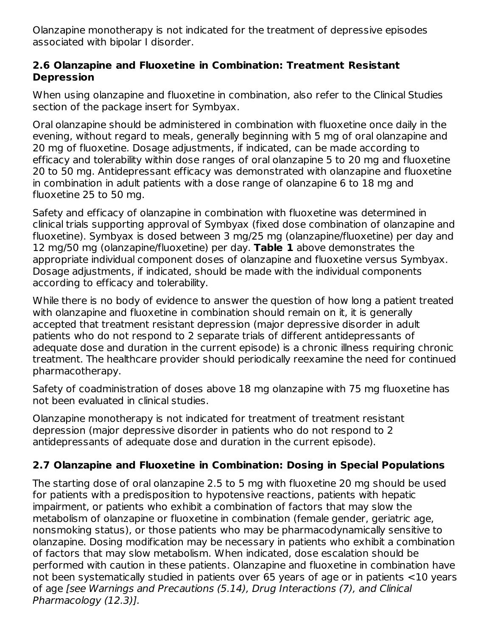Olanzapine monotherapy is not indicated for the treatment of depressive episodes associated with bipolar I disorder.

#### **2.6 Olanzapine and Fluoxetine in Combination: Treatment Resistant Depression**

When using olanzapine and fluoxetine in combination, also refer to the Clinical Studies section of the package insert for Symbyax.

Oral olanzapine should be administered in combination with fluoxetine once daily in the evening, without regard to meals, generally beginning with 5 mg of oral olanzapine and 20 mg of fluoxetine. Dosage adjustments, if indicated, can be made according to efficacy and tolerability within dose ranges of oral olanzapine 5 to 20 mg and fluoxetine 20 to 50 mg. Antidepressant efficacy was demonstrated with olanzapine and fluoxetine in combination in adult patients with a dose range of olanzapine 6 to 18 mg and fluoxetine 25 to 50 mg.

Safety and efficacy of olanzapine in combination with fluoxetine was determined in clinical trials supporting approval of Symbyax (fixed dose combination of olanzapine and fluoxetine). Symbyax is dosed between 3 mg/25 mg (olanzapine/fluoxetine) per day and 12 mg/50 mg (olanzapine/fluoxetine) per day. **Table 1** above demonstrates the appropriate individual component doses of olanzapine and fluoxetine versus Symbyax. Dosage adjustments, if indicated, should be made with the individual components according to efficacy and tolerability.

While there is no body of evidence to answer the question of how long a patient treated with olanzapine and fluoxetine in combination should remain on it, it is generally accepted that treatment resistant depression (major depressive disorder in adult patients who do not respond to 2 separate trials of different antidepressants of adequate dose and duration in the current episode) is a chronic illness requiring chronic treatment. The healthcare provider should periodically reexamine the need for continued pharmacotherapy.

Safety of coadministration of doses above 18 mg olanzapine with 75 mg fluoxetine has not been evaluated in clinical studies.

Olanzapine monotherapy is not indicated for treatment of treatment resistant depression (major depressive disorder in patients who do not respond to 2 antidepressants of adequate dose and duration in the current episode).

### **2.7 Olanzapine and Fluoxetine in Combination: Dosing in Special Populations**

The starting dose of oral olanzapine 2.5 to 5 mg with fluoxetine 20 mg should be used for patients with a predisposition to hypotensive reactions, patients with hepatic impairment, or patients who exhibit a combination of factors that may slow the metabolism of olanzapine or fluoxetine in combination (female gender, geriatric age, nonsmoking status), or those patients who may be pharmacodynamically sensitive to olanzapine. Dosing modification may be necessary in patients who exhibit a combination of factors that may slow metabolism. When indicated, dose escalation should be performed with caution in these patients. Olanzapine and fluoxetine in combination have not been systematically studied in patients over 65 years of age or in patients <10 years of age [see Warnings and Precautions (5.14), Drug Interactions (7), and Clinical Pharmacology (12.3)].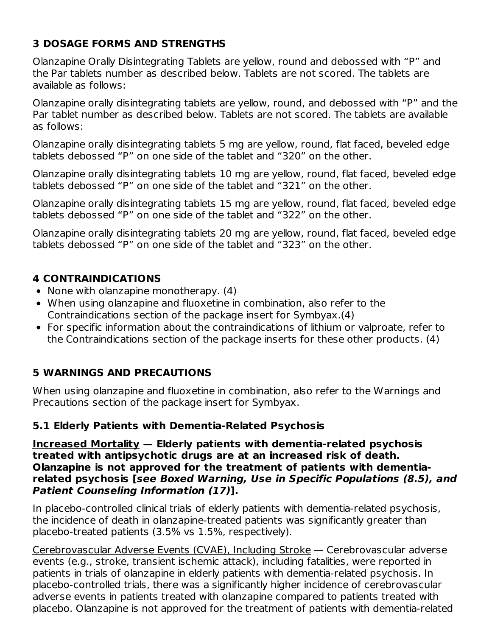### **3 DOSAGE FORMS AND STRENGTHS**

Olanzapine Orally Disintegrating Tablets are yellow, round and debossed with "P" and the Par tablets number as described below. Tablets are not scored. The tablets are available as follows:

Olanzapine orally disintegrating tablets are yellow, round, and debossed with "P" and the Par tablet number as described below. Tablets are not scored. The tablets are available as follows:

Olanzapine orally disintegrating tablets 5 mg are yellow, round, flat faced, beveled edge tablets debossed "P" on one side of the tablet and "320" on the other.

Olanzapine orally disintegrating tablets 10 mg are yellow, round, flat faced, beveled edge tablets debossed "P" on one side of the tablet and "321" on the other.

Olanzapine orally disintegrating tablets 15 mg are yellow, round, flat faced, beveled edge tablets debossed "P" on one side of the tablet and "322" on the other.

Olanzapine orally disintegrating tablets 20 mg are yellow, round, flat faced, beveled edge tablets debossed "P" on one side of the tablet and "323" on the other.

### **4 CONTRAINDICATIONS**

- None with olanzapine monotherapy. (4)
- When using olanzapine and fluoxetine in combination, also refer to the Contraindications section of the package insert for Symbyax.(4)
- For specific information about the contraindications of lithium or valproate, refer to the Contraindications section of the package inserts for these other products. (4)

# **5 WARNINGS AND PRECAUTIONS**

When using olanzapine and fluoxetine in combination, also refer to the Warnings and Precautions section of the package insert for Symbyax.

### **5.1 Elderly Patients with Dementia-Related Psychosis**

**Increased Mortality — Elderly patients with dementia-related psychosis treated with antipsychotic drugs are at an increased risk of death. Olanzapine is not approved for the treatment of patients with dementiarelated psychosis [see Boxed Warning, Use in Specific Populations (8.5), and Patient Counseling Information (17)].**

In placebo-controlled clinical trials of elderly patients with dementia-related psychosis, the incidence of death in olanzapine-treated patients was significantly greater than placebo-treated patients (3.5% vs 1.5%, respectively).

Cerebrovascular Adverse Events (CVAE), Including Stroke — Cerebrovascular adverse events (e.g., stroke, transient ischemic attack), including fatalities, were reported in patients in trials of olanzapine in elderly patients with dementia-related psychosis. In placebo-controlled trials, there was a significantly higher incidence of cerebrovascular adverse events in patients treated with olanzapine compared to patients treated with placebo. Olanzapine is not approved for the treatment of patients with dementia-related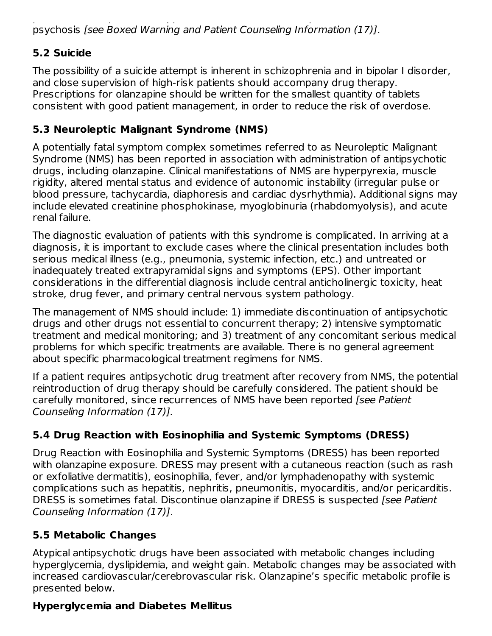placebo. Olanzapine is not approved for the treatment of patients with dementia-related psychosis [see Boxed Warning and Patient Counseling Information (17)].

# **5.2 Suicide**

The possibility of a suicide attempt is inherent in schizophrenia and in bipolar I disorder, and close supervision of high-risk patients should accompany drug therapy. Prescriptions for olanzapine should be written for the smallest quantity of tablets consistent with good patient management, in order to reduce the risk of overdose.

# **5.3 Neuroleptic Malignant Syndrome (NMS)**

A potentially fatal symptom complex sometimes referred to as Neuroleptic Malignant Syndrome (NMS) has been reported in association with administration of antipsychotic drugs, including olanzapine. Clinical manifestations of NMS are hyperpyrexia, muscle rigidity, altered mental status and evidence of autonomic instability (irregular pulse or blood pressure, tachycardia, diaphoresis and cardiac dysrhythmia). Additional signs may include elevated creatinine phosphokinase, myoglobinuria (rhabdomyolysis), and acute renal failure.

The diagnostic evaluation of patients with this syndrome is complicated. In arriving at a diagnosis, it is important to exclude cases where the clinical presentation includes both serious medical illness (e.g., pneumonia, systemic infection, etc.) and untreated or inadequately treated extrapyramidal signs and symptoms (EPS). Other important considerations in the differential diagnosis include central anticholinergic toxicity, heat stroke, drug fever, and primary central nervous system pathology.

The management of NMS should include: 1) immediate discontinuation of antipsychotic drugs and other drugs not essential to concurrent therapy; 2) intensive symptomatic treatment and medical monitoring; and 3) treatment of any concomitant serious medical problems for which specific treatments are available. There is no general agreement about specific pharmacological treatment regimens for NMS.

If a patient requires antipsychotic drug treatment after recovery from NMS, the potential reintroduction of drug therapy should be carefully considered. The patient should be carefully monitored, since recurrences of NMS have been reported [see Patient Counseling Information (17)].

# **5.4 Drug Reaction with Eosinophilia and Systemic Symptoms (DRESS)**

Drug Reaction with Eosinophilia and Systemic Symptoms (DRESS) has been reported with olanzapine exposure. DRESS may present with a cutaneous reaction (such as rash or exfoliative dermatitis), eosinophilia, fever, and/or lymphadenopathy with systemic complications such as hepatitis, nephritis, pneumonitis, myocarditis, and/or pericarditis. DRESS is sometimes fatal. Discontinue olanzapine if DRESS is suspected *[see Patient*] Counseling Information (17)].

# **5.5 Metabolic Changes**

Atypical antipsychotic drugs have been associated with metabolic changes including hyperglycemia, dyslipidemia, and weight gain. Metabolic changes may be associated with increased cardiovascular/cerebrovascular risk. Olanzapine's specific metabolic profile is presented below.

# **Hyperglycemia and Diabetes Mellitus**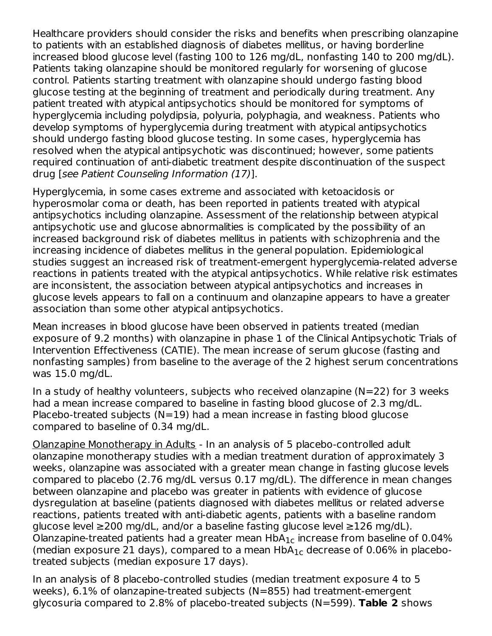Healthcare providers should consider the risks and benefits when prescribing olanzapine to patients with an established diagnosis of diabetes mellitus, or having borderline increased blood glucose level (fasting 100 to 126 mg/dL, nonfasting 140 to 200 mg/dL). Patients taking olanzapine should be monitored regularly for worsening of glucose control. Patients starting treatment with olanzapine should undergo fasting blood glucose testing at the beginning of treatment and periodically during treatment. Any patient treated with atypical antipsychotics should be monitored for symptoms of hyperglycemia including polydipsia, polyuria, polyphagia, and weakness. Patients who develop symptoms of hyperglycemia during treatment with atypical antipsychotics should undergo fasting blood glucose testing. In some cases, hyperglycemia has resolved when the atypical antipsychotic was discontinued; however, some patients required continuation of anti-diabetic treatment despite discontinuation of the suspect drug [see Patient Counseling Information (17)].

Hyperglycemia, in some cases extreme and associated with ketoacidosis or hyperosmolar coma or death, has been reported in patients treated with atypical antipsychotics including olanzapine. Assessment of the relationship between atypical antipsychotic use and glucose abnormalities is complicated by the possibility of an increased background risk of diabetes mellitus in patients with schizophrenia and the increasing incidence of diabetes mellitus in the general population. Epidemiological studies suggest an increased risk of treatment-emergent hyperglycemia-related adverse reactions in patients treated with the atypical antipsychotics. While relative risk estimates are inconsistent, the association between atypical antipsychotics and increases in glucose levels appears to fall on a continuum and olanzapine appears to have a greater association than some other atypical antipsychotics.

Mean increases in blood glucose have been observed in patients treated (median exposure of 9.2 months) with olanzapine in phase 1 of the Clinical Antipsychotic Trials of Intervention Effectiveness (CATIE). The mean increase of serum glucose (fasting and nonfasting samples) from baseline to the average of the 2 highest serum concentrations was 15.0 mg/dL.

In a study of healthy volunteers, subjects who received olanzapine  $(N=22)$  for 3 weeks had a mean increase compared to baseline in fasting blood glucose of 2.3 mg/dL. Placebo-treated subjects ( $N=19$ ) had a mean increase in fasting blood glucose compared to baseline of 0.34 mg/dL.

Olanzapine Monotherapy in Adults - In an analysis of 5 placebo-controlled adult olanzapine monotherapy studies with a median treatment duration of approximately 3 weeks, olanzapine was associated with a greater mean change in fasting glucose levels compared to placebo (2.76 mg/dL versus 0.17 mg/dL). The difference in mean changes between olanzapine and placebo was greater in patients with evidence of glucose dysregulation at baseline (patients diagnosed with diabetes mellitus or related adverse reactions, patients treated with anti-diabetic agents, patients with a baseline random glucose level ≥200 mg/dL, and/or a baseline fasting glucose level ≥126 mg/dL). Olanzapine-treated patients had a greater mean  $\sf HbA_{1c}$  increase from baseline of 0.04% (median exposure 21 days), compared to a mean  $HbA_{1c}$  decrease of 0.06% in placebotreated subjects (median exposure 17 days).

In an analysis of 8 placebo-controlled studies (median treatment exposure 4 to 5 weeks), 6.1% of olanzapine-treated subjects (N=855) had treatment-emergent glycosuria compared to 2.8% of placebo-treated subjects (N=599). **Table 2** shows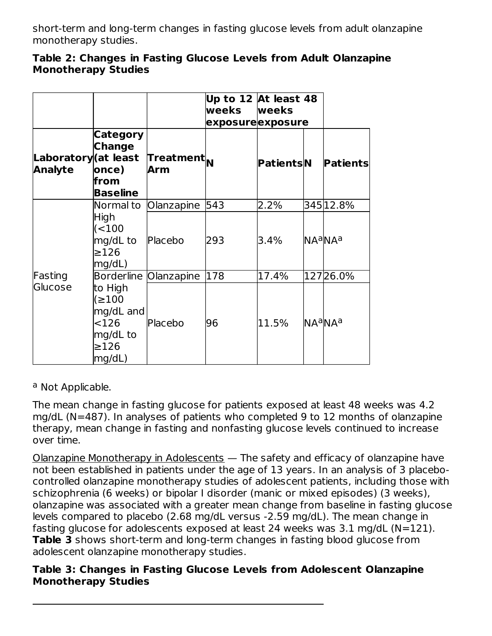short-term and long-term changes in fasting glucose levels from adult olanzapine monotherapy studies.

| Table 2: Changes in Fasting Glucose Levels from Adult Olanzapine |  |  |  |
|------------------------------------------------------------------|--|--|--|
| <b>Monotherapy Studies</b>                                       |  |  |  |

|                                        |                                                                              |                               | Up to 12 At least 48<br>weeks<br>exposureexposure | <b>weeks</b> |                                 |
|----------------------------------------|------------------------------------------------------------------------------|-------------------------------|---------------------------------------------------|--------------|---------------------------------|
| Laboratory (at least<br><b>Analyte</b> | Category<br><b>Change</b><br>once)<br>lfrom<br><b>Baseline</b>               | Treatment <sub>N</sub><br>Arm |                                                   | PatientsN    | <b>Patients</b>                 |
|                                        | Normal to                                                                    | Olanzapine                    | 543                                               | 2.2%         | 345 12.8%                       |
|                                        | High<br>$($ < 100<br>mg/dL to<br>$\geq$ 126<br>mg/dL)                        | Placebo                       | 293                                               | 3.4%         | NA <sup>a</sup> NA <sup>a</sup> |
| Fasting                                |                                                                              | Borderline Olanzapine         | 178                                               | 17.4%        | 12726.0%                        |
| Glucose                                | to High<br>(≥100<br>mg/dL and<br>$<$ 126<br>mg/dL to<br>$\geq$ 126<br>mg/dL) | Placebo                       | 96                                                | 11.5%        | NA <sup>a</sup> NA <sup>a</sup> |

<sup>a</sup> Not Applicable.

The mean change in fasting glucose for patients exposed at least 48 weeks was 4.2 mg/dL (N=487). In analyses of patients who completed 9 to 12 months of olanzapine therapy, mean change in fasting and nonfasting glucose levels continued to increase over time.

Olanzapine Monotherapy in Adolescents — The safety and efficacy of olanzapine have not been established in patients under the age of 13 years. In an analysis of 3 placebocontrolled olanzapine monotherapy studies of adolescent patients, including those with schizophrenia (6 weeks) or bipolar I disorder (manic or mixed episodes) (3 weeks), olanzapine was associated with a greater mean change from baseline in fasting glucose levels compared to placebo (2.68 mg/dL versus -2.59 mg/dL). The mean change in fasting glucose for adolescents exposed at least 24 weeks was  $3.1 \text{ mg/dL}$  (N=121). **Table 3** shows short-term and long-term changes in fasting blood glucose from adolescent olanzapine monotherapy studies.

### **Table 3: Changes in Fasting Glucose Levels from Adolescent Olanzapine Monotherapy Studies**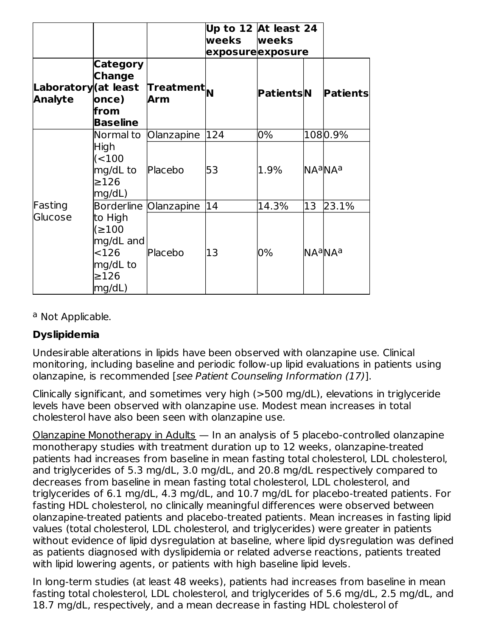|                                        |                                                                              |                               | Up to 12 At least $\overline{24}$<br>weeks<br>exposureexposure | <b>weeks</b> |    |                                     |
|----------------------------------------|------------------------------------------------------------------------------|-------------------------------|----------------------------------------------------------------|--------------|----|-------------------------------------|
| Laboratory (at least<br><b>Analyte</b> | Category<br><b>Change</b><br>once)<br>lfrom<br><b>Baseline</b>               | Treatment <sub>N</sub><br>Arm |                                                                | PatientsN    |    | <b>Patients</b>                     |
|                                        | Normal to                                                                    | Olanzapine                    | 124                                                            | 0%           |    | 1080.9%                             |
|                                        | High<br>( < 100<br>mg/dL to<br>$\geq$ 126<br>mg/dL)                          | Placebo                       | 53                                                             | 1.9%         |    | <b>NA<sup>a</sup>NA<sup>a</sup></b> |
| Fasting                                |                                                                              | Borderline Olanzapine         | 14                                                             | 14.3%        | 13 | 23.1%                               |
| Glucose                                | to High<br>(≥100<br>mg/dL and<br>$<$ 126<br>mg/dL to<br>$\geq$ 126<br>mg/dL) | Placebo                       | 13                                                             | 0%           |    | NA <sup>a</sup> NAa                 |

<sup>a</sup> Not Applicable.

### **Dyslipidemia**

Undesirable alterations in lipids have been observed with olanzapine use. Clinical monitoring, including baseline and periodic follow-up lipid evaluations in patients using olanzapine, is recommended [see Patient Counseling Information (17)].

Clinically significant, and sometimes very high (>500 mg/dL), elevations in triglyceride levels have been observed with olanzapine use. Modest mean increases in total cholesterol have also been seen with olanzapine use.

Olanzapine Monotherapy in Adults  $-$  In an analysis of 5 placebo-controlled olanzapine monotherapy studies with treatment duration up to 12 weeks, olanzapine-treated patients had increases from baseline in mean fasting total cholesterol, LDL cholesterol, and triglycerides of 5.3 mg/dL, 3.0 mg/dL, and 20.8 mg/dL respectively compared to decreases from baseline in mean fasting total cholesterol, LDL cholesterol, and triglycerides of 6.1 mg/dL, 4.3 mg/dL, and 10.7 mg/dL for placebo-treated patients. For fasting HDL cholesterol, no clinically meaningful differences were observed between olanzapine-treated patients and placebo-treated patients. Mean increases in fasting lipid values (total cholesterol, LDL cholesterol, and triglycerides) were greater in patients without evidence of lipid dysregulation at baseline, where lipid dysregulation was defined as patients diagnosed with dyslipidemia or related adverse reactions, patients treated with lipid lowering agents, or patients with high baseline lipid levels.

In long-term studies (at least 48 weeks), patients had increases from baseline in mean fasting total cholesterol, LDL cholesterol, and triglycerides of 5.6 mg/dL, 2.5 mg/dL, and 18.7 mg/dL, respectively, and a mean decrease in fasting HDL cholesterol of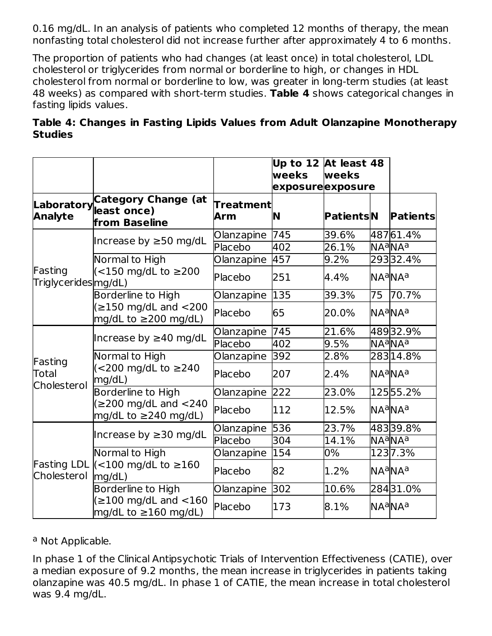0.16 mg/dL. In an analysis of patients who completed 12 months of therapy, the mean nonfasting total cholesterol did not increase further after approximately 4 to 6 months.

The proportion of patients who had changes (at least once) in total cholesterol, LDL cholesterol or triglycerides from normal or borderline to high, or changes in HDL cholesterol from normal or borderline to low, was greater in long-term studies (at least 48 weeks) as compared with short-term studies. **Table 4** shows categorical changes in fasting lipids values.

**Table 4: Changes in Fasting Lipids Values from Adult Olanzapine Monotherapy Studies**

|                                 |                                                                                                  |                       | Up to 12 $\overline{A}$ t least 48<br>weeks<br>exposureexposure | weeks            |    |                                                 |
|---------------------------------|--------------------------------------------------------------------------------------------------|-----------------------|-----------------------------------------------------------------|------------------|----|-------------------------------------------------|
| <b>Analyte</b>                  | <b>Category Change (at</b><br>Laboratory   east once)<br>"<br>from Baseline                      | Treatment<br>Arm      | N                                                               | <b>PatientsN</b> |    | <b>Patients</b>                                 |
|                                 | Increase by $\geq$ 50 mg/dL                                                                      | Olanzapine<br>Placebo | 745<br>402                                                      | 39.6%<br>26.1%   |    | 48761.4%<br>NA <sup>a</sup> NA <sup>a</sup>     |
| Fasting<br>Triglycerides mg/dL) | Normal to High<br>(<150 mg/dL to ≥200                                                            | Olanzapine<br>Placebo | 457<br>251                                                      | 9.2%<br>4.4%     |    | 29332.4%<br>NA <sup>a</sup> NA <sup>a</sup>     |
|                                 | <b>Borderline to High</b><br>$(\geq 150 \text{ mg/dL} \text{ and } < 200$                        | Olanzapine<br>Placebo | 135<br>65                                                       | 39.3%<br>20.0%   | 75 | 70.7%<br>lNAªNAª                                |
|                                 | mg/dL to $\geq$ 200 mg/dL)<br>Increase by $\geq$ 40 mg/dL                                        | Olanzapine<br>Placebo | 745<br>402                                                      | 21.6%<br>9.5%    |    | 48932.9%<br>NA <sup>a</sup> NA <sup>a</sup>     |
| Fasting<br>Total                | Normal to High<br>(<200 mg/dL to ≥240<br>mg/dL)                                                  | Olanzapine<br>Placebo | 392<br>207                                                      | 2.8%<br>2.4%     |    | 28314.8%<br>lNAªNAª                             |
| Cholesterol                     | Borderline to High<br>$(\geq 200 \text{ mg/dL} \text{ and } < 240$<br>mg/dL to $\geq$ 240 mg/dL) | Olanzapine<br>Placebo | 222<br>112                                                      | 23.0%<br>12.5%   |    | 12555.2%<br><b>NA<sup>a</sup>NA<sup>a</sup></b> |
|                                 | Increase by $\geq$ 30 mg/dL                                                                      | Olanzapine<br>Placebo | 536<br>304                                                      | 23.7%<br>14.1%   |    | 48339.8%<br>NAªNAª                              |
| Cholesterol                     | Normal to High<br>Fasting LDL $\vert$ < 100 mg/dL to $\geq$ 160<br>mg/dL)                        | Olanzapine<br>Placebo | 154<br>82                                                       | 0%<br>1.2%       |    | 1237.3%<br>NA <sup>a</sup> NA <sup>a</sup>      |
|                                 | Borderline to High<br>$(\geq 100 \text{ mg/dL} \text{ and } < 160$<br>mg/dL to $\geq$ 160 mg/dL) | Olanzapine<br>Placebo | 302<br>173                                                      | 10.6%<br>8.1%    |    | 28431.0%<br>lNAªNAª                             |

### <sup>a</sup> Not Applicable.

In phase 1 of the Clinical Antipsychotic Trials of Intervention Effectiveness (CATIE), over a median exposure of 9.2 months, the mean increase in triglycerides in patients taking olanzapine was 40.5 mg/dL. In phase 1 of CATIE, the mean increase in total cholesterol was 9.4 mg/dL.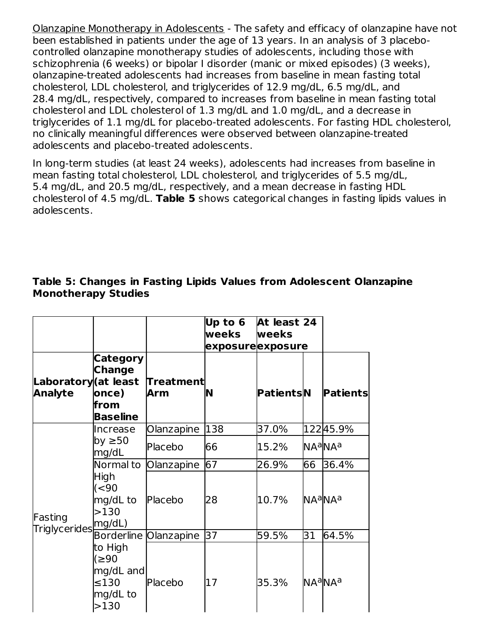Olanzapine Monotherapy in Adolescents - The safety and efficacy of olanzapine have not been established in patients under the age of 13 years. In an analysis of 3 placebocontrolled olanzapine monotherapy studies of adolescents, including those with schizophrenia (6 weeks) or bipolar I disorder (manic or mixed episodes) (3 weeks), olanzapine-treated adolescents had increases from baseline in mean fasting total cholesterol, LDL cholesterol, and triglycerides of 12.9 mg/dL, 6.5 mg/dL, and 28.4 mg/dL, respectively, compared to increases from baseline in mean fasting total cholesterol and LDL cholesterol of 1.3 mg/dL and 1.0 mg/dL, and a decrease in triglycerides of 1.1 mg/dL for placebo-treated adolescents. For fasting HDL cholesterol, no clinically meaningful differences were observed between olanzapine-treated adolescents and placebo-treated adolescents.

In long-term studies (at least 24 weeks), adolescents had increases from baseline in mean fasting total cholesterol, LDL cholesterol, and triglycerides of 5.5 mg/dL, 5.4 mg/dL, and 20.5 mg/dL, respectively, and a mean decrease in fasting HDL cholesterol of 4.5 mg/dL. **Table 5** shows categorical changes in fasting lipids values in adolescents.

|                                            |                                                                |                              | Up to $6$ At least 24<br>weeks<br>exposureexposure | <b>weeks</b>     |    |                                     |
|--------------------------------------------|----------------------------------------------------------------|------------------------------|----------------------------------------------------|------------------|----|-------------------------------------|
| Laboratory (at least<br><b>Analyte</b>     | <b>Category</b><br><b>Change</b><br>once)<br>from<br>Baseline  | <b>Treatment</b><br>Arm      | N                                                  | <b>PatientsN</b> |    | <b>Patients</b>                     |
|                                            | Increase                                                       | Olanzapine                   | 138                                                | 37.0%            |    | 12245.9%                            |
|                                            | by ≥50<br>mg/dL                                                | Placebo                      | 66                                                 | 15.2%            |    | <b>NA<sup>a</sup>NA</b> a           |
|                                            | Normal to                                                      | Olanzapine                   | 67                                                 | 26.9%            | 66 | 36.4%                               |
| Fasting<br>Triglycerides <sup>mg/dL)</sup> | High<br>(<90<br>mg/dL to<br>>130                               | Placebo                      | 28                                                 | 10.7%            |    | <b>NA<sup>a</sup>NA</b> a           |
|                                            |                                                                | <b>Borderline Olanzapine</b> | 37                                                 | 59.5%            | 31 | 64.5%                               |
|                                            | to High<br>(≥90<br>mg/dL and<br>$\leq$ 130<br>mg/dL to<br>>130 | Placebo                      | 17                                                 | 35.3%            |    | <b>NA<sup>a</sup>NA<sup>a</sup></b> |

### **Table 5: Changes in Fasting Lipids Values from Adolescent Olanzapine Monotherapy Studies**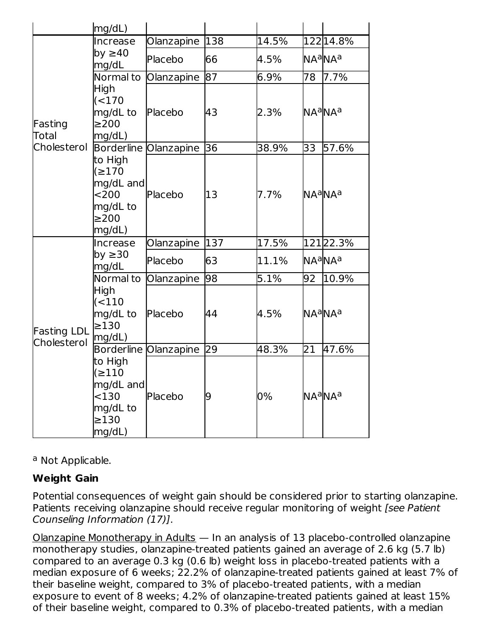|                                   | mg/dL)                                                                       |                              |     |       |                 |                                     |
|-----------------------------------|------------------------------------------------------------------------------|------------------------------|-----|-------|-----------------|-------------------------------------|
|                                   | Increase                                                                     | Olanzapine                   | 138 | 14.5% |                 | 122 14.8%                           |
|                                   | by $\geq 40$<br>mg/dL                                                        | Placebo                      | 66  | 4.5%  |                 | NA <sup>a</sup> NA <sup>a</sup>     |
|                                   | Normal to                                                                    | Olanzapine                   | 87  | 6.9%  | 78              | 7.7%                                |
| Fasting<br>Total                  | <b>High</b><br>(<170<br>mg/dL to<br>$\geq$ 200<br>mg/dL)                     | Placebo                      | 43  | 2.3%  |                 | NA <sup>a</sup> NA <sup>a</sup>     |
| Cholesterol                       |                                                                              | Borderline Olanzapine        | 36  | 38.9% | 33              | 57.6%                               |
|                                   | to High<br>(2170<br>mg/dL and<br>$200$<br>mg/dL to<br>$\geq$ 200<br>mg/dL)   | Placebo                      | 13  | 7.7%  |                 | <b>NA<sup>a</sup>NA<sup>a</sup></b> |
|                                   | Increase                                                                     | Olanzapine                   | 137 | 17.5% |                 | 12122.3%                            |
|                                   | by $\geq$ 30<br>mg/dL                                                        | Placebo                      | 63  | 11.1% |                 | NA <sup>a</sup> NA <sup>a</sup>     |
|                                   | Normal to                                                                    | Olanzapine                   | 98  | 5.1%  | 92              | 10.9%                               |
| <b>Fasting LDL</b><br>Cholesterol | High<br>(110)<br>mg/dL to<br>$\geq$ 130<br>mg/dL)                            | Placebo                      | 44  | 4.5%  |                 | NA <sup>a</sup> NA <sup>a</sup>     |
|                                   |                                                                              | <b>Borderline Olanzapine</b> | 29  | 48.3% | $\overline{21}$ | 47.6%                               |
|                                   | to High<br>(≥110<br>mg/dL and<br>$<$ 130<br>mg/dL to<br>$\geq$ 130<br>mg/dL) | Placebo                      | 9   | 0%    |                 | NA <sup>a</sup> NAª                 |

<sup>a</sup> Not Applicable.

# **Weight Gain**

Potential consequences of weight gain should be considered prior to starting olanzapine. Patients receiving olanzapine should receive regular monitoring of weight *[see Patient*] Counseling Information (17)].

Olanzapine Monotherapy in Adults — In an analysis of 13 placebo-controlled olanzapine monotherapy studies, olanzapine-treated patients gained an average of 2.6 kg (5.7 lb) compared to an average 0.3 kg (0.6 lb) weight loss in placebo-treated patients with a median exposure of 6 weeks; 22.2% of olanzapine-treated patients gained at least 7% of their baseline weight, compared to 3% of placebo-treated patients, with a median exposure to event of 8 weeks; 4.2% of olanzapine-treated patients gained at least 15% of their baseline weight, compared to 0.3% of placebo-treated patients, with a median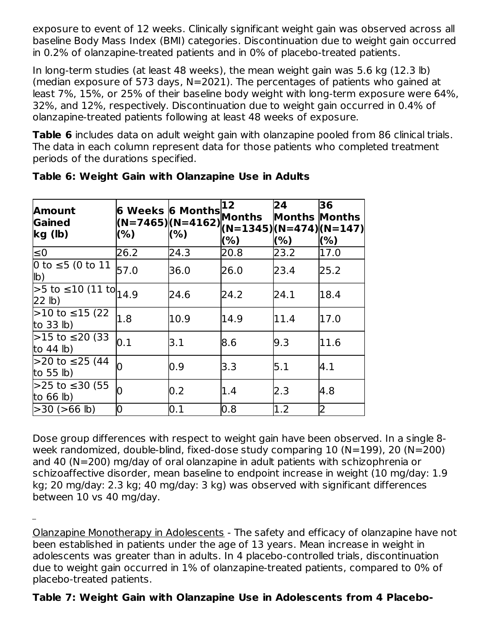exposure to event of 12 weeks. Clinically significant weight gain was observed across all baseline Body Mass Index (BMI) categories. Discontinuation due to weight gain occurred in 0.2% of olanzapine-treated patients and in 0% of placebo-treated patients.

In long-term studies (at least 48 weeks), the mean weight gain was 5.6 kg (12.3 lb) (median exposure of 573 days, N=2021). The percentages of patients who gained at least 7%, 15%, or 25% of their baseline body weight with long-term exposure were 64%, 32%, and 12%, respectively. Discontinuation due to weight gain occurred in 0.4% of olanzapine-treated patients following at least 48 weeks of exposure.

**Table 6** includes data on adult weight gain with olanzapine pooled from 86 clinical trials. The data in each column represent data for those patients who completed treatment periods of the durations specified.

| Amount<br><b>Gained</b><br>kg(h)          | 6 Weeks 6 Months<br>$(N=7465) (N=4162) ^{N=1345} (N=474) (N=147) $ |      | 12<br>Months<br>(%) | 24<br><b>Months Months</b><br>(% ) | 36<br>(%) |
|-------------------------------------------|--------------------------------------------------------------------|------|---------------------|------------------------------------|-----------|
| $\leq 0$                                  | 26.2                                                               | 24.3 | 20.8                | 23.2                               | 17.0      |
| 0 to $\leq$ 5 (0 to 11<br>$\mathsf{lb}$   | 57.0                                                               | 36.0 | 26.0                | 23.4                               | 25.2      |
| $>5$ to $\leq 10$ (11 to $14.9$<br>22 lb) |                                                                    | 24.6 | 24.2                | 24.1                               | 18.4      |
| $>10$ to ≤15 (22)<br>to $33$ lb)          | 1.8                                                                | 10.9 | 14.9                | 11.4                               | 17.0      |
| $>15$ to ≤20 (33)<br>to $44$ lb)          | 0.1                                                                | 3.1  | 8.6                 | 9.3                                | 11.6      |
| $>$ 20 to ≤25 (44<br>to 55 $\vert$ b)     |                                                                    | 0.9  | 3.3                 | 5.1                                | 4.1       |
| $>$ 25 to ≤30 (55<br>to $66$ lb)          |                                                                    | 0.2  | 1.4                 | 2.3                                | 4.8       |
| $>30$ ( $>66$ lb)                         | 0                                                                  | 0.1  | 0.8                 | 1.2                                | 2         |

| Table 6: Weight Gain with Olanzapine Use in Adults |
|----------------------------------------------------|
|----------------------------------------------------|

Dose group differences with respect to weight gain have been observed. In a single 8 week randomized, double-blind, fixed-dose study comparing 10 (N=199), 20 (N=200) and 40 (N=200) mg/day of oral olanzapine in adult patients with schizophrenia or schizoaffective disorder, mean baseline to endpoint increase in weight (10 mg/day: 1.9 kg; 20 mg/day: 2.3 kg; 40 mg/day: 3 kg) was observed with significant differences between 10 vs 40 mg/day.

Olanzapine Monotherapy in Adolescents - The safety and efficacy of olanzapine have not been established in patients under the age of 13 years. Mean increase in weight in adolescents was greater than in adults. In 4 placebo-controlled trials, discontinuation due to weight gain occurred in 1% of olanzapine-treated patients, compared to 0% of placebo-treated patients.

# **Table 7: Weight Gain with Olanzapine Use in Adolescents from 4 Placebo-**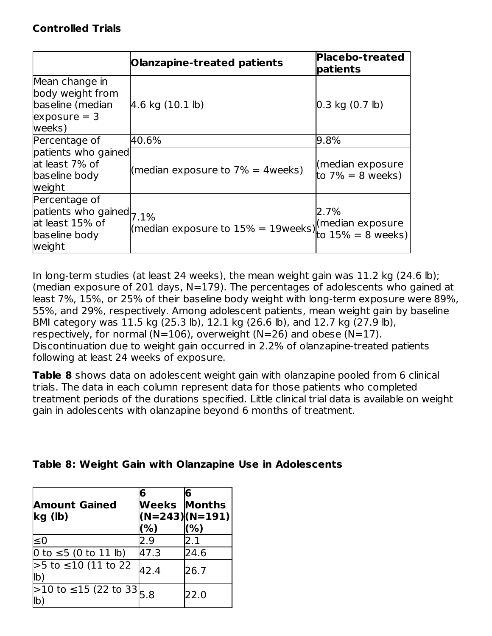### **Controlled Trials**

|                                                                                         | <b>Olanzapine-treated patients</b>                                                            | Placebo-treated<br>patients             |
|-----------------------------------------------------------------------------------------|-----------------------------------------------------------------------------------------------|-----------------------------------------|
| Mean change in<br>body weight from<br>baseline (median<br>$exposure = 3$<br>weeks)      | $4.6$ kg $(10.1$ lb)                                                                          | $0.3$ kg $(0.7$ lb)                     |
| Percentage of                                                                           | 40.6%                                                                                         | 9.8%                                    |
| patients who gained<br>at least 7% of<br>baseline body<br>weight                        | (median exposure to $7\% = 4$ weeks)                                                          | (median exposure<br>to $7\% = 8$ weeks) |
| Percentage of<br>patients who gained 7.1%<br>at least 15% of<br>baseline body<br>weight | $\binom{1176}{1160}$<br>(median exposure to $15\% = 19$ weeks) $\binom{160}{15\%} = 8$ weeks) | 2.7%                                    |

In long-term studies (at least 24 weeks), the mean weight gain was 11.2 kg (24.6 lb); (median exposure of 201 days,  $N=179$ ). The percentages of adolescents who gained at least 7%, 15%, or 25% of their baseline body weight with long-term exposure were 89%, 55%, and 29%, respectively. Among adolescent patients, mean weight gain by baseline BMI category was 11.5 kg (25.3 lb), 12.1 kg (26.6 lb), and 12.7 kg (27.9 lb), respectively, for normal (N=106), overweight (N=26) and obese (N=17). Discontinuation due to weight gain occurred in 2.2% of olanzapine-treated patients following at least 24 weeks of exposure.

**Table 8** shows data on adolescent weight gain with olanzapine pooled from 6 clinical trials. The data in each column represent data for those patients who completed treatment periods of the durations specified. Little clinical trial data is available on weight gain in adolescents with olanzapine beyond 6 months of treatment.

|  |  |  |  |  |  |  |  | Table 8: Weight Gain with Olanzapine Use in Adolescents |
|--|--|--|--|--|--|--|--|---------------------------------------------------------|
|--|--|--|--|--|--|--|--|---------------------------------------------------------|

| <b>Amount Gained</b><br>kg (lb)                       | 6<br><b>Weeks Months</b><br>(%) | 6<br>$(N=243)(N=191)$<br>(%) |
|-------------------------------------------------------|---------------------------------|------------------------------|
| ≤0                                                    | 2.9                             | 2.1                          |
| 0 to ≤5 (0 to 11 lb)                                  | 47.3                            | 24.6                         |
| >5 to ≤10 (11 to 22<br>lb)                            | 42.4                            | 26.7                         |
| >10 to ≤15 (22 to 33 <sub>5.8</sub><br>$\mathsf{lb}'$ |                                 | 22.0                         |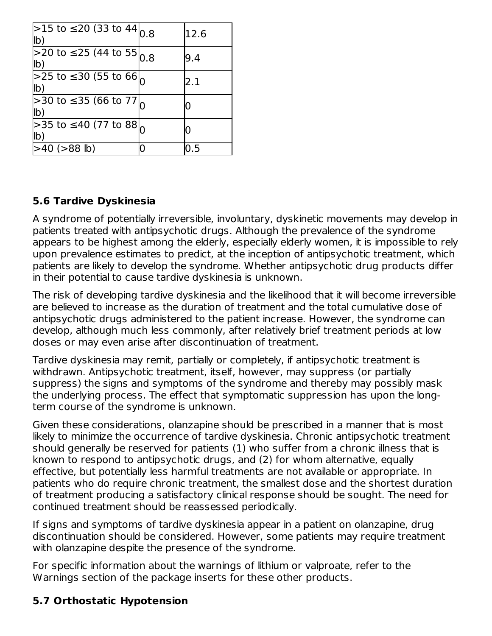| >15 to ≤20 (33 to 44 $_{0.8}$<br>lb)           | 12.6 |
|------------------------------------------------|------|
| >20 to ≤25 (44 to 55 $_{0.8}$ )<br>$ b\rangle$ | 9.4  |
| $>$ 25 to ≤30 (55 to 66 $_{\sf h}$<br>lb)      | 2.1  |
| 230 to ≤35 (66 to 77<br>lb)                    | 0    |
| >35 to ≤40 (77 to 88)<br>lb)                   |      |
| $>40$ ( $>88$ lb)                              | 0.5  |

### **5.6 Tardive Dyskinesia**

A syndrome of potentially irreversible, involuntary, dyskinetic movements may develop in patients treated with antipsychotic drugs. Although the prevalence of the syndrome appears to be highest among the elderly, especially elderly women, it is impossible to rely upon prevalence estimates to predict, at the inception of antipsychotic treatment, which patients are likely to develop the syndrome. Whether antipsychotic drug products differ in their potential to cause tardive dyskinesia is unknown.

The risk of developing tardive dyskinesia and the likelihood that it will become irreversible are believed to increase as the duration of treatment and the total cumulative dose of antipsychotic drugs administered to the patient increase. However, the syndrome can develop, although much less commonly, after relatively brief treatment periods at low doses or may even arise after discontinuation of treatment.

Tardive dyskinesia may remit, partially or completely, if antipsychotic treatment is withdrawn. Antipsychotic treatment, itself, however, may suppress (or partially suppress) the signs and symptoms of the syndrome and thereby may possibly mask the underlying process. The effect that symptomatic suppression has upon the longterm course of the syndrome is unknown.

Given these considerations, olanzapine should be prescribed in a manner that is most likely to minimize the occurrence of tardive dyskinesia. Chronic antipsychotic treatment should generally be reserved for patients (1) who suffer from a chronic illness that is known to respond to antipsychotic drugs, and (2) for whom alternative, equally effective, but potentially less harmful treatments are not available or appropriate. In patients who do require chronic treatment, the smallest dose and the shortest duration of treatment producing a satisfactory clinical response should be sought. The need for continued treatment should be reassessed periodically.

If signs and symptoms of tardive dyskinesia appear in a patient on olanzapine, drug discontinuation should be considered. However, some patients may require treatment with olanzapine despite the presence of the syndrome.

For specific information about the warnings of lithium or valproate, refer to the Warnings section of the package inserts for these other products.

### **5.7 Orthostatic Hypotension**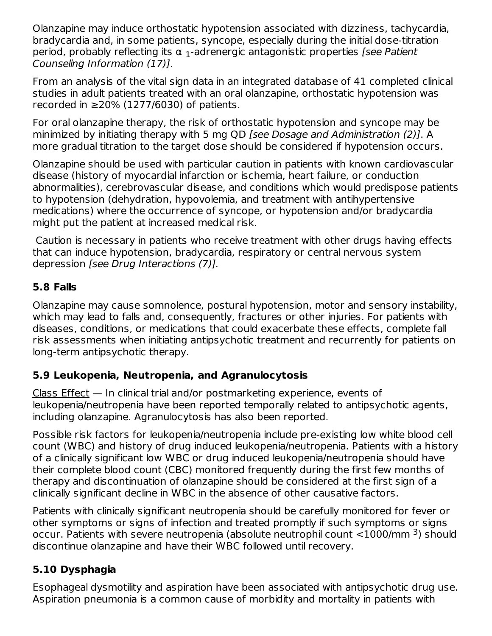Olanzapine may induce orthostatic hypotension associated with dizziness, tachycardia, bradycardia and, in some patients, syncope, especially during the initial dose-titration period, probably reflecting its  $\alpha$  <sub>1</sub>-adrenergic antagonistic properties *[see Patient* Counseling Information (17)].

From an analysis of the vital sign data in an integrated database of 41 completed clinical studies in adult patients treated with an oral olanzapine, orthostatic hypotension was recorded in  $\geq$ 20% (1277/6030) of patients.

For oral olanzapine therapy, the risk of orthostatic hypotension and syncope may be minimized by initiating therapy with 5 mg QD [see Dosage and Administration (2)]. A more gradual titration to the target dose should be considered if hypotension occurs.

Olanzapine should be used with particular caution in patients with known cardiovascular disease (history of myocardial infarction or ischemia, heart failure, or conduction abnormalities), cerebrovascular disease, and conditions which would predispose patients to hypotension (dehydration, hypovolemia, and treatment with antihypertensive medications) where the occurrence of syncope, or hypotension and/or bradycardia might put the patient at increased medical risk.

Caution is necessary in patients who receive treatment with other drugs having effects that can induce hypotension, bradycardia, respiratory or central nervous system depression [see Drug Interactions (7)].

### **5.8 Falls**

Olanzapine may cause somnolence, postural hypotension, motor and sensory instability, which may lead to falls and, consequently, fractures or other injuries. For patients with diseases, conditions, or medications that could exacerbate these effects, complete fall risk assessments when initiating antipsychotic treatment and recurrently for patients on long-term antipsychotic therapy.

### **5.9 Leukopenia, Neutropenia, and Agranulocytosis**

Class Effect — In clinical trial and/or postmarketing experience, events of leukopenia/neutropenia have been reported temporally related to antipsychotic agents, including olanzapine. Agranulocytosis has also been reported.

Possible risk factors for leukopenia/neutropenia include pre-existing low white blood cell count (WBC) and history of drug induced leukopenia/neutropenia. Patients with a history of a clinically significant low WBC or drug induced leukopenia/neutropenia should have their complete blood count (CBC) monitored frequently during the first few months of therapy and discontinuation of olanzapine should be considered at the first sign of a clinically significant decline in WBC in the absence of other causative factors.

Patients with clinically significant neutropenia should be carefully monitored for fever or other symptoms or signs of infection and treated promptly if such symptoms or signs occur. Patients with severe neutropenia (absolute neutrophil count  $<$ 1000/mm <sup>3</sup>) should discontinue olanzapine and have their WBC followed until recovery.

# **5.10 Dysphagia**

Esophageal dysmotility and aspiration have been associated with antipsychotic drug use. Aspiration pneumonia is a common cause of morbidity and mortality in patients with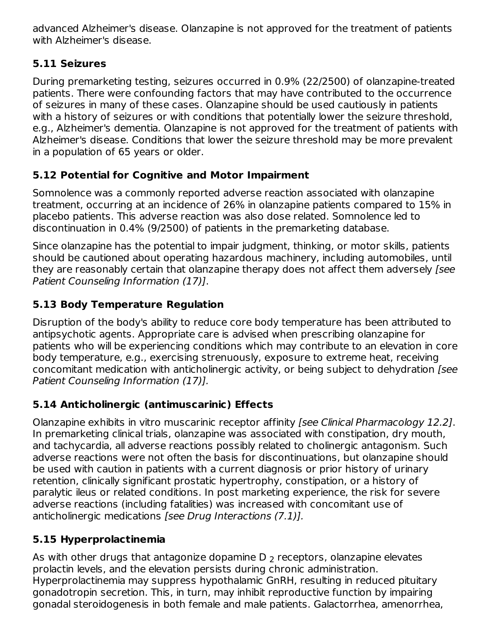advanced Alzheimer's disease. Olanzapine is not approved for the treatment of patients with Alzheimer's disease.

### **5.11 Seizures**

During premarketing testing, seizures occurred in 0.9% (22/2500) of olanzapine-treated patients. There were confounding factors that may have contributed to the occurrence of seizures in many of these cases. Olanzapine should be used cautiously in patients with a history of seizures or with conditions that potentially lower the seizure threshold, e.g., Alzheimer's dementia. Olanzapine is not approved for the treatment of patients with Alzheimer's disease. Conditions that lower the seizure threshold may be more prevalent in a population of 65 years or older.

# **5.12 Potential for Cognitive and Motor Impairment**

Somnolence was a commonly reported adverse reaction associated with olanzapine treatment, occurring at an incidence of 26% in olanzapine patients compared to 15% in placebo patients. This adverse reaction was also dose related. Somnolence led to discontinuation in 0.4% (9/2500) of patients in the premarketing database.

Since olanzapine has the potential to impair judgment, thinking, or motor skills, patients should be cautioned about operating hazardous machinery, including automobiles, until they are reasonably certain that olanzapine therapy does not affect them adversely (see Patient Counseling Information (17)].

# **5.13 Body Temperature Regulation**

Disruption of the body's ability to reduce core body temperature has been attributed to antipsychotic agents. Appropriate care is advised when prescribing olanzapine for patients who will be experiencing conditions which may contribute to an elevation in core body temperature, e.g., exercising strenuously, exposure to extreme heat, receiving concomitant medication with anticholinergic activity, or being subject to dehydration [see Patient Counseling Information (17)].

# **5.14 Anticholinergic (antimuscarinic) Effects**

Olanzapine exhibits in vitro muscarinic receptor affinity [see Clinical Pharmacology 12.2]. In premarketing clinical trials, olanzapine was associated with constipation, dry mouth, and tachycardia, all adverse reactions possibly related to cholinergic antagonism. Such adverse reactions were not often the basis for discontinuations, but olanzapine should be used with caution in patients with a current diagnosis or prior history of urinary retention, clinically significant prostatic hypertrophy, constipation, or a history of paralytic ileus or related conditions. In post marketing experience, the risk for severe adverse reactions (including fatalities) was increased with concomitant use of anticholinergic medications [see Drug Interactions (7.1)].

# **5.15 Hyperprolactinemia**

As with other drugs that antagonize dopamine D  $_{\rm 2}$  receptors, olanzapine elevates prolactin levels, and the elevation persists during chronic administration. Hyperprolactinemia may suppress hypothalamic GnRH, resulting in reduced pituitary gonadotropin secretion. This, in turn, may inhibit reproductive function by impairing gonadal steroidogenesis in both female and male patients. Galactorrhea, amenorrhea,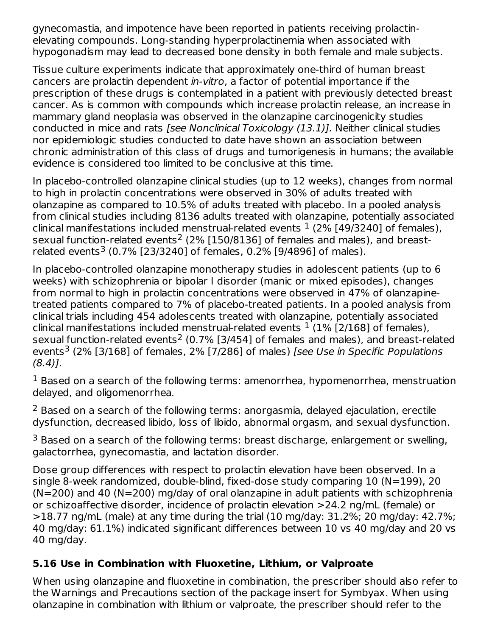gynecomastia, and impotence have been reported in patients receiving prolactinelevating compounds. Long-standing hyperprolactinemia when associated with hypogonadism may lead to decreased bone density in both female and male subjects.

Tissue culture experiments indicate that approximately one-third of human breast cancers are prolactin dependent in-vitro, a factor of potential importance if the prescription of these drugs is contemplated in a patient with previously detected breast cancer. As is common with compounds which increase prolactin release, an increase in mammary gland neoplasia was observed in the olanzapine carcinogenicity studies conducted in mice and rats [see Nonclinical Toxicology (13.1)]. Neither clinical studies nor epidemiologic studies conducted to date have shown an association between chronic administration of this class of drugs and tumorigenesis in humans; the available evidence is considered too limited to be conclusive at this time.

In placebo-controlled olanzapine clinical studies (up to 12 weeks), changes from normal to high in prolactin concentrations were observed in 30% of adults treated with olanzapine as compared to 10.5% of adults treated with placebo. In a pooled analysis from clinical studies including 8136 adults treated with olanzapine, potentially associated clinical manifestations included menstrual-related events  $^1$  (2% [49/3240] of females), sexual function-related events<sup>2</sup> (2% [150/8136] of females and males), and breastrelated events<sup>3</sup> (0.7% [23/3240] of females, 0.2% [9/4896] of males).

In placebo-controlled olanzapine monotherapy studies in adolescent patients (up to 6 weeks) with schizophrenia or bipolar I disorder (manic or mixed episodes), changes from normal to high in prolactin concentrations were observed in 47% of olanzapinetreated patients compared to 7% of placebo-treated patients. In a pooled analysis from clinical trials including 454 adolescents treated with olanzapine, potentially associated clinical manifestations included menstrual-related events  $^1$  (1% [2/168] of females), sexual function-related events<sup>2</sup> (0.7% [3/454] of females and males), and breast-related events<sup>3</sup> (2% [3/168] of females, 2% [7/286] of males) *[see Use in Specific Populations* (8.4)].

 $^1$  Based on a search of the following terms: amenorrhea, hypomenorrhea, menstruation delayed, and oligomenorrhea.

 $2$  Based on a search of the following terms: anorgasmia, delayed ejaculation, erectile dysfunction, decreased libido, loss of libido, abnormal orgasm, and sexual dysfunction.

 $3$  Based on a search of the following terms: breast discharge, enlargement or swelling, galactorrhea, gynecomastia, and lactation disorder.

Dose group differences with respect to prolactin elevation have been observed. In a single 8-week randomized, double-blind, fixed-dose study comparing 10 (N=199), 20 (N=200) and 40 (N=200) mg/day of oral olanzapine in adult patients with schizophrenia or schizoaffective disorder, incidence of prolactin elevation >24.2 ng/mL (female) or >18.77 ng/mL (male) at any time during the trial (10 mg/day: 31.2%; 20 mg/day: 42.7%; 40 mg/day: 61.1%) indicated significant differences between 10 vs 40 mg/day and 20 vs 40 mg/day.

### **5.16 Use in Combination with Fluoxetine, Lithium, or Valproate**

When using olanzapine and fluoxetine in combination, the prescriber should also refer to the Warnings and Precautions section of the package insert for Symbyax. When using olanzapine in combination with lithium or valproate, the prescriber should refer to the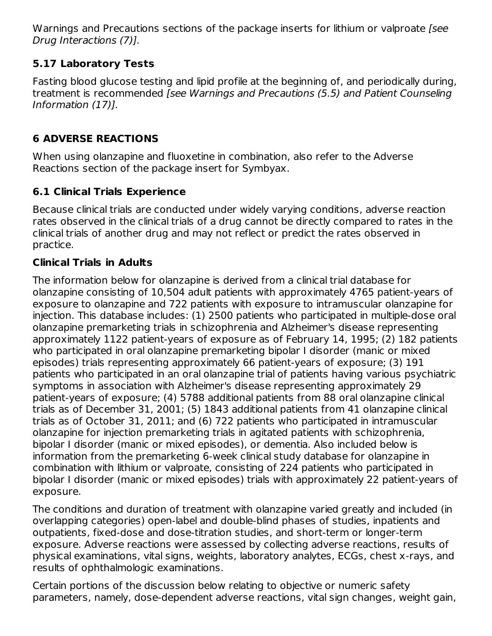Warnings and Precautions sections of the package inserts for lithium or valproate [see Drug Interactions (7)].

# **5.17 Laboratory Tests**

Fasting blood glucose testing and lipid profile at the beginning of, and periodically during, treatment is recommended [see Warnings and Precautions (5.5) and Patient Counseling Information (17)].

# **6 ADVERSE REACTIONS**

When using olanzapine and fluoxetine in combination, also refer to the Adverse Reactions section of the package insert for Symbyax.

# **6.1 Clinical Trials Experience**

Because clinical trials are conducted under widely varying conditions, adverse reaction rates observed in the clinical trials of a drug cannot be directly compared to rates in the clinical trials of another drug and may not reflect or predict the rates observed in practice.

# **Clinical Trials in Adults**

The information below for olanzapine is derived from a clinical trial database for olanzapine consisting of 10,504 adult patients with approximately 4765 patient-years of exposure to olanzapine and 722 patients with exposure to intramuscular olanzapine for injection. This database includes: (1) 2500 patients who participated in multiple-dose oral olanzapine premarketing trials in schizophrenia and Alzheimer's disease representing approximately 1122 patient-years of exposure as of February 14, 1995; (2) 182 patients who participated in oral olanzapine premarketing bipolar I disorder (manic or mixed episodes) trials representing approximately 66 patient-years of exposure; (3) 191 patients who participated in an oral olanzapine trial of patients having various psychiatric symptoms in association with Alzheimer's disease representing approximately 29 patient-years of exposure; (4) 5788 additional patients from 88 oral olanzapine clinical trials as of December 31, 2001; (5) 1843 additional patients from 41 olanzapine clinical trials as of October 31, 2011; and (6) 722 patients who participated in intramuscular olanzapine for injection premarketing trials in agitated patients with schizophrenia, bipolar I disorder (manic or mixed episodes), or dementia. Also included below is information from the premarketing 6-week clinical study database for olanzapine in combination with lithium or valproate, consisting of 224 patients who participated in bipolar I disorder (manic or mixed episodes) trials with approximately 22 patient-years of exposure.

The conditions and duration of treatment with olanzapine varied greatly and included (in overlapping categories) open-label and double-blind phases of studies, inpatients and outpatients, fixed-dose and dose-titration studies, and short-term or longer-term exposure. Adverse reactions were assessed by collecting adverse reactions, results of physical examinations, vital signs, weights, laboratory analytes, ECGs, chest x-rays, and results of ophthalmologic examinations.

Certain portions of the discussion below relating to objective or numeric safety parameters, namely, dose-dependent adverse reactions, vital sign changes, weight gain,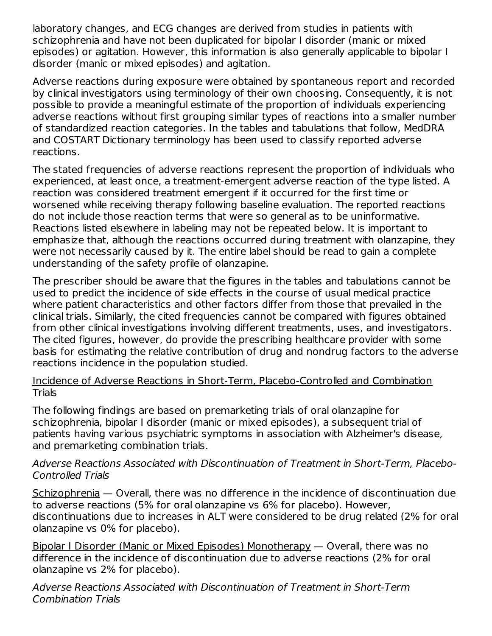laboratory changes, and ECG changes are derived from studies in patients with schizophrenia and have not been duplicated for bipolar I disorder (manic or mixed episodes) or agitation. However, this information is also generally applicable to bipolar I disorder (manic or mixed episodes) and agitation.

Adverse reactions during exposure were obtained by spontaneous report and recorded by clinical investigators using terminology of their own choosing. Consequently, it is not possible to provide a meaningful estimate of the proportion of individuals experiencing adverse reactions without first grouping similar types of reactions into a smaller number of standardized reaction categories. In the tables and tabulations that follow, MedDRA and COSTART Dictionary terminology has been used to classify reported adverse reactions.

The stated frequencies of adverse reactions represent the proportion of individuals who experienced, at least once, a treatment-emergent adverse reaction of the type listed. A reaction was considered treatment emergent if it occurred for the first time or worsened while receiving therapy following baseline evaluation. The reported reactions do not include those reaction terms that were so general as to be uninformative. Reactions listed elsewhere in labeling may not be repeated below. It is important to emphasize that, although the reactions occurred during treatment with olanzapine, they were not necessarily caused by it. The entire label should be read to gain a complete understanding of the safety profile of olanzapine.

The prescriber should be aware that the figures in the tables and tabulations cannot be used to predict the incidence of side effects in the course of usual medical practice where patient characteristics and other factors differ from those that prevailed in the clinical trials. Similarly, the cited frequencies cannot be compared with figures obtained from other clinical investigations involving different treatments, uses, and investigators. The cited figures, however, do provide the prescribing healthcare provider with some basis for estimating the relative contribution of drug and nondrug factors to the adverse reactions incidence in the population studied.

#### Incidence of Adverse Reactions in Short-Term, Placebo-Controlled and Combination Trials

The following findings are based on premarketing trials of oral olanzapine for schizophrenia, bipolar I disorder (manic or mixed episodes), a subsequent trial of patients having various psychiatric symptoms in association with Alzheimer's disease, and premarketing combination trials.

#### Adverse Reactions Associated with Discontinuation of Treatment in Short-Term, Placebo-Controlled Trials

Schizophrenia — Overall, there was no difference in the incidence of discontinuation due to adverse reactions (5% for oral olanzapine vs 6% for placebo). However, discontinuations due to increases in ALT were considered to be drug related (2% for oral olanzapine vs 0% for placebo).

Bipolar I Disorder (Manic or Mixed Episodes) Monotherapy — Overall, there was no difference in the incidence of discontinuation due to adverse reactions (2% for oral olanzapine vs 2% for placebo).

Adverse Reactions Associated with Discontinuation of Treatment in Short-Term Combination Trials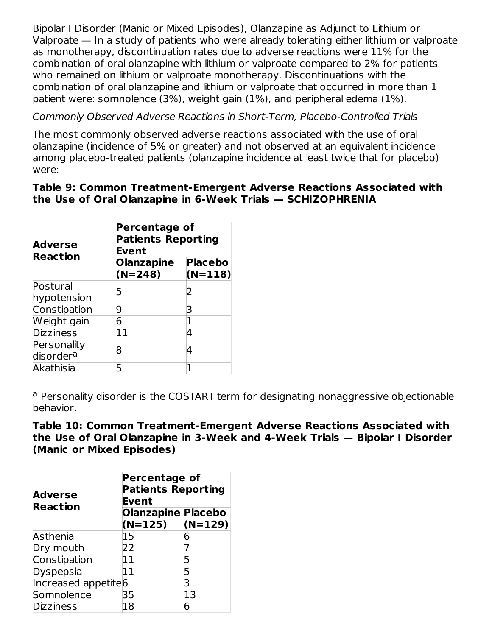Bipolar I Disorder (Manic or Mixed Episodes), Olanzapine as Adjunct to Lithium or Valproate — In a study of patients who were already tolerating either lithium or valproate as monotherapy, discontinuation rates due to adverse reactions were 11% for the combination of oral olanzapine with lithium or valproate compared to 2% for patients who remained on lithium or valproate monotherapy. Discontinuations with the combination of oral olanzapine and lithium or valproate that occurred in more than 1 patient were: somnolence (3%), weight gain (1%), and peripheral edema (1%).

Commonly Observed Adverse Reactions in Short-Term, Placebo-Controlled Trials

The most commonly observed adverse reactions associated with the use of oral olanzapine (incidence of 5% or greater) and not observed at an equivalent incidence among placebo-treated patients (olanzapine incidence at least twice that for placebo) were:

#### **Table 9: Common Treatment-Emergent Adverse Reactions Associated with the Use of Oral Olanzapine in 6-Week Trials — SCHIZOPHRENIA**

| <b>Adverse</b>        | <b>Percentage of</b><br><b>Patients Reporting</b><br><b>Event</b> |                             |  |  |
|-----------------------|-------------------------------------------------------------------|-----------------------------|--|--|
| <b>Reaction</b>       | <b>Olanzapine</b><br>$(N=248)$                                    | <b>Placebo</b><br>$(N=118)$ |  |  |
| Postural              | 5                                                                 |                             |  |  |
| hypotension           |                                                                   |                             |  |  |
| Constipation          | 9                                                                 |                             |  |  |
| Weight gain           | 6                                                                 |                             |  |  |
| <b>Dizziness</b>      | 11                                                                | 4                           |  |  |
| Personality           |                                                                   |                             |  |  |
| disorder <sup>a</sup> | 8                                                                 |                             |  |  |
| Akathisia             | 5                                                                 |                             |  |  |

<sup>a</sup> Personality disorder is the COSTART term for designating nonaggressive objectionable behavior.

**Table 10: Common Treatment-Emergent Adverse Reactions Associated with the Use of Oral Olanzapine in 3-Week and 4-Week Trials — Bipolar I Disorder (Manic or Mixed Episodes)**

| <b>Adverse</b>      | <b>Percentage of</b><br><b>Patients Reporting</b><br>Event |           |  |
|---------------------|------------------------------------------------------------|-----------|--|
| <b>Reaction</b>     | <b>Olanzapine Placebo</b>                                  |           |  |
|                     | $(N=125)$                                                  | $(N=129)$ |  |
| Asthenia            | 15                                                         | 6         |  |
| Dry mouth           | 22                                                         |           |  |
| Constipation        | 11                                                         | 5         |  |
| Dyspepsia           | 11                                                         | 5         |  |
| Increased appetite6 |                                                            | 3         |  |
| Somnolence          | 35                                                         | 13        |  |
| <b>Dizziness</b>    | 18                                                         | 6         |  |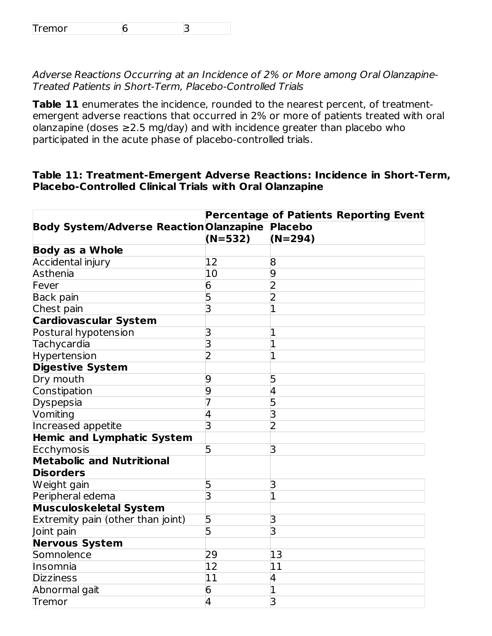Adverse Reactions Occurring at an Incidence of 2% or More among Oral Olanzapine-Treated Patients in Short-Term, Placebo-Controlled Trials

**Table 11** enumerates the incidence, rounded to the nearest percent, of treatmentemergent adverse reactions that occurred in 2% or more of patients treated with oral olanzapine (doses ≥2.5 mg/day) and with incidence greater than placebo who participated in the acute phase of placebo-controlled trials.

#### **Table 11: Treatment-Emergent Adverse Reactions: Incidence in Short-Term, Placebo-Controlled Clinical Trials with Oral Olanzapine**

|                                                |                         | <b>Percentage of Patients Reporting Event</b> |
|------------------------------------------------|-------------------------|-----------------------------------------------|
| <b>Body System/Adverse Reaction Olanzapine</b> |                         | <b>Placebo</b>                                |
|                                                | $(N=532)$               | $(N=294)$                                     |
| <b>Body as a Whole</b>                         |                         |                                               |
| <b>Accidental injury</b>                       | 12                      | 8                                             |
| Asthenia                                       | 10                      | 9                                             |
| Fever                                          | $\overline{6}$          | 2                                             |
| <b>Back pain</b>                               | 5                       | 2                                             |
| Chest pain                                     | 3                       |                                               |
| <b>Cardiovascular System</b>                   |                         |                                               |
| Postural hypotension                           | З                       |                                               |
| Tachycardia                                    | $\overline{\mathsf{B}}$ | 1                                             |
| Hypertension                                   | 2                       | 1                                             |
| <b>Digestive System</b>                        |                         |                                               |
| Dry mouth                                      | 9                       | 5                                             |
| Constipation                                   | 9                       | 4                                             |
| Dyspepsia                                      |                         | 5                                             |
| Vomiting                                       | 4                       | 3                                             |
| Increased appetite                             | З                       | 2                                             |
| <b>Hemic and Lymphatic System</b>              |                         |                                               |
| Ecchymosis                                     | 5                       | 3                                             |
| <b>Metabolic and Nutritional</b>               |                         |                                               |
| <b>Disorders</b>                               |                         |                                               |
| Weight gain                                    | 5                       | 3                                             |
| Peripheral edema                               | 3                       | $\overline{1}$                                |
| <b>Musculoskeletal System</b>                  |                         |                                               |
| Extremity pain (other than joint)              | 5                       | 3                                             |
| Joint pain                                     | 5                       | 3                                             |
| <b>Nervous System</b>                          |                         |                                               |
| Somnolence                                     | 29                      | 13                                            |
| Insomnia                                       | 12                      | 11                                            |
| <b>Dizziness</b>                               | $\overline{11}$         | 4                                             |
| Abnormal gait                                  | 6                       | 1                                             |
| Tremor                                         | 4                       | 3                                             |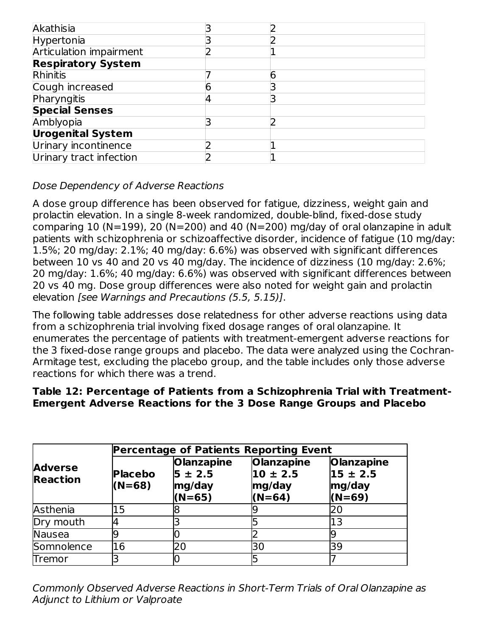| Akathisia                      |  |  |
|--------------------------------|--|--|
| Hypertonia                     |  |  |
| <b>Articulation impairment</b> |  |  |
| <b>Respiratory System</b>      |  |  |
| <b>Rhinitis</b>                |  |  |
| Cough increased                |  |  |
| Pharyngitis                    |  |  |
| <b>Special Senses</b>          |  |  |
| Amblyopia                      |  |  |
| <b>Urogenital System</b>       |  |  |
| Urinary incontinence           |  |  |
| Urinary tract infection        |  |  |

### Dose Dependency of Adverse Reactions

A dose group difference has been observed for fatigue, dizziness, weight gain and prolactin elevation. In a single 8-week randomized, double-blind, fixed-dose study comparing 10 (N=199), 20 (N=200) and 40 (N=200) mg/day of oral olanzapine in adult patients with schizophrenia or schizoaffective disorder, incidence of fatigue (10 mg/day: 1.5%; 20 mg/day: 2.1%; 40 mg/day: 6.6%) was observed with significant differences between 10 vs 40 and 20 vs 40 mg/day. The incidence of dizziness (10 mg/day: 2.6%; 20 mg/day: 1.6%; 40 mg/day: 6.6%) was observed with significant differences between 20 vs 40 mg. Dose group differences were also noted for weight gain and prolactin elevation [see Warnings and Precautions (5.5, 5.15)].

The following table addresses dose relatedness for other adverse reactions using data from a schizophrenia trial involving fixed dosage ranges of oral olanzapine. It enumerates the percentage of patients with treatment-emergent adverse reactions for the 3 fixed-dose range groups and placebo. The data were analyzed using the Cochran-Armitage test, excluding the placebo group, and the table includes only those adverse reactions for which there was a trend.

### **Table 12: Percentage of Patients from a Schizophrenia Trial with Treatment-Emergent Adverse Reactions for the 3 Dose Range Groups and Placebo**

|                                   | <b>Percentage of Patients Reporting Event</b> |                                                        |                                                         |                                                         |  |
|-----------------------------------|-----------------------------------------------|--------------------------------------------------------|---------------------------------------------------------|---------------------------------------------------------|--|
| <b>Adverse</b><br><b>Reaction</b> | <b>Placebo</b><br>$(N=68)$                    | <b>Olanzapine</b><br>$5 \pm 2.5$<br>mg/day<br>$(N=65)$ | <b>Olanzapine</b><br>$10 \pm 2.5$<br>mg/day<br>$(N=64)$ | <b>Olanzapine</b><br>$15 \pm 2.5$<br>mg/day<br>$(N=69)$ |  |
| Asthenia                          | 15                                            |                                                        |                                                         | 20                                                      |  |
| Dry mouth                         |                                               |                                                        |                                                         | 13                                                      |  |
| <b>Nausea</b>                     |                                               |                                                        |                                                         |                                                         |  |
| Somnolence                        | 16                                            | 20                                                     | 30                                                      | 39                                                      |  |
| Tremor                            |                                               |                                                        |                                                         |                                                         |  |

Commonly Observed Adverse Reactions in Short-Term Trials of Oral Olanzapine as Adjunct to Lithium or Valproate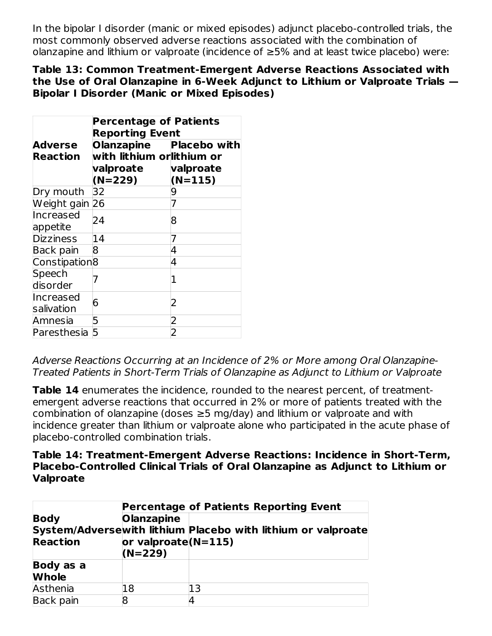In the bipolar I disorder (manic or mixed episodes) adjunct placebo-controlled trials, the most commonly observed adverse reactions associated with the combination of olanzapine and lithium or valproate (incidence of ≥5% and at least twice placebo) were:

#### **Table 13: Common Treatment-Emergent Adverse Reactions Associated with the Use of Oral Olanzapine in 6-Week Adjunct to Lithium or Valproate Trials — Bipolar I Disorder (Manic or Mixed Episodes)**

|                           | <b>Percentage of Patients</b><br><b>Reporting Event</b> |                        |  |  |  |
|---------------------------|---------------------------------------------------------|------------------------|--|--|--|
| <b>Adverse</b>            | Olanzapine Placebo with                                 |                        |  |  |  |
| <b>Reaction</b>           | with lithium orlithium or                               |                        |  |  |  |
|                           | valproate<br>$(N=229)$                                  | valproate<br>$(N=115)$ |  |  |  |
| Dry mouth                 | 32                                                      | 9                      |  |  |  |
| Weight gain 26            |                                                         |                        |  |  |  |
| Increased<br>appetite     | 24                                                      | 8                      |  |  |  |
| <b>Dizziness</b>          | 14                                                      | 7                      |  |  |  |
| Back pain                 | 8                                                       | 4                      |  |  |  |
| Constipation <sup>8</sup> |                                                         | 4                      |  |  |  |
| Speech<br>disorder        |                                                         | 1                      |  |  |  |
| Increased<br>salivation   | 6                                                       | 2                      |  |  |  |
| Amnesia                   | 5                                                       | $\mathsf{S}$           |  |  |  |
| Paresthesia               | 5                                                       | 2                      |  |  |  |

Adverse Reactions Occurring at an Incidence of 2% or More among Oral Olanzapine-Treated Patients in Short-Term Trials of Olanzapine as Adjunct to Lithium or Valproate

**Table 14** enumerates the incidence, rounded to the nearest percent, of treatmentemergent adverse reactions that occurred in 2% or more of patients treated with the combination of olanzapine (doses  $\geq$ 5 mg/day) and lithium or valproate and with incidence greater than lithium or valproate alone who participated in the acute phase of placebo-controlled combination trials.

#### **Table 14: Treatment-Emergent Adverse Reactions: Incidence in Short-Term, Placebo-Controlled Clinical Trials of Oral Olanzapine as Adjunct to Lithium or Valproate**

|                                | <b>Percentage of Patients Reporting Event</b>            |                                                              |  |  |
|--------------------------------|----------------------------------------------------------|--------------------------------------------------------------|--|--|
| <b>Body</b><br><b>Reaction</b> | <b>Olanzapine</b><br>or valproate $(N=115)$<br>$(N=229)$ | System/Adversewith lithium Placebo with lithium or valproate |  |  |
| Body as a<br><b>Whole</b>      |                                                          |                                                              |  |  |
| Asthenia                       | 18                                                       | 13                                                           |  |  |
| Back pain                      | 8                                                        |                                                              |  |  |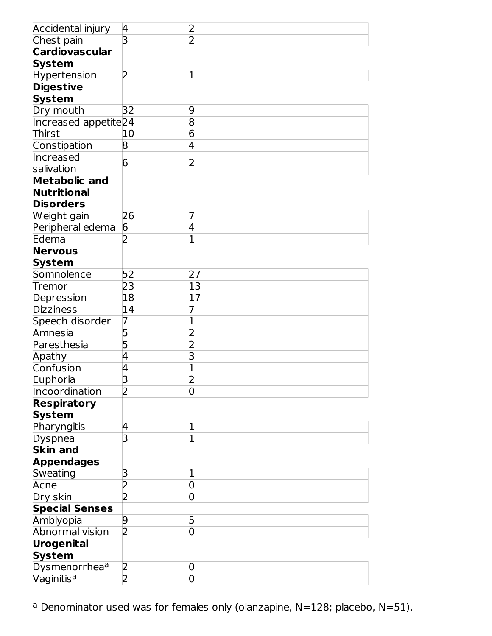| Accidental injury                | $\overline{4}$ | 2              |
|----------------------------------|----------------|----------------|
| Chest pain                       | 3              | $\overline{2}$ |
| <b>Cardiovascular</b>            |                |                |
| <b>System</b>                    |                |                |
| <b>Hypertension</b>              | 2              | 1              |
| <b>Digestive</b>                 |                |                |
| <b>System</b>                    |                |                |
| Dry mouth                        | 32             | 9              |
| Increased appetite <sub>24</sub> |                | 8              |
| Thirst                           | 10             | $\overline{6}$ |
| Constipation                     | 8              | 4              |
| Increased                        | 6              | 2              |
| salivation                       |                |                |
| <b>Metabolic and</b>             |                |                |
| <b>Nutritional</b>               |                |                |
| <b>Disorders</b>                 |                |                |
| Weight gain                      | 26             | 7              |
| Peripheral edema                 | 6              | 4              |
| Edema                            | フ              |                |
| <b>Nervous</b>                   |                |                |
| <b>System</b>                    |                |                |
| Somnolence                       | 52             | 27             |
| Tremor                           | 23             | 13             |
| Depression                       | 18             | 17             |
| <b>Dizziness</b>                 | 14             |                |
| Speech disorder                  | 7              | 1              |
| Amnesia                          | 5              | 2              |
| Paresthesia                      | 5              | 2              |
| Apathy                           | 4              | 3              |
| Confusion                        | 4              | 1              |
| Euphoria                         | 3              | っ              |
| Incoordination                   | $\overline{2}$ | 0              |
| <b>Respiratory</b>               |                |                |
| <b>System</b>                    |                |                |
| Pharyngitis                      | 4              | 1              |
| Dyspnea                          | 3              | 1              |
| <b>Skin and</b>                  |                |                |
| <b>Appendages</b>                |                |                |
| Sweating                         | 3              | 1              |
| Acne                             | $\overline{2}$ | 0              |
| Dry skin                         | 2              | 0              |
| <b>Special Senses</b>            |                |                |
| Amblyopia                        | 9              | 5              |
| Abnormal vision                  | $\overline{2}$ | 0              |
| <b>Urogenital</b>                |                |                |
| <b>System</b>                    |                |                |
| Dysmenorrhea <sup>a</sup>        | 2              | 0              |
| Vaginitis <sup>a</sup>           | $\overline{2}$ | 0              |

<sup>a</sup> Denominator used was for females only (olanzapine, N=128; placebo, N=51).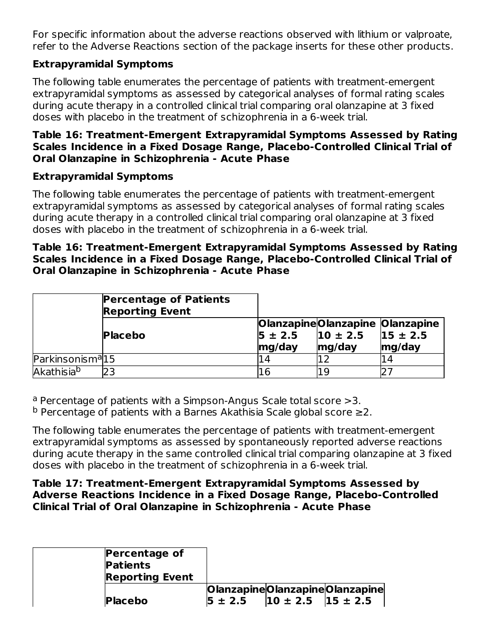For specific information about the adverse reactions observed with lithium or valproate, refer to the Adverse Reactions section of the package inserts for these other products.

### **Extrapyramidal Symptoms**

The following table enumerates the percentage of patients with treatment-emergent extrapyramidal symptoms as assessed by categorical analyses of formal rating scales during acute therapy in a controlled clinical trial comparing oral olanzapine at 3 fixed doses with placebo in the treatment of schizophrenia in a 6-week trial.

#### **Table 16: Treatment-Emergent Extrapyramidal Symptoms Assessed by Rating Scales Incidence in a Fixed Dosage Range, Placebo-Controlled Clinical Trial of Oral Olanzapine in Schizophrenia - Acute Phase**

### **Extrapyramidal Symptoms**

The following table enumerates the percentage of patients with treatment-emergent extrapyramidal symptoms as assessed by categorical analyses of formal rating scales during acute therapy in a controlled clinical trial comparing oral olanzapine at 3 fixed doses with placebo in the treatment of schizophrenia in a 6-week trial.

#### **Table 16: Treatment-Emergent Extrapyramidal Symptoms Assessed by Rating Scales Incidence in a Fixed Dosage Range, Placebo-Controlled Clinical Trial of Oral Olanzapine in Schizophrenia - Acute Phase**

|                               | <b>Percentage of Patients</b><br><b>Reporting Event</b> |                       |                                                           |                        |
|-------------------------------|---------------------------------------------------------|-----------------------|-----------------------------------------------------------|------------------------|
|                               | <b>Placebo</b>                                          | $5 \pm 2.5$<br>mg/day | OlanzapineOlanzapine Olanzapine<br>$10 \pm 2.5$<br>mg/day | $15 \pm 2.5$<br>mg/day |
| Parkinsonism <sup>a</sup> l15 |                                                         | L4                    |                                                           | 14                     |
| Akathisia <sup>b</sup>        |                                                         | 16                    | 1 Q                                                       |                        |

<sup>a</sup> Percentage of patients with a Simpson-Angus Scale total score >3.

 $^{\text{b}}$  Percentage of patients with a Barnes Akathisia Scale global score ≥2.

The following table enumerates the percentage of patients with treatment-emergent extrapyramidal symptoms as assessed by spontaneously reported adverse reactions during acute therapy in the same controlled clinical trial comparing olanzapine at 3 fixed doses with placebo in the treatment of schizophrenia in a 6-week trial.

#### **Table 17: Treatment-Emergent Extrapyramidal Symptoms Assessed by Adverse Reactions Incidence in a Fixed Dosage Range, Placebo-Controlled Clinical Trial of Oral Olanzapine in Schizophrenia - Acute Phase**

| <b>Percentage of</b><br><b>Patients</b><br><b>Reporting Event</b> |                                                                           |                                |
|-------------------------------------------------------------------|---------------------------------------------------------------------------|--------------------------------|
| <b>Placebo</b>                                                    | $\vert 5 \pm 2.5 \vert$ $\vert 10 \pm 2.5 \vert$ $\vert 15 \pm 2.5 \vert$ | OlanzapineOlanzapineOlanzapine |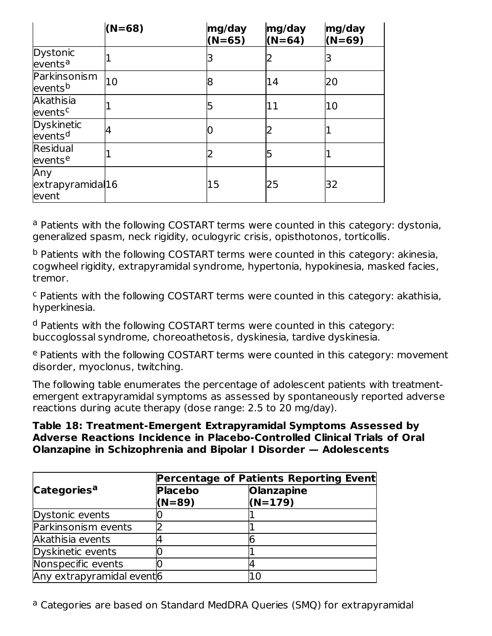|                                          | $(N=68)$ | mg/day<br>$(N=65)$ | mg/day<br>$(N=64)$ | mg/day<br>$(N=69)$ |
|------------------------------------------|----------|--------------------|--------------------|--------------------|
| Dystonic<br>events <sup>a</sup>          |          | 3                  |                    | 3                  |
| Parkinsonism<br>events <sup>b</sup>      | 10       | 8                  | 14                 | 20                 |
| Akathisia<br>events <sup>c</sup>         |          | 5                  | 11                 | 10                 |
| <b>Dyskinetic</b><br>events <sup>d</sup> | 4        |                    |                    |                    |
| Residual<br>eventse                      |          | 2                  | 5                  |                    |
| Any<br>extrapyramidal16<br>event         |          | 15                 | 25                 | 32                 |

<sup>a</sup> Patients with the following COSTART terms were counted in this category: dystonia, generalized spasm, neck rigidity, oculogyric crisis, opisthotonos, torticollis.

<sup>b</sup> Patients with the following COSTART terms were counted in this category: akinesia, cogwheel rigidity, extrapyramidal syndrome, hypertonia, hypokinesia, masked facies, tremor.

<sup>c</sup> Patients with the following COSTART terms were counted in this category: akathisia, hyperkinesia.

<sup>d</sup> Patients with the following COSTART terms were counted in this category: buccoglossal syndrome, choreoathetosis, dyskinesia, tardive dyskinesia.

<sup>e</sup> Patients with the following COSTART terms were counted in this category: movement disorder, myoclonus, twitching.

The following table enumerates the percentage of adolescent patients with treatmentemergent extrapyramidal symptoms as assessed by spontaneously reported adverse reactions during acute therapy (dose range: 2.5 to 20 mg/day).

#### **Table 18: Treatment-Emergent Extrapyramidal Symptoms Assessed by Adverse Reactions Incidence in Placebo-Controlled Clinical Trials of Oral Olanzapine in Schizophrenia and Bipolar I Disorder — Adolescents**

|                            | Percentage of Patients Reporting Event |                                |  |  |  |
|----------------------------|----------------------------------------|--------------------------------|--|--|--|
| Categories <sup>a</sup>    | <b>Placebo</b><br>$(N=89)$             | <b>Olanzapine</b><br>$(N=179)$ |  |  |  |
| Dystonic events            |                                        |                                |  |  |  |
| Parkinsonism events        |                                        |                                |  |  |  |
| Akathisia events           |                                        |                                |  |  |  |
| Dyskinetic events          |                                        |                                |  |  |  |
| Nonspecific events         |                                        |                                |  |  |  |
| Any extrapyramidal event 6 |                                        | 1 C                            |  |  |  |

<sup>a</sup> Categories are based on Standard MedDRA Queries (SMQ) for extrapyramidal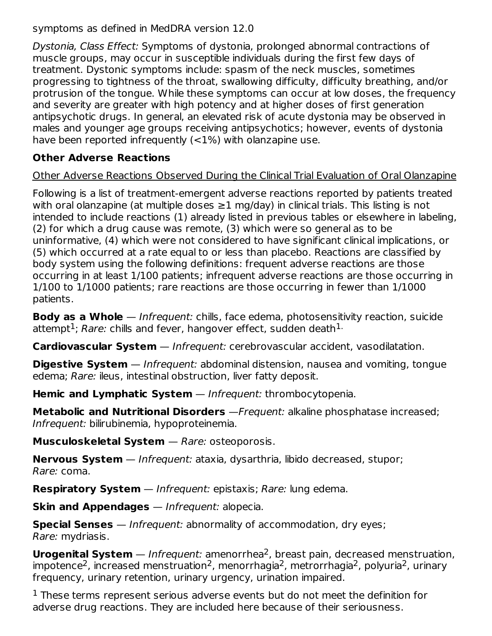symptoms as defined in MedDRA version 12.0

Dystonia, Class Effect: Symptoms of dystonia, prolonged abnormal contractions of muscle groups, may occur in susceptible individuals during the first few days of treatment. Dystonic symptoms include: spasm of the neck muscles, sometimes progressing to tightness of the throat, swallowing difficulty, difficulty breathing, and/or protrusion of the tongue. While these symptoms can occur at low doses, the frequency and severity are greater with high potency and at higher doses of first generation antipsychotic drugs. In general, an elevated risk of acute dystonia may be observed in males and younger age groups receiving antipsychotics; however, events of dystonia have been reported infrequently (<1%) with olanzapine use.

### **Other Adverse Reactions**

### Other Adverse Reactions Observed During the Clinical Trial Evaluation of Oral Olanzapine

Following is a list of treatment-emergent adverse reactions reported by patients treated with oral olanzapine (at multiple doses  $\geq$ 1 mg/day) in clinical trials. This listing is not intended to include reactions (1) already listed in previous tables or elsewhere in labeling, (2) for which a drug cause was remote, (3) which were so general as to be uninformative, (4) which were not considered to have significant clinical implications, or (5) which occurred at a rate equal to or less than placebo. Reactions are classified by body system using the following definitions: frequent adverse reactions are those occurring in at least 1/100 patients; infrequent adverse reactions are those occurring in 1/100 to 1/1000 patients; rare reactions are those occurring in fewer than 1/1000 patients.

**Body as a Whole** — Infrequent: chills, face edema, photosensitivity reaction, suicide attempt $^1$ ; *Rare:* chills and fever, hangover effect, sudden death $^1\cdot$ 

**Cardiovascular System** — Infrequent: cerebrovascular accident, vasodilatation.

**Digestive System** — Infrequent: abdominal distension, nausea and vomiting, tongue edema; Rare: ileus, intestinal obstruction, liver fatty deposit.

**Hemic and Lymphatic System** — Infrequent: thrombocytopenia.

**Metabolic and Nutritional Disorders** —Frequent: alkaline phosphatase increased; Infrequent: bilirubinemia, hypoproteinemia.

**Musculoskeletal System** — Rare: osteoporosis.

**Nervous System** — Infrequent: ataxia, dysarthria, libido decreased, stupor; Rare: coma.

**Respiratory System** — Infrequent: epistaxis; Rare: lung edema.

**Skin and Appendages** — Infrequent: alopecia.

**Special Senses** — Infrequent: abnormality of accommodation, dry eyes; Rare: mydriasis.

**Urogenital System** — Infrequent: amenorrhea<sup>2</sup>, breast pain, decreased menstruation, impotence<sup>2</sup>, increased menstruation<sup>2</sup>, menorrhagia<sup>2</sup>, metrorrhagia<sup>2</sup>, polyuria<sup>2</sup>, urinary frequency, urinary retention, urinary urgency, urination impaired.

 $1$  These terms represent serious adverse events but do not meet the definition for adverse drug reactions. They are included here because of their seriousness.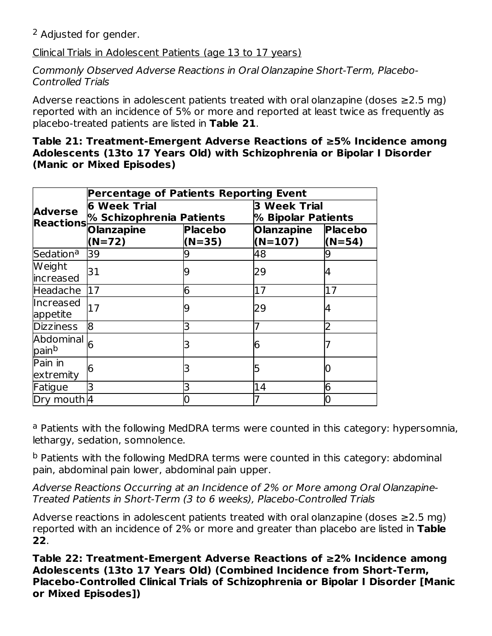<sup>2</sup> Adjusted for gender.

Clinical Trials in Adolescent Patients (age 13 to 17 years)

Commonly Observed Adverse Reactions in Oral Olanzapine Short-Term, Placebo-Controlled Trials

Adverse reactions in adolescent patients treated with oral olanzapine (doses ≥2.5 mg) reported with an incidence of 5% or more and reported at least twice as frequently as placebo-treated patients are listed in **Table 21**.

#### **Table 21: Treatment-Emergent Adverse Reactions of ≥5% Incidence among Adolescents (13to 17 Years Old) with Schizophrenia or Bipolar I Disorder (Manic or Mixed Episodes)**

|                                | <b>Percentage of Patients Reporting Event</b>   |                            |                                           |                            |  |
|--------------------------------|-------------------------------------------------|----------------------------|-------------------------------------------|----------------------------|--|
| <b>Adverse</b>                 | <b>6 Week Trial</b><br>% Schizophrenia Patients |                            | <b>3 Week Trial</b><br>% Bipolar Patients |                            |  |
| <b>Reactions</b>               | <b>Olanzapine</b><br>(N=72)                     | <b>Placebo</b><br>$(N=35)$ | <b>Olanzapine</b><br>$(N=107)$            | <b>Placebo</b><br>$(N=54)$ |  |
| Sedation <sup>a</sup>          | 39                                              |                            | 48                                        |                            |  |
| <b>Weight</b><br>increased     | 31                                              | 9                          | 29                                        |                            |  |
| Headache                       | 17                                              | 6                          | 17                                        | 17                         |  |
| Increased<br>appetite          | 17                                              | g                          | 29                                        | 4                          |  |
| <b>Dizziness</b>               | 18                                              | 3                          | 7                                         | 2                          |  |
| Abdominal<br>pain <sup>b</sup> |                                                 | 3                          | 6                                         |                            |  |
| Pain in<br>extremity           | 6                                               | 3                          | 5                                         |                            |  |
| Fatigue                        | 3                                               | 3                          | 14                                        | 6                          |  |
| Dry mouth 4                    |                                                 |                            |                                           |                            |  |

<sup>a</sup> Patients with the following MedDRA terms were counted in this category: hypersomnia, lethargy, sedation, somnolence.

<sup>b</sup> Patients with the following MedDRA terms were counted in this category: abdominal pain, abdominal pain lower, abdominal pain upper.

Adverse Reactions Occurring at an Incidence of 2% or More among Oral Olanzapine-Treated Patients in Short-Term (3 to 6 weeks), Placebo-Controlled Trials

Adverse reactions in adolescent patients treated with oral olanzapine (doses ≥2.5 mg) reported with an incidence of 2% or more and greater than placebo are listed in **Table 22**.

**Table 22: Treatment-Emergent Adverse Reactions of ≥2% Incidence among Adolescents (13to 17 Years Old) (Combined Incidence from Short-Term, Placebo-Controlled Clinical Trials of Schizophrenia or Bipolar I Disorder [Manic or Mixed Episodes])**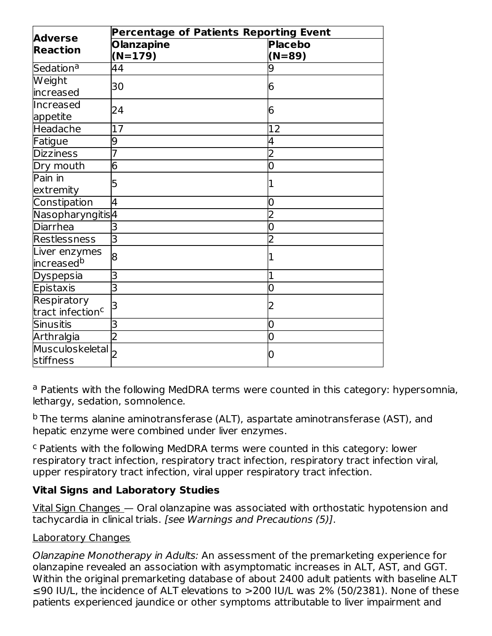|                                   | Percentage of Patients Reporting Event |                |  |  |  |  |  |
|-----------------------------------|----------------------------------------|----------------|--|--|--|--|--|
| <b>Adverse</b><br><b>Reaction</b> | <b>Olanzapine</b>                      | <b>Placebo</b> |  |  |  |  |  |
|                                   | $(N=179)$                              | $(N=89)$       |  |  |  |  |  |
| Sedation <sup>a</sup>             | 44                                     |                |  |  |  |  |  |
| Weight                            | 30                                     | 6              |  |  |  |  |  |
| increased                         |                                        |                |  |  |  |  |  |
| Increased                         | 24                                     | 6              |  |  |  |  |  |
| appetite                          |                                        |                |  |  |  |  |  |
| Headache                          | 17                                     | 12             |  |  |  |  |  |
| Fatigue                           | 9                                      | 4              |  |  |  |  |  |
| <b>Dizziness</b>                  |                                        | 2              |  |  |  |  |  |
| Dry mouth                         | 6                                      | 0              |  |  |  |  |  |
| Pain in                           | 5                                      | 1              |  |  |  |  |  |
| extremity                         |                                        |                |  |  |  |  |  |
| Constipation                      | 4                                      | 0              |  |  |  |  |  |
| Nasopharyngitis <sup>4</sup>      |                                        | 2              |  |  |  |  |  |
| <b>Diarrhea</b>                   | 3                                      | $\overline{0}$ |  |  |  |  |  |
| Restlessness                      | 3                                      | 2              |  |  |  |  |  |
| Liver enzymes                     | 8                                      |                |  |  |  |  |  |
| increased <sup>b</sup>            |                                        |                |  |  |  |  |  |
| Dyspepsia                         | 3                                      | 1              |  |  |  |  |  |
| Epistaxis                         | 3                                      | 0              |  |  |  |  |  |
| Respiratory                       | В                                      | 2              |  |  |  |  |  |
| tract infection <sup>c</sup>      |                                        |                |  |  |  |  |  |
| <b>Sinusitis</b>                  | 3                                      | 0              |  |  |  |  |  |
| Arthralgia                        |                                        | $\overline{0}$ |  |  |  |  |  |
| Musculoskeletal                   |                                        | 0              |  |  |  |  |  |
| stiffness                         |                                        |                |  |  |  |  |  |

<sup>a</sup> Patients with the following MedDRA terms were counted in this category: hypersomnia, lethargy, sedation, somnolence.

<sup>b</sup> The terms alanine aminotransferase (ALT), aspartate aminotransferase (AST), and hepatic enzyme were combined under liver enzymes.

<sup>c</sup> Patients with the following MedDRA terms were counted in this category: lower respiratory tract infection, respiratory tract infection, respiratory tract infection viral, upper respiratory tract infection, viral upper respiratory tract infection.

### **Vital Signs and Laboratory Studies**

Vital Sign Changes — Oral olanzapine was associated with orthostatic hypotension and tachycardia in clinical trials. [see Warnings and Precautions (5)].

### Laboratory Changes

Olanzapine Monotherapy in Adults: An assessment of the premarketing experience for olanzapine revealed an association with asymptomatic increases in ALT, AST, and GGT. Within the original premarketing database of about 2400 adult patients with baseline ALT ≤90 IU/L, the incidence of ALT elevations to >200 IU/L was 2% (50/2381). None of these patients experienced jaundice or other symptoms attributable to liver impairment and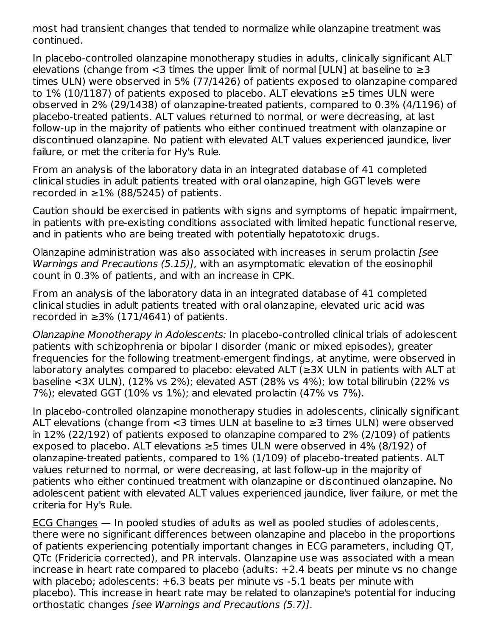most had transient changes that tended to normalize while olanzapine treatment was continued.

In placebo-controlled olanzapine monotherapy studies in adults, clinically significant ALT elevations (change from  $<$ 3 times the upper limit of normal [ULN] at baseline to  $\geq$ 3 times ULN) were observed in 5% (77/1426) of patients exposed to olanzapine compared to 1% (10/1187) of patients exposed to placebo. ALT elevations ≥5 times ULN were observed in 2% (29/1438) of olanzapine-treated patients, compared to 0.3% (4/1196) of placebo-treated patients. ALT values returned to normal, or were decreasing, at last follow-up in the majority of patients who either continued treatment with olanzapine or discontinued olanzapine. No patient with elevated ALT values experienced jaundice, liver failure, or met the criteria for Hy's Rule.

From an analysis of the laboratory data in an integrated database of 41 completed clinical studies in adult patients treated with oral olanzapine, high GGT levels were recorded in  $\geq$ 1% (88/5245) of patients.

Caution should be exercised in patients with signs and symptoms of hepatic impairment, in patients with pre-existing conditions associated with limited hepatic functional reserve, and in patients who are being treated with potentially hepatotoxic drugs.

Olanzapine administration was also associated with increases in serum prolactin [see Warnings and Precautions (5.15)], with an asymptomatic elevation of the eosinophil count in 0.3% of patients, and with an increase in CPK.

From an analysis of the laboratory data in an integrated database of 41 completed clinical studies in adult patients treated with oral olanzapine, elevated uric acid was recorded in  $\geq$ 3% (171/4641) of patients.

Olanzapine Monotherapy in Adolescents: In placebo-controlled clinical trials of adolescent patients with schizophrenia or bipolar I disorder (manic or mixed episodes), greater frequencies for the following treatment-emergent findings, at anytime, were observed in laboratory analytes compared to placebo: elevated ALT (≥3X ULN in patients with ALT at baseline <3X ULN), (12% vs 2%); elevated AST (28% vs 4%); low total bilirubin (22% vs 7%); elevated GGT (10% vs 1%); and elevated prolactin (47% vs 7%).

In placebo-controlled olanzapine monotherapy studies in adolescents, clinically significant ALT elevations (change from <3 times ULN at baseline to ≥3 times ULN) were observed in 12% (22/192) of patients exposed to olanzapine compared to 2% (2/109) of patients exposed to placebo. ALT elevations  $\geq$ 5 times ULN were observed in 4% (8/192) of olanzapine-treated patients, compared to 1% (1/109) of placebo-treated patients. ALT values returned to normal, or were decreasing, at last follow-up in the majority of patients who either continued treatment with olanzapine or discontinued olanzapine. No adolescent patient with elevated ALT values experienced jaundice, liver failure, or met the criteria for Hy's Rule.

ECG Changes — In pooled studies of adults as well as pooled studies of adolescents, there were no significant differences between olanzapine and placebo in the proportions of patients experiencing potentially important changes in ECG parameters, including QT, QTc (Fridericia corrected), and PR intervals. Olanzapine use was associated with a mean increase in heart rate compared to placebo (adults: +2.4 beats per minute vs no change with placebo; adolescents: +6.3 beats per minute vs -5.1 beats per minute with placebo). This increase in heart rate may be related to olanzapine's potential for inducing orthostatic changes [see Warnings and Precautions (5.7)].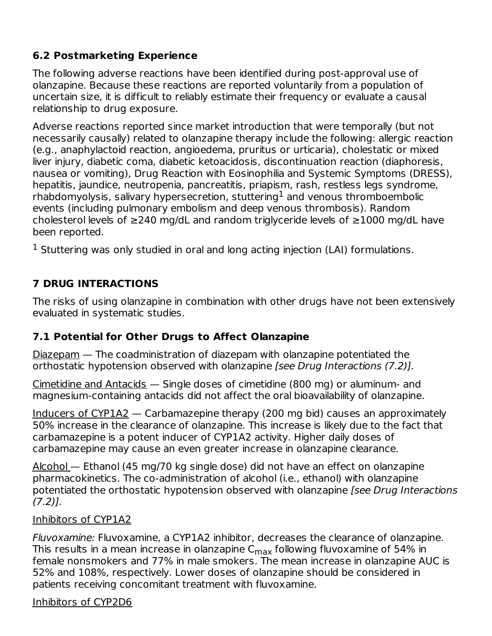# **6.2 Postmarketing Experience**

The following adverse reactions have been identified during post-approval use of olanzapine. Because these reactions are reported voluntarily from a population of uncertain size, it is difficult to reliably estimate their frequency or evaluate a causal relationship to drug exposure.

Adverse reactions reported since market introduction that were temporally (but not necessarily causally) related to olanzapine therapy include the following: allergic reaction (e.g., anaphylactoid reaction, angioedema, pruritus or urticaria), cholestatic or mixed liver injury, diabetic coma, diabetic ketoacidosis, discontinuation reaction (diaphoresis, nausea or vomiting), Drug Reaction with Eosinophilia and Systemic Symptoms (DRESS), hepatitis, jaundice, neutropenia, pancreatitis, priapism, rash, restless legs syndrome, rhabdomyolysis, salivary hypersecretion, stuttering $^{\text{1}}$  and venous thromboembolic events (including pulmonary embolism and deep venous thrombosis). Random cholesterol levels of ≥240 mg/dL and random triglyceride levels of ≥1000 mg/dL have been reported.

 $1$  Stuttering was only studied in oral and long acting injection (LAI) formulations.

# **7 DRUG INTERACTIONS**

The risks of using olanzapine in combination with other drugs have not been extensively evaluated in systematic studies.

# **7.1 Potential for Other Drugs to Affect Olanzapine**

Diazepam — The coadministration of diazepam with olanzapine potentiated the orthostatic hypotension observed with olanzapine [see Drug Interactions (7.2)].

Cimetidine and Antacids  $-$  Single doses of cimetidine (800 mg) or aluminum- and magnesium-containing antacids did not affect the oral bioavailability of olanzapine.

Inducers of CYP1A2 — Carbamazepine therapy (200 mg bid) causes an approximately 50% increase in the clearance of olanzapine. This increase is likely due to the fact that carbamazepine is a potent inducer of CYP1A2 activity. Higher daily doses of carbamazepine may cause an even greater increase in olanzapine clearance.

Alcohol — Ethanol (45 mg/70 kg single dose) did not have an effect on olanzapine pharmacokinetics. The co-administration of alcohol (i.e., ethanol) with olanzapine potentiated the orthostatic hypotension observed with olanzapine [see Drug Interactions (7.2)].

### Inhibitors of CYP1A2

Fluvoxamine: Fluvoxamine, a CYP1A2 inhibitor, decreases the clearance of olanzapine. This results in a mean increase in olanzapine  $\mathsf{C}_{\mathsf{max}}$  following fluvoxamine of 54% in female nonsmokers and 77% in male smokers. The mean increase in olanzapine AUC is 52% and 108%, respectively. Lower doses of olanzapine should be considered in patients receiving concomitant treatment with fluvoxamine.

### Inhibitors of CYP2D6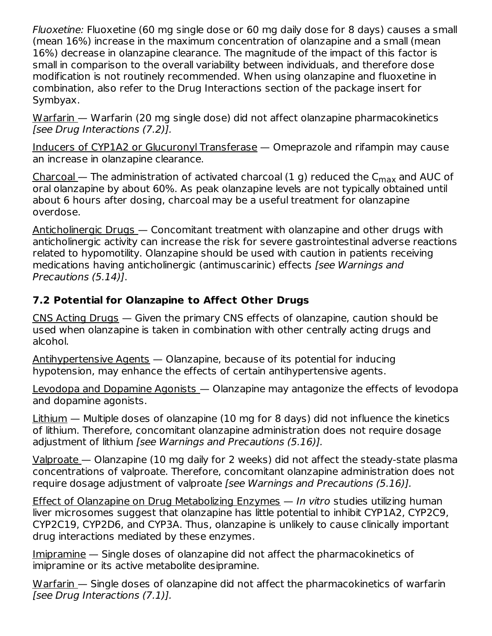Fluoxetine: Fluoxetine (60 mg single dose or 60 mg daily dose for 8 days) causes a small (mean 16%) increase in the maximum concentration of olanzapine and a small (mean 16%) decrease in olanzapine clearance. The magnitude of the impact of this factor is small in comparison to the overall variability between individuals, and therefore dose modification is not routinely recommended. When using olanzapine and fluoxetine in combination, also refer to the Drug Interactions section of the package insert for Symbyax.

Warfarin — Warfarin (20 mg single dose) did not affect olanzapine pharmacokinetics [see Drug Interactions (7.2)].

Inducers of CYP1A2 or Glucuronyl Transferase — Omeprazole and rifampin may cause an increase in olanzapine clearance.

<u>Charcoal</u> — The administration of activated charcoal (1 g) reduced the  $\mathsf{C}_{\mathsf{max}}$  and AUC of oral olanzapine by about 60%. As peak olanzapine levels are not typically obtained until about 6 hours after dosing, charcoal may be a useful treatment for olanzapine overdose.

Anticholinergic Drugs — Concomitant treatment with olanzapine and other drugs with anticholinergic activity can increase the risk for severe gastrointestinal adverse reactions related to hypomotility. Olanzapine should be used with caution in patients receiving medications having anticholinergic (antimuscarinic) effects [see Warnings and Precautions (5.14)].

### **7.2 Potential for Olanzapine to Affect Other Drugs**

CNS Acting Drugs — Given the primary CNS effects of olanzapine, caution should be used when olanzapine is taken in combination with other centrally acting drugs and alcohol.

Antihypertensive Agents — Olanzapine, because of its potential for inducing hypotension, may enhance the effects of certain antihypertensive agents.

Levodopa and Dopamine Agonists — Olanzapine may antagonize the effects of levodopa and dopamine agonists.

Lithium — Multiple doses of olanzapine (10 mg for 8 days) did not influence the kinetics of lithium. Therefore, concomitant olanzapine administration does not require dosage adjustment of lithium [see Warnings and Precautions (5.16)].

Valproate — Olanzapine (10 mg daily for 2 weeks) did not affect the steady-state plasma concentrations of valproate. Therefore, concomitant olanzapine administration does not require dosage adjustment of valproate [see Warnings and Precautions (5.16)].

Effect of Olanzapine on Drug Metabolizing Enzymes — In vitro studies utilizing human liver microsomes suggest that olanzapine has little potential to inhibit CYP1A2, CYP2C9, CYP2C19, CYP2D6, and CYP3A. Thus, olanzapine is unlikely to cause clinically important drug interactions mediated by these enzymes.

Imipramine — Single doses of olanzapine did not affect the pharmacokinetics of imipramine or its active metabolite desipramine.

Warfarin — Single doses of olanzapine did not affect the pharmacokinetics of warfarin [see Drug Interactions (7.1)].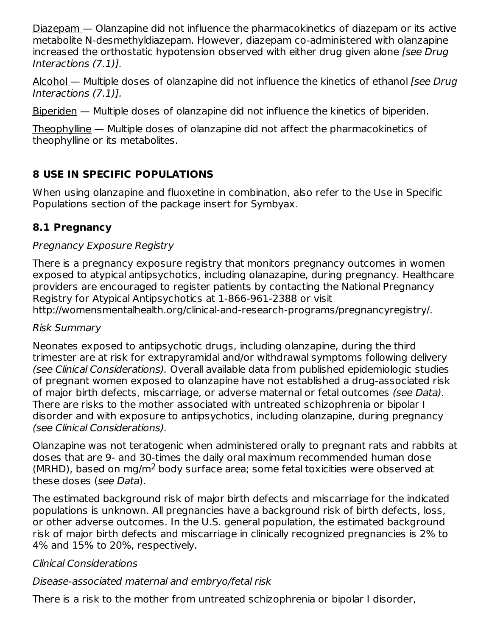Diazepam — Olanzapine did not influence the pharmacokinetics of diazepam or its active metabolite N-desmethyldiazepam. However, diazepam co-administered with olanzapine increased the orthostatic hypotension observed with either drug given alone [see Drug Interactions (7.1)].

Alcohol — Multiple doses of olanzapine did not influence the kinetics of ethanol (see Drug Interactions (7.1)].

Biperiden — Multiple doses of olanzapine did not influence the kinetics of biperiden.

Theophylline — Multiple doses of olanzapine did not affect the pharmacokinetics of theophylline or its metabolites.

# **8 USE IN SPECIFIC POPULATIONS**

When using olanzapine and fluoxetine in combination, also refer to the Use in Specific Populations section of the package insert for Symbyax.

# **8.1 Pregnancy**

### Pregnancy Exposure Registry

There is a pregnancy exposure registry that monitors pregnancy outcomes in women exposed to atypical antipsychotics, including olanazapine, during pregnancy. Healthcare providers are encouraged to register patients by contacting the National Pregnancy Registry for Atypical Antipsychotics at 1-866-961-2388 or visit http://womensmentalhealth.org/clinical-and-research-programs/pregnancyregistry/.

### Risk Summary

Neonates exposed to antipsychotic drugs, including olanzapine, during the third trimester are at risk for extrapyramidal and/or withdrawal symptoms following delivery (see Clinical Considerations). Overall available data from published epidemiologic studies of pregnant women exposed to olanzapine have not established a drug-associated risk of major birth defects, miscarriage, or adverse maternal or fetal outcomes (see Data). There are risks to the mother associated with untreated schizophrenia or bipolar I disorder and with exposure to antipsychotics, including olanzapine, during pregnancy (see Clinical Considerations).

Olanzapine was not teratogenic when administered orally to pregnant rats and rabbits at doses that are 9- and 30-times the daily oral maximum recommended human dose (MRHD), based on mg/m<sup>2</sup> body surface area; some fetal toxicities were observed at these doses (see Data).

The estimated background risk of major birth defects and miscarriage for the indicated populations is unknown. All pregnancies have a background risk of birth defects, loss, or other adverse outcomes. In the U.S. general population, the estimated background risk of major birth defects and miscarriage in clinically recognized pregnancies is 2% to 4% and 15% to 20%, respectively.

# Clinical Considerations

# Disease-associated maternal and embryo/fetal risk

There is a risk to the mother from untreated schizophrenia or bipolar I disorder,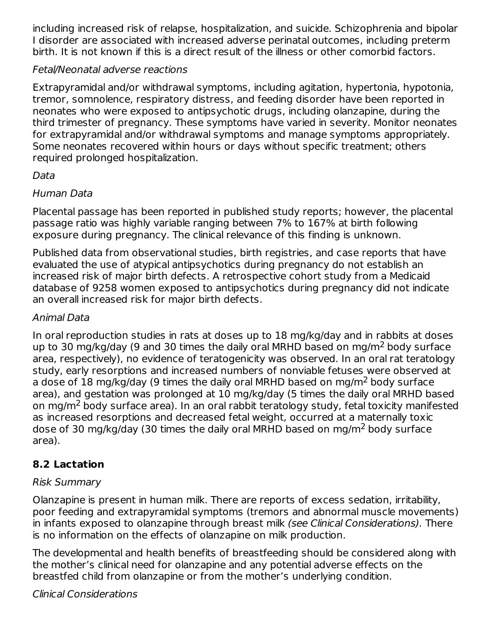including increased risk of relapse, hospitalization, and suicide. Schizophrenia and bipolar I disorder are associated with increased adverse perinatal outcomes, including preterm birth. It is not known if this is a direct result of the illness or other comorbid factors.

### Fetal/Neonatal adverse reactions

Extrapyramidal and/or withdrawal symptoms, including agitation, hypertonia, hypotonia, tremor, somnolence, respiratory distress, and feeding disorder have been reported in neonates who were exposed to antipsychotic drugs, including olanzapine, during the third trimester of pregnancy. These symptoms have varied in severity. Monitor neonates for extrapyramidal and/or withdrawal symptoms and manage symptoms appropriately. Some neonates recovered within hours or days without specific treatment; others required prolonged hospitalization.

### Data

### Human Data

Placental passage has been reported in published study reports; however, the placental passage ratio was highly variable ranging between 7% to 167% at birth following exposure during pregnancy. The clinical relevance of this finding is unknown.

Published data from observational studies, birth registries, and case reports that have evaluated the use of atypical antipsychotics during pregnancy do not establish an increased risk of major birth defects. A retrospective cohort study from a Medicaid database of 9258 women exposed to antipsychotics during pregnancy did not indicate an overall increased risk for major birth defects.

#### Animal Data

In oral reproduction studies in rats at doses up to 18 mg/kg/day and in rabbits at doses up to 30 mg/kg/day (9 and 30 times the daily oral MRHD based on mg/m<sup>2</sup> body surface area, respectively), no evidence of teratogenicity was observed. In an oral rat teratology study, early resorptions and increased numbers of nonviable fetuses were observed at a dose of 18 mg/kg/day (9 times the daily oral MRHD based on mg/m<sup>2</sup> body surface area), and gestation was prolonged at 10 mg/kg/day (5 times the daily oral MRHD based on mg/m $^2$  body surface area). In an oral rabbit teratology study, fetal toxicity manifested as increased resorptions and decreased fetal weight, occurred at a maternally toxic dose of 30 mg/kg/day (30 times the daily oral MRHD based on mg/m $^2$  body surface area).

### **8.2 Lactation**

### Risk Summary

Olanzapine is present in human milk. There are reports of excess sedation, irritability, poor feeding and extrapyramidal symptoms (tremors and abnormal muscle movements) in infants exposed to olanzapine through breast milk (see Clinical Considerations). There is no information on the effects of olanzapine on milk production.

The developmental and health benefits of breastfeeding should be considered along with the mother's clinical need for olanzapine and any potential adverse effects on the breastfed child from olanzapine or from the mother's underlying condition.

### Clinical Considerations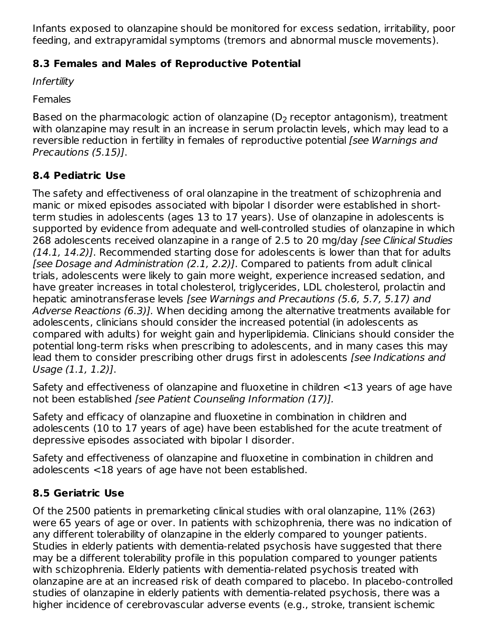Infants exposed to olanzapine should be monitored for excess sedation, irritability, poor feeding, and extrapyramidal symptoms (tremors and abnormal muscle movements).

# **8.3 Females and Males of Reproductive Potential**

Infertility

Females

Based on the pharmacologic action of olanzapine (D<sub>2</sub> receptor antagonism), treatment with olanzapine may result in an increase in serum prolactin levels, which may lead to a reversible reduction in fertility in females of reproductive potential [see Warnings and Precautions (5.15)].

# **8.4 Pediatric Use**

The safety and effectiveness of oral olanzapine in the treatment of schizophrenia and manic or mixed episodes associated with bipolar I disorder were established in shortterm studies in adolescents (ages 13 to 17 years). Use of olanzapine in adolescents is supported by evidence from adequate and well-controlled studies of olanzapine in which 268 adolescents received olanzapine in a range of 2.5 to 20 mg/day [see Clinical Studies (14.1, 14.2)]. Recommended starting dose for adolescents is lower than that for adults [see Dosage and Administration (2.1, 2.2)]. Compared to patients from adult clinical trials, adolescents were likely to gain more weight, experience increased sedation, and have greater increases in total cholesterol, triglycerides, LDL cholesterol, prolactin and hepatic aminotransferase levels [see Warnings and Precautions (5.6, 5.7, 5.17) and Adverse Reactions (6.3)]. When deciding among the alternative treatments available for adolescents, clinicians should consider the increased potential (in adolescents as compared with adults) for weight gain and hyperlipidemia. Clinicians should consider the potential long-term risks when prescribing to adolescents, and in many cases this may lead them to consider prescribing other drugs first in adolescents [see Indications and Usage (1.1, 1.2)].

Safety and effectiveness of olanzapine and fluoxetine in children <13 years of age have not been established [see Patient Counseling Information (17)].

Safety and efficacy of olanzapine and fluoxetine in combination in children and adolescents (10 to 17 years of age) have been established for the acute treatment of depressive episodes associated with bipolar I disorder.

Safety and effectiveness of olanzapine and fluoxetine in combination in children and adolescents <18 years of age have not been established.

# **8.5 Geriatric Use**

Of the 2500 patients in premarketing clinical studies with oral olanzapine, 11% (263) were 65 years of age or over. In patients with schizophrenia, there was no indication of any different tolerability of olanzapine in the elderly compared to younger patients. Studies in elderly patients with dementia-related psychosis have suggested that there may be a different tolerability profile in this population compared to younger patients with schizophrenia. Elderly patients with dementia-related psychosis treated with olanzapine are at an increased risk of death compared to placebo. In placebo-controlled studies of olanzapine in elderly patients with dementia-related psychosis, there was a higher incidence of cerebrovascular adverse events (e.g., stroke, transient ischemic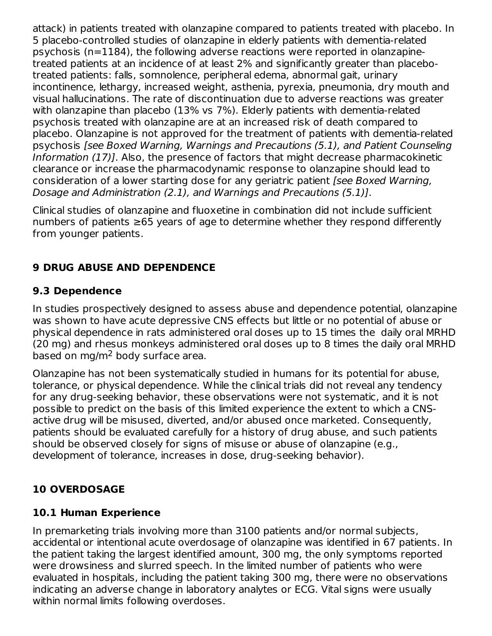attack) in patients treated with olanzapine compared to patients treated with placebo. In 5 placebo-controlled studies of olanzapine in elderly patients with dementia-related psychosis (n=1184), the following adverse reactions were reported in olanzapinetreated patients at an incidence of at least 2% and significantly greater than placebotreated patients: falls, somnolence, peripheral edema, abnormal gait, urinary incontinence, lethargy, increased weight, asthenia, pyrexia, pneumonia, dry mouth and visual hallucinations. The rate of discontinuation due to adverse reactions was greater with olanzapine than placebo (13% vs 7%). Elderly patients with dementia-related psychosis treated with olanzapine are at an increased risk of death compared to placebo. Olanzapine is not approved for the treatment of patients with dementia-related psychosis [see Boxed Warning, Warnings and Precautions (5.1), and Patient Counseling Information (17)]. Also, the presence of factors that might decrease pharmacokinetic clearance or increase the pharmacodynamic response to olanzapine should lead to consideration of a lower starting dose for any geriatric patient [see Boxed Warning, Dosage and Administration (2.1), and Warnings and Precautions (5.1)].

Clinical studies of olanzapine and fluoxetine in combination did not include sufficient numbers of patients ≥65 years of age to determine whether they respond differently from younger patients.

### **9 DRUG ABUSE AND DEPENDENCE**

### **9.3 Dependence**

In studies prospectively designed to assess abuse and dependence potential, olanzapine was shown to have acute depressive CNS effects but little or no potential of abuse or physical dependence in rats administered oral doses up to 15 times the daily oral MRHD (20 mg) and rhesus monkeys administered oral doses up to 8 times the daily oral MRHD based on mg/m<sup>2</sup> body surface area.

Olanzapine has not been systematically studied in humans for its potential for abuse, tolerance, or physical dependence. While the clinical trials did not reveal any tendency for any drug-seeking behavior, these observations were not systematic, and it is not possible to predict on the basis of this limited experience the extent to which a CNSactive drug will be misused, diverted, and/or abused once marketed. Consequently, patients should be evaluated carefully for a history of drug abuse, and such patients should be observed closely for signs of misuse or abuse of olanzapine (e.g., development of tolerance, increases in dose, drug-seeking behavior).

### **10 OVERDOSAGE**

### **10.1 Human Experience**

In premarketing trials involving more than 3100 patients and/or normal subjects, accidental or intentional acute overdosage of olanzapine was identified in 67 patients. In the patient taking the largest identified amount, 300 mg, the only symptoms reported were drowsiness and slurred speech. In the limited number of patients who were evaluated in hospitals, including the patient taking 300 mg, there were no observations indicating an adverse change in laboratory analytes or ECG. Vital signs were usually within normal limits following overdoses.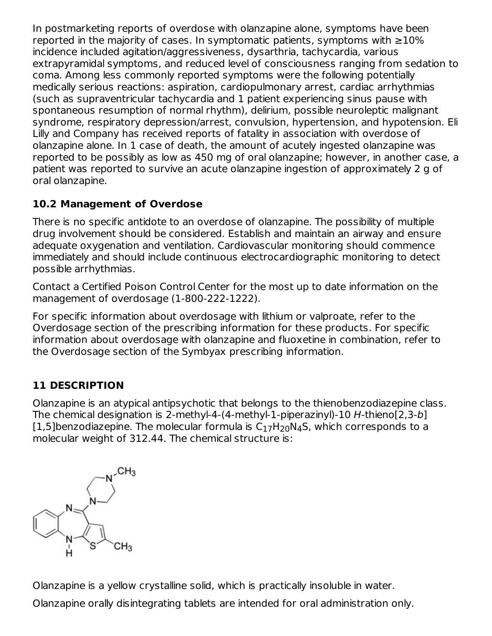In postmarketing reports of overdose with olanzapine alone, symptoms have been reported in the majority of cases. In symptomatic patients, symptoms with  $\geq 10\%$ incidence included agitation/aggressiveness, dysarthria, tachycardia, various extrapyramidal symptoms, and reduced level of consciousness ranging from sedation to coma. Among less commonly reported symptoms were the following potentially medically serious reactions: aspiration, cardiopulmonary arrest, cardiac arrhythmias (such as supraventricular tachycardia and 1 patient experiencing sinus pause with spontaneous resumption of normal rhythm), delirium, possible neuroleptic malignant syndrome, respiratory depression/arrest, convulsion, hypertension, and hypotension. Eli Lilly and Company has received reports of fatality in association with overdose of olanzapine alone. In 1 case of death, the amount of acutely ingested olanzapine was reported to be possibly as low as 450 mg of oral olanzapine; however, in another case, a patient was reported to survive an acute olanzapine ingestion of approximately 2 g of oral olanzapine.

# **10.2 Management of Overdose**

There is no specific antidote to an overdose of olanzapine. The possibility of multiple drug involvement should be considered. Establish and maintain an airway and ensure adequate oxygenation and ventilation. Cardiovascular monitoring should commence immediately and should include continuous electrocardiographic monitoring to detect possible arrhythmias.

Contact a Certified Poison Control Center for the most up to date information on the management of overdosage (1-800-222-1222).

For specific information about overdosage with lithium or valproate, refer to the Overdosage section of the prescribing information for these products. For specific information about overdosage with olanzapine and fluoxetine in combination, refer to the Overdosage section of the Symbyax prescribing information.

# **11 DESCRIPTION**

Olanzapine is an atypical antipsychotic that belongs to the thienobenzodiazepine class. The chemical designation is 2-methyl-4-(4-methyl-1-piperazinyl)-10 H-thieno[2,3-b] [1,5]benzodiazepine. The molecular formula is  $\mathsf{C}_{17}\mathsf{H}_{20}\mathsf{N}_{4}\mathsf{S}$ , which corresponds to a molecular weight of 312.44. The chemical structure is:



Olanzapine is a yellow crystalline solid, which is practically insoluble in water.

Olanzapine orally disintegrating tablets are intended for oral administration only.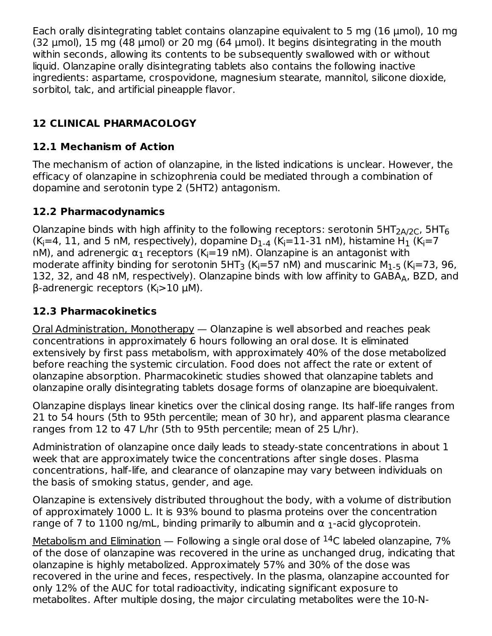Each orally disintegrating tablet contains olanzapine equivalent to 5 mg (16 μmol), 10 mg (32  $\mu$ mol), 15 mg (48  $\mu$ mol) or 20 mg (64  $\mu$ mol). It begins disintegrating in the mouth within seconds, allowing its contents to be subsequently swallowed with or without liquid. Olanzapine orally disintegrating tablets also contains the following inactive ingredients: aspartame, crospovidone, magnesium stearate, mannitol, silicone dioxide, sorbitol, talc, and artificial pineapple flavor.

# **12 CLINICAL PHARMACOLOGY**

# **12.1 Mechanism of Action**

The mechanism of action of olanzapine, in the listed indications is unclear. However, the efficacy of olanzapine in schizophrenia could be mediated through a combination of dopamine and serotonin type 2 (5HT2) antagonism.

### **12.2 Pharmacodynamics**

Olanzapine binds with high affinity to the following receptors: serotonin 5HT $_{\rm 2A/2C}$ , 5HT $_6$ (K<sub>i</sub>=4, 11, and 5 nM, respectively), dopamine D<sub>1-4</sub> (K<sub>i</sub>=11-31 nM), histamine H<sub>1</sub> (K<sub>i</sub>=7 nM), and adrenergic  $\alpha_1$  receptors (K<sub>i</sub>=19 nM). Olanzapine is an antagonist with moderate affinity binding for serotonin 5HT<sub>3</sub> (K<sub>i</sub>=57 nM) and muscarinic M<sub>1-5</sub> (K<sub>i</sub>=73, 96, 132, 32, and 48 nM, respectively). Olanzapine binds with low affinity to GABA<sub>A</sub>, BZD, and β-adrenergic receptors (K<sub>i</sub>>10 μM).

### **12.3 Pharmacokinetics**

Oral Administration, Monotherapy — Olanzapine is well absorbed and reaches peak concentrations in approximately 6 hours following an oral dose. It is eliminated extensively by first pass metabolism, with approximately 40% of the dose metabolized before reaching the systemic circulation. Food does not affect the rate or extent of olanzapine absorption. Pharmacokinetic studies showed that olanzapine tablets and olanzapine orally disintegrating tablets dosage forms of olanzapine are bioequivalent.

Olanzapine displays linear kinetics over the clinical dosing range. Its half-life ranges from 21 to 54 hours (5th to 95th percentile; mean of 30 hr), and apparent plasma clearance ranges from 12 to 47 L/hr (5th to 95th percentile; mean of 25 L/hr).

Administration of olanzapine once daily leads to steady-state concentrations in about 1 week that are approximately twice the concentrations after single doses. Plasma concentrations, half-life, and clearance of olanzapine may vary between individuals on the basis of smoking status, gender, and age.

Olanzapine is extensively distributed throughout the body, with a volume of distribution of approximately 1000 L. It is 93% bound to plasma proteins over the concentration range of 7 to 1100 ng/mL, binding primarily to albumin and  $\alpha$  <sub>1</sub>-acid glycoprotein.

<u>Metabolism and Elimination</u> — Following a single oral dose of  $^{14}$ C labeled olanzapine, 7% of the dose of olanzapine was recovered in the urine as unchanged drug, indicating that olanzapine is highly metabolized. Approximately 57% and 30% of the dose was recovered in the urine and feces, respectively. In the plasma, olanzapine accounted for only 12% of the AUC for total radioactivity, indicating significant exposure to metabolites. After multiple dosing, the major circulating metabolites were the 10-N-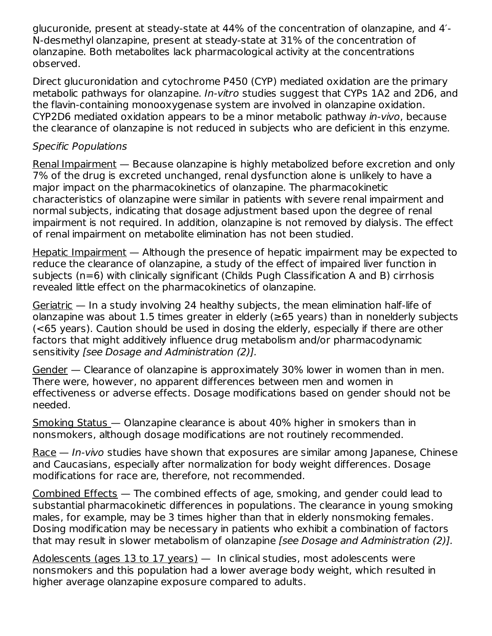glucuronide, present at steady-state at 44% of the concentration of olanzapine, and 4′- N-desmethyl olanzapine, present at steady-state at 31% of the concentration of olanzapine. Both metabolites lack pharmacological activity at the concentrations observed.

Direct glucuronidation and cytochrome P450 (CYP) mediated oxidation are the primary metabolic pathways for olanzapine. In-vitro studies suggest that CYPs 1A2 and 2D6, and the flavin-containing monooxygenase system are involved in olanzapine oxidation. CYP2D6 mediated oxidation appears to be a minor metabolic pathway in-vivo, because the clearance of olanzapine is not reduced in subjects who are deficient in this enzyme.

### Specific Populations

Renal Impairment — Because olanzapine is highly metabolized before excretion and only 7% of the drug is excreted unchanged, renal dysfunction alone is unlikely to have a major impact on the pharmacokinetics of olanzapine. The pharmacokinetic characteristics of olanzapine were similar in patients with severe renal impairment and normal subjects, indicating that dosage adjustment based upon the degree of renal impairment is not required. In addition, olanzapine is not removed by dialysis. The effect of renal impairment on metabolite elimination has not been studied.

Hepatic Impairment — Although the presence of hepatic impairment may be expected to reduce the clearance of olanzapine, a study of the effect of impaired liver function in subjects (n=6) with clinically significant (Childs Pugh Classification A and B) cirrhosis revealed little effect on the pharmacokinetics of olanzapine.

Geriatric — In a study involving 24 healthy subjects, the mean elimination half-life of olanzapine was about 1.5 times greater in elderly ( $\geq$ 65 years) than in nonelderly subjects (<65 years). Caution should be used in dosing the elderly, especially if there are other factors that might additively influence drug metabolism and/or pharmacodynamic sensitivity [see Dosage and Administration (2)].

Gender — Clearance of olanzapine is approximately 30% lower in women than in men. There were, however, no apparent differences between men and women in effectiveness or adverse effects. Dosage modifications based on gender should not be needed.

Smoking Status — Olanzapine clearance is about 40% higher in smokers than in nonsmokers, although dosage modifications are not routinely recommended.

Race — *In-vivo* studies have shown that exposures are similar among Japanese, Chinese and Caucasians, especially after normalization for body weight differences. Dosage modifications for race are, therefore, not recommended.

Combined Effects — The combined effects of age, smoking, and gender could lead to substantial pharmacokinetic differences in populations. The clearance in young smoking males, for example, may be 3 times higher than that in elderly nonsmoking females. Dosing modification may be necessary in patients who exhibit a combination of factors that may result in slower metabolism of olanzapine [see Dosage and Administration (2)].

Adolescents (ages 13 to 17 years) — In clinical studies, most adolescents were nonsmokers and this population had a lower average body weight, which resulted in higher average olanzapine exposure compared to adults.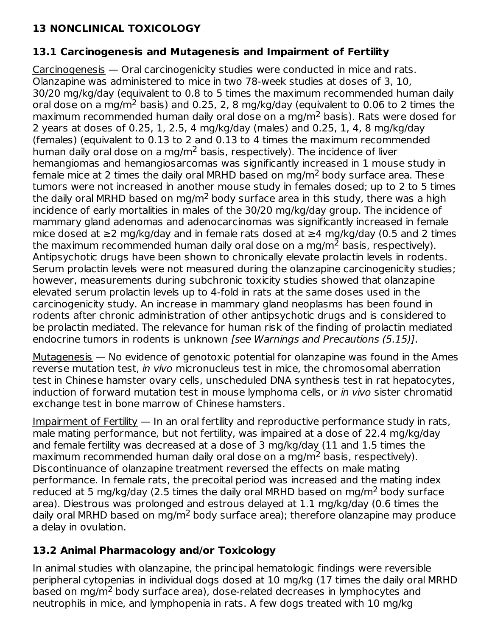# **13 NONCLINICAL TOXICOLOGY**

# **13.1 Carcinogenesis and Mutagenesis and Impairment of Fertility**

Carcinogenesis — Oral carcinogenicity studies were conducted in mice and rats. Olanzapine was administered to mice in two 78-week studies at doses of 3, 10, 30/20 mg/kg/day (equivalent to 0.8 to 5 times the maximum recommended human daily oral dose on a mg/m<sup>2</sup> basis) and 0.25, 2, 8 mg/kg/day (equivalent to 0.06 to 2 times the maximum recommended human daily oral dose on a mg/m $^2$  basis). Rats were dosed for 2 years at doses of 0.25, 1, 2.5, 4 mg/kg/day (males) and 0.25, 1, 4, 8 mg/kg/day (females) (equivalent to 0.13 to 2 and 0.13 to 4 times the maximum recommended human daily oral dose on a mg/m $^2$  basis, respectively). The incidence of liver hemangiomas and hemangiosarcomas was significantly increased in 1 mouse study in female mice at 2 times the daily oral MRHD based on mg/m<sup>2</sup> body surface area. These tumors were not increased in another mouse study in females dosed; up to 2 to 5 times the daily oral MRHD based on mg/m $^2$  body surface area in this study, there was a high incidence of early mortalities in males of the 30/20 mg/kg/day group. The incidence of mammary gland adenomas and adenocarcinomas was significantly increased in female mice dosed at ≥2 mg/kg/day and in female rats dosed at ≥4 mg/kg/day (0.5 and 2 times the maximum recommended human daily oral dose on a mg/m $^2$  basis, respectively). Antipsychotic drugs have been shown to chronically elevate prolactin levels in rodents. Serum prolactin levels were not measured during the olanzapine carcinogenicity studies; however, measurements during subchronic toxicity studies showed that olanzapine elevated serum prolactin levels up to 4-fold in rats at the same doses used in the carcinogenicity study. An increase in mammary gland neoplasms has been found in rodents after chronic administration of other antipsychotic drugs and is considered to be prolactin mediated. The relevance for human risk of the finding of prolactin mediated endocrine tumors in rodents is unknown [see Warnings and Precautions (5.15)].

 $Mutagenesis$  — No evidence of genotoxic potential for olanzapine was found in the Ames reverse mutation test, in vivo micronucleus test in mice, the chromosomal aberration test in Chinese hamster ovary cells, unscheduled DNA synthesis test in rat hepatocytes, induction of forward mutation test in mouse lymphoma cells, or in vivo sister chromatid exchange test in bone marrow of Chinese hamsters.

Impairment of Fertility — In an oral fertility and reproductive performance study in rats, male mating performance, but not fertility, was impaired at a dose of 22.4 mg/kg/day and female fertility was decreased at a dose of 3 mg/kg/day (11 and 1.5 times the maximum recommended human daily oral dose on a mg/m<sup>2</sup> basis, respectively). Discontinuance of olanzapine treatment reversed the effects on male mating performance. In female rats, the precoital period was increased and the mating index reduced at 5 mg/kg/day (2.5 times the daily oral MRHD based on mg/m<sup>2</sup> body surface area). Diestrous was prolonged and estrous delayed at 1.1 mg/kg/day (0.6 times the daily oral MRHD based on mg/m<sup>2</sup> body surface area); therefore olanzapine may produce a delay in ovulation.

# **13.2 Animal Pharmacology and/or Toxicology**

In animal studies with olanzapine, the principal hematologic findings were reversible peripheral cytopenias in individual dogs dosed at 10 mg/kg (17 times the daily oral MRHD based on mg/m<sup>2</sup> body surface area), dose-related decreases in lymphocytes and neutrophils in mice, and lymphopenia in rats. A few dogs treated with 10 mg/kg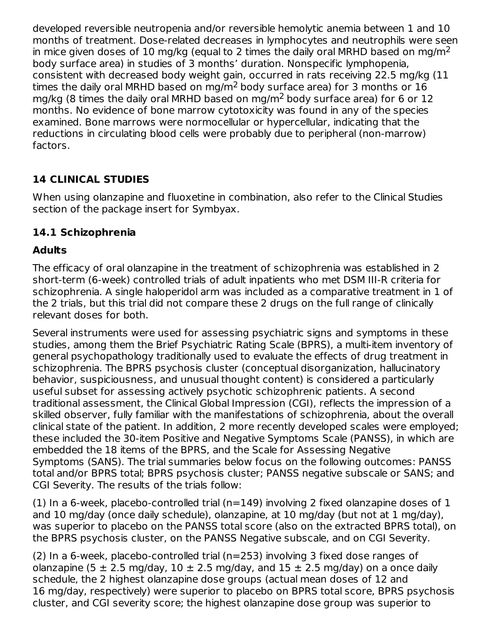developed reversible neutropenia and/or reversible hemolytic anemia between 1 and 10 months of treatment. Dose-related decreases in lymphocytes and neutrophils were seen in mice given doses of 10 mg/kg (equal to 2 times the daily oral MRHD based on mg/m $^2$ body surface area) in studies of 3 months' duration. Nonspecific lymphopenia, consistent with decreased body weight gain, occurred in rats receiving 22.5 mg/kg (11 times the daily oral MRHD based on mg/m $^2$  body surface area) for 3 months or  $16\,$ mg/kg (8 times the daily oral MRHD based on mg/m<sup>2</sup> body surface area) for 6 or 12 months. No evidence of bone marrow cytotoxicity was found in any of the species examined. Bone marrows were normocellular or hypercellular, indicating that the reductions in circulating blood cells were probably due to peripheral (non-marrow) factors.

# **14 CLINICAL STUDIES**

When using olanzapine and fluoxetine in combination, also refer to the Clinical Studies section of the package insert for Symbyax.

# **14.1 Schizophrenia**

# **Adults**

The efficacy of oral olanzapine in the treatment of schizophrenia was established in 2 short-term (6-week) controlled trials of adult inpatients who met DSM III-R criteria for schizophrenia. A single haloperidol arm was included as a comparative treatment in 1 of the 2 trials, but this trial did not compare these 2 drugs on the full range of clinically relevant doses for both.

Several instruments were used for assessing psychiatric signs and symptoms in these studies, among them the Brief Psychiatric Rating Scale (BPRS), a multi-item inventory of general psychopathology traditionally used to evaluate the effects of drug treatment in schizophrenia. The BPRS psychosis cluster (conceptual disorganization, hallucinatory behavior, suspiciousness, and unusual thought content) is considered a particularly useful subset for assessing actively psychotic schizophrenic patients. A second traditional assessment, the Clinical Global Impression (CGI), reflects the impression of a skilled observer, fully familiar with the manifestations of schizophrenia, about the overall clinical state of the patient. In addition, 2 more recently developed scales were employed; these included the 30-item Positive and Negative Symptoms Scale (PANSS), in which are embedded the 18 items of the BPRS, and the Scale for Assessing Negative Symptoms (SANS). The trial summaries below focus on the following outcomes: PANSS total and/or BPRS total; BPRS psychosis cluster; PANSS negative subscale or SANS; and CGI Severity. The results of the trials follow:

(1) In a 6-week, placebo-controlled trial ( $n=149$ ) involving 2 fixed olanzapine doses of 1 and 10 mg/day (once daily schedule), olanzapine, at 10 mg/day (but not at 1 mg/day), was superior to placebo on the PANSS total score (also on the extracted BPRS total), on the BPRS psychosis cluster, on the PANSS Negative subscale, and on CGI Severity.

(2) In a 6-week, placebo-controlled trial (n=253) involving 3 fixed dose ranges of olanzapine (5  $\pm$  2.5 mg/day, 10  $\pm$  2.5 mg/day, and 15  $\pm$  2.5 mg/day) on a once daily schedule, the 2 highest olanzapine dose groups (actual mean doses of 12 and 16 mg/day, respectively) were superior to placebo on BPRS total score, BPRS psychosis cluster, and CGI severity score; the highest olanzapine dose group was superior to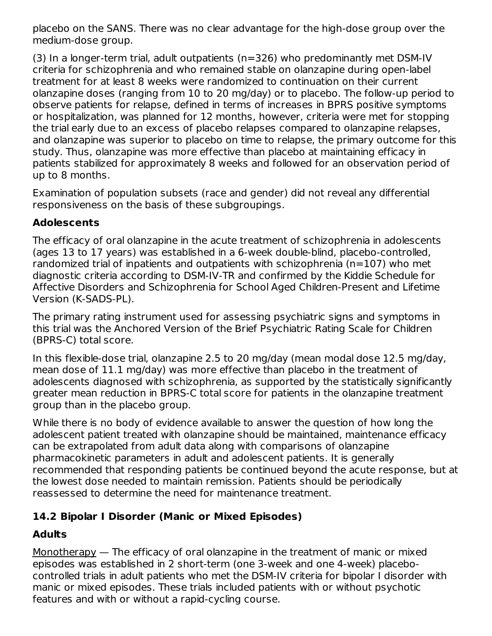placebo on the SANS. There was no clear advantage for the high-dose group over the medium-dose group.

(3) In a longer-term trial, adult outpatients (n=326) who predominantly met DSM-IV criteria for schizophrenia and who remained stable on olanzapine during open-label treatment for at least 8 weeks were randomized to continuation on their current olanzapine doses (ranging from 10 to 20 mg/day) or to placebo. The follow-up period to observe patients for relapse, defined in terms of increases in BPRS positive symptoms or hospitalization, was planned for 12 months, however, criteria were met for stopping the trial early due to an excess of placebo relapses compared to olanzapine relapses, and olanzapine was superior to placebo on time to relapse, the primary outcome for this study. Thus, olanzapine was more effective than placebo at maintaining efficacy in patients stabilized for approximately 8 weeks and followed for an observation period of up to 8 months.

Examination of population subsets (race and gender) did not reveal any differential responsiveness on the basis of these subgroupings.

### **Adolescents**

The efficacy of oral olanzapine in the acute treatment of schizophrenia in adolescents (ages 13 to 17 years) was established in a 6-week double-blind, placebo-controlled, randomized trial of inpatients and outpatients with schizophrenia (n=107) who met diagnostic criteria according to DSM-IV-TR and confirmed by the Kiddie Schedule for Affective Disorders and Schizophrenia for School Aged Children-Present and Lifetime Version (K-SADS-PL).

The primary rating instrument used for assessing psychiatric signs and symptoms in this trial was the Anchored Version of the Brief Psychiatric Rating Scale for Children (BPRS-C) total score.

In this flexible-dose trial, olanzapine 2.5 to 20 mg/day (mean modal dose 12.5 mg/day, mean dose of 11.1 mg/day) was more effective than placebo in the treatment of adolescents diagnosed with schizophrenia, as supported by the statistically significantly greater mean reduction in BPRS-C total score for patients in the olanzapine treatment group than in the placebo group.

While there is no body of evidence available to answer the question of how long the adolescent patient treated with olanzapine should be maintained, maintenance efficacy can be extrapolated from adult data along with comparisons of olanzapine pharmacokinetic parameters in adult and adolescent patients. It is generally recommended that responding patients be continued beyond the acute response, but at the lowest dose needed to maintain remission. Patients should be periodically reassessed to determine the need for maintenance treatment.

# **14.2 Bipolar I Disorder (Manic or Mixed Episodes)**

# **Adults**

Monotherapy — The efficacy of oral olanzapine in the treatment of manic or mixed episodes was established in 2 short-term (one 3-week and one 4-week) placebocontrolled trials in adult patients who met the DSM-IV criteria for bipolar I disorder with manic or mixed episodes. These trials included patients with or without psychotic features and with or without a rapid-cycling course.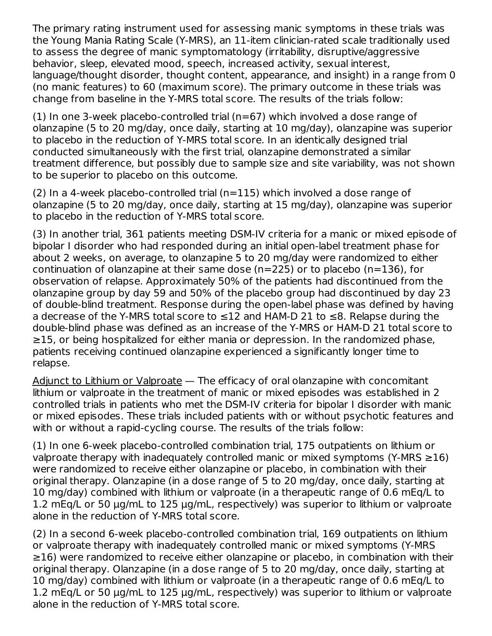The primary rating instrument used for assessing manic symptoms in these trials was the Young Mania Rating Scale (Y-MRS), an 11-item clinician-rated scale traditionally used to assess the degree of manic symptomatology (irritability, disruptive/aggressive behavior, sleep, elevated mood, speech, increased activity, sexual interest, language/thought disorder, thought content, appearance, and insight) in a range from 0 (no manic features) to 60 (maximum score). The primary outcome in these trials was change from baseline in the Y-MRS total score. The results of the trials follow:

(1) In one 3-week placebo-controlled trial (n=67) which involved a dose range of olanzapine (5 to 20 mg/day, once daily, starting at 10 mg/day), olanzapine was superior to placebo in the reduction of Y-MRS total score. In an identically designed trial conducted simultaneously with the first trial, olanzapine demonstrated a similar treatment difference, but possibly due to sample size and site variability, was not shown to be superior to placebo on this outcome.

(2) In a 4-week placebo-controlled trial ( $n=115$ ) which involved a dose range of olanzapine (5 to 20 mg/day, once daily, starting at 15 mg/day), olanzapine was superior to placebo in the reduction of Y-MRS total score.

(3) In another trial, 361 patients meeting DSM-IV criteria for a manic or mixed episode of bipolar I disorder who had responded during an initial open-label treatment phase for about 2 weeks, on average, to olanzapine 5 to 20 mg/day were randomized to either continuation of olanzapine at their same dose ( $n=225$ ) or to placebo ( $n=136$ ), for observation of relapse. Approximately 50% of the patients had discontinued from the olanzapine group by day 59 and 50% of the placebo group had discontinued by day 23 of double-blind treatment. Response during the open-label phase was defined by having a decrease of the Y-MRS total score to ≤12 and HAM-D 21 to ≤8. Relapse during the double-blind phase was defined as an increase of the Y-MRS or HAM-D 21 total score to ≥15, or being hospitalized for either mania or depression. In the randomized phase, patients receiving continued olanzapine experienced a significantly longer time to relapse.

Adjunct to Lithium or Valproate — The efficacy of oral olanzapine with concomitant lithium or valproate in the treatment of manic or mixed episodes was established in 2 controlled trials in patients who met the DSM-IV criteria for bipolar I disorder with manic or mixed episodes. These trials included patients with or without psychotic features and with or without a rapid-cycling course. The results of the trials follow:

(1) In one 6-week placebo-controlled combination trial, 175 outpatients on lithium or valproate therapy with inadequately controlled manic or mixed symptoms (Y-MRS  $\geq$ 16) were randomized to receive either olanzapine or placebo, in combination with their original therapy. Olanzapine (in a dose range of 5 to 20 mg/day, once daily, starting at 10 mg/day) combined with lithium or valproate (in a therapeutic range of 0.6 mEq/L to 1.2 mEq/L or 50 μg/mL to 125 μg/mL, respectively) was superior to lithium or valproate alone in the reduction of Y-MRS total score.

(2) In a second 6-week placebo-controlled combination trial, 169 outpatients on lithium or valproate therapy with inadequately controlled manic or mixed symptoms (Y-MRS ≥16) were randomized to receive either olanzapine or placebo, in combination with their original therapy. Olanzapine (in a dose range of 5 to 20 mg/day, once daily, starting at 10 mg/day) combined with lithium or valproate (in a therapeutic range of 0.6 mEq/L to 1.2 mEq/L or 50 μg/mL to 125 μg/mL, respectively) was superior to lithium or valproate alone in the reduction of Y-MRS total score.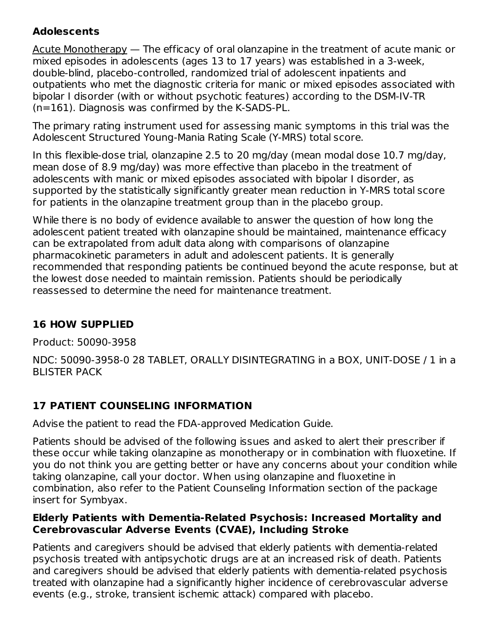### **Adolescents**

Acute Monotherapy — The efficacy of oral olanzapine in the treatment of acute manic or mixed episodes in adolescents (ages 13 to 17 years) was established in a 3-week, double-blind, placebo-controlled, randomized trial of adolescent inpatients and outpatients who met the diagnostic criteria for manic or mixed episodes associated with bipolar I disorder (with or without psychotic features) according to the DSM-IV-TR (n=161). Diagnosis was confirmed by the K-SADS-PL.

The primary rating instrument used for assessing manic symptoms in this trial was the Adolescent Structured Young-Mania Rating Scale (Y-MRS) total score.

In this flexible-dose trial, olanzapine 2.5 to 20 mg/day (mean modal dose 10.7 mg/day, mean dose of 8.9 mg/day) was more effective than placebo in the treatment of adolescents with manic or mixed episodes associated with bipolar I disorder, as supported by the statistically significantly greater mean reduction in Y-MRS total score for patients in the olanzapine treatment group than in the placebo group.

While there is no body of evidence available to answer the question of how long the adolescent patient treated with olanzapine should be maintained, maintenance efficacy can be extrapolated from adult data along with comparisons of olanzapine pharmacokinetic parameters in adult and adolescent patients. It is generally recommended that responding patients be continued beyond the acute response, but at the lowest dose needed to maintain remission. Patients should be periodically reassessed to determine the need for maintenance treatment.

# **16 HOW SUPPLIED**

Product: 50090-3958

NDC: 50090-3958-0 28 TABLET, ORALLY DISINTEGRATING in a BOX, UNIT-DOSE / 1 in a BLISTER PACK

# **17 PATIENT COUNSELING INFORMATION**

Advise the patient to read the FDA-approved Medication Guide.

Patients should be advised of the following issues and asked to alert their prescriber if these occur while taking olanzapine as monotherapy or in combination with fluoxetine. If you do not think you are getting better or have any concerns about your condition while taking olanzapine, call your doctor. When using olanzapine and fluoxetine in combination, also refer to the Patient Counseling Information section of the package insert for Symbyax.

### **Elderly Patients with Dementia-Related Psychosis: Increased Mortality and Cerebrovascular Adverse Events (CVAE), Including Stroke**

Patients and caregivers should be advised that elderly patients with dementia-related psychosis treated with antipsychotic drugs are at an increased risk of death. Patients and caregivers should be advised that elderly patients with dementia-related psychosis treated with olanzapine had a significantly higher incidence of cerebrovascular adverse events (e.g., stroke, transient ischemic attack) compared with placebo.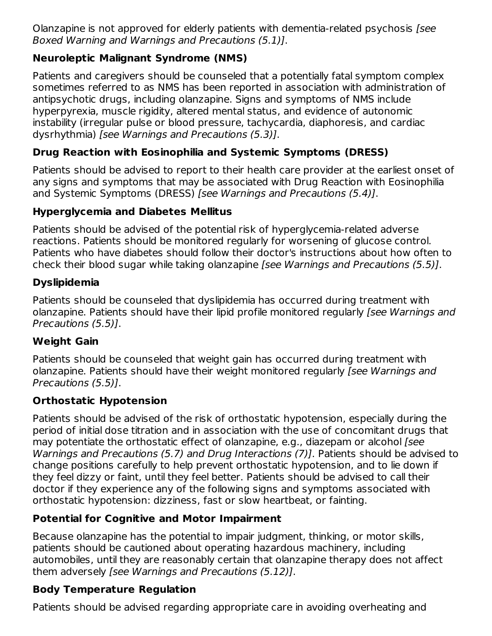Olanzapine is not approved for elderly patients with dementia-related psychosis [see Boxed Warning and Warnings and Precautions (5.1)].

# **Neuroleptic Malignant Syndrome (NMS)**

Patients and caregivers should be counseled that a potentially fatal symptom complex sometimes referred to as NMS has been reported in association with administration of antipsychotic drugs, including olanzapine. Signs and symptoms of NMS include hyperpyrexia, muscle rigidity, altered mental status, and evidence of autonomic instability (irregular pulse or blood pressure, tachycardia, diaphoresis, and cardiac dysrhythmia) [see Warnings and Precautions (5.3)].

# **Drug Reaction with Eosinophilia and Systemic Symptoms (DRESS)**

Patients should be advised to report to their health care provider at the earliest onset of any signs and symptoms that may be associated with Drug Reaction with Eosinophilia and Systemic Symptoms (DRESS) [see Warnings and Precautions (5.4)].

# **Hyperglycemia and Diabetes Mellitus**

Patients should be advised of the potential risk of hyperglycemia-related adverse reactions. Patients should be monitored regularly for worsening of glucose control. Patients who have diabetes should follow their doctor's instructions about how often to check their blood sugar while taking olanzapine [see Warnings and Precautions (5.5)].

### **Dyslipidemia**

Patients should be counseled that dyslipidemia has occurred during treatment with olanzapine. Patients should have their lipid profile monitored regularly [see Warnings and Precautions (5.5)].

# **Weight Gain**

Patients should be counseled that weight gain has occurred during treatment with olanzapine. Patients should have their weight monitored regularly [see Warnings and Precautions (5.5)].

### **Orthostatic Hypotension**

Patients should be advised of the risk of orthostatic hypotension, especially during the period of initial dose titration and in association with the use of concomitant drugs that may potentiate the orthostatic effect of olanzapine, e.g., diazepam or alcohol [see Warnings and Precautions (5.7) and Drug Interactions (7)]. Patients should be advised to change positions carefully to help prevent orthostatic hypotension, and to lie down if they feel dizzy or faint, until they feel better. Patients should be advised to call their doctor if they experience any of the following signs and symptoms associated with orthostatic hypotension: dizziness, fast or slow heartbeat, or fainting.

# **Potential for Cognitive and Motor Impairment**

Because olanzapine has the potential to impair judgment, thinking, or motor skills, patients should be cautioned about operating hazardous machinery, including automobiles, until they are reasonably certain that olanzapine therapy does not affect them adversely [see Warnings and Precautions (5.12)].

# **Body Temperature Regulation**

Patients should be advised regarding appropriate care in avoiding overheating and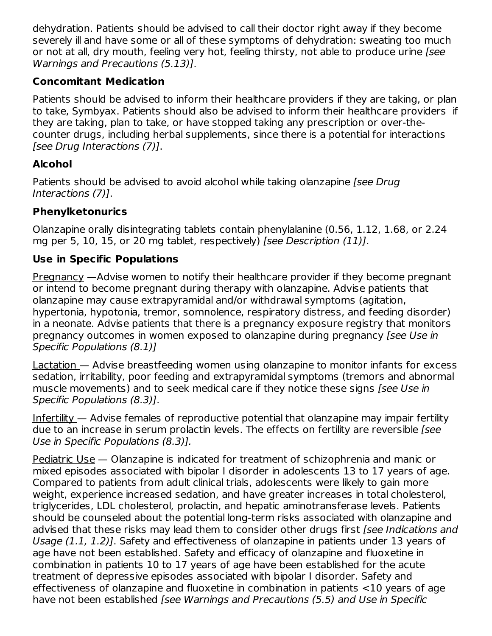dehydration. Patients should be advised to call their doctor right away if they become severely ill and have some or all of these symptoms of dehydration: sweating too much or not at all, dry mouth, feeling very hot, feeling thirsty, not able to produce urine (see Warnings and Precautions (5.13)].

### **Concomitant Medication**

Patients should be advised to inform their healthcare providers if they are taking, or plan to take, Symbyax. Patients should also be advised to inform their healthcare providers if they are taking, plan to take, or have stopped taking any prescription or over-thecounter drugs, including herbal supplements, since there is a potential for interactions [see Drug Interactions (7)].

# **Alcohol**

Patients should be advised to avoid alcohol while taking olanzapine *[see Drug*] Interactions (7)].

# **Phenylketonurics**

Olanzapine orally disintegrating tablets contain phenylalanine (0.56, 1.12, 1.68, or 2.24 mg per 5, 10, 15, or 20 mg tablet, respectively) [see Description (11)].

# **Use in Specific Populations**

Pregnancy —Advise women to notify their healthcare provider if they become pregnant or intend to become pregnant during therapy with olanzapine. Advise patients that olanzapine may cause extrapyramidal and/or withdrawal symptoms (agitation, hypertonia, hypotonia, tremor, somnolence, respiratory distress, and feeding disorder) in a neonate. Advise patients that there is a pregnancy exposure registry that monitors pregnancy outcomes in women exposed to olanzapine during pregnancy [see Use in Specific Populations (8.1)]

Lactation — Advise breastfeeding women using olanzapine to monitor infants for excess sedation, irritability, poor feeding and extrapyramidal symptoms (tremors and abnormal muscle movements) and to seek medical care if they notice these signs [see Use in Specific Populations (8.3)].

Infertility — Advise females of reproductive potential that olanzapine may impair fertility due to an increase in serum prolactin levels. The effects on fertility are reversible [see Use in Specific Populations (8.3)].

Pediatric Use — Olanzapine is indicated for treatment of schizophrenia and manic or mixed episodes associated with bipolar I disorder in adolescents 13 to 17 years of age. Compared to patients from adult clinical trials, adolescents were likely to gain more weight, experience increased sedation, and have greater increases in total cholesterol, triglycerides, LDL cholesterol, prolactin, and hepatic aminotransferase levels. Patients should be counseled about the potential long-term risks associated with olanzapine and advised that these risks may lead them to consider other drugs first *[see Indications and* Usage (1.1, 1.2)]. Safety and effectiveness of olanzapine in patients under 13 years of age have not been established. Safety and efficacy of olanzapine and fluoxetine in combination in patients 10 to 17 years of age have been established for the acute treatment of depressive episodes associated with bipolar I disorder. Safety and effectiveness of olanzapine and fluoxetine in combination in patients <10 years of age have not been established [see Warnings and Precautions (5.5) and Use in Specific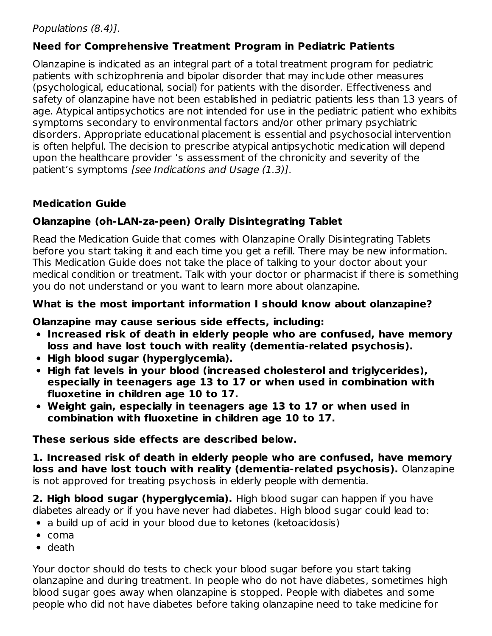### Populations (8.4)].

### **Need for Comprehensive Treatment Program in Pediatric Patients**

Olanzapine is indicated as an integral part of a total treatment program for pediatric patients with schizophrenia and bipolar disorder that may include other measures (psychological, educational, social) for patients with the disorder. Effectiveness and safety of olanzapine have not been established in pediatric patients less than 13 years of age. Atypical antipsychotics are not intended for use in the pediatric patient who exhibits symptoms secondary to environmental factors and/or other primary psychiatric disorders. Appropriate educational placement is essential and psychosocial intervention is often helpful. The decision to prescribe atypical antipsychotic medication will depend upon the healthcare provider 's assessment of the chronicity and severity of the patient's symptoms [see Indications and Usage (1.3)].

### **Medication Guide**

### **Olanzapine (oh-LAN-za-peen) Orally Disintegrating Tablet**

Read the Medication Guide that comes with Olanzapine Orally Disintegrating Tablets before you start taking it and each time you get a refill. There may be new information. This Medication Guide does not take the place of talking to your doctor about your medical condition or treatment. Talk with your doctor or pharmacist if there is something you do not understand or you want to learn more about olanzapine.

### **What is the most important information I should know about olanzapine?**

### **Olanzapine may cause serious side effects, including:**

- **Increased risk of death in elderly people who are confused, have memory loss and have lost touch with reality (dementia-related psychosis).**
- **High blood sugar (hyperglycemia).**
- **High fat levels in your blood (increased cholesterol and triglycerides), especially in teenagers age 13 to 17 or when used in combination with fluoxetine in children age 10 to 17.**
- **Weight gain, especially in teenagers age 13 to 17 or when used in combination with fluoxetine in children age 10 to 17.**

**These serious side effects are described below.**

**1. Increased risk of death in elderly people who are confused, have memory loss and have lost touch with reality (dementia-related psychosis).** Olanzapine is not approved for treating psychosis in elderly people with dementia.

**2. High blood sugar (hyperglycemia).** High blood sugar can happen if you have diabetes already or if you have never had diabetes. High blood sugar could lead to:

- a build up of acid in your blood due to ketones (ketoacidosis)
- $\bullet$  coma
- death

Your doctor should do tests to check your blood sugar before you start taking olanzapine and during treatment. In people who do not have diabetes, sometimes high blood sugar goes away when olanzapine is stopped. People with diabetes and some people who did not have diabetes before taking olanzapine need to take medicine for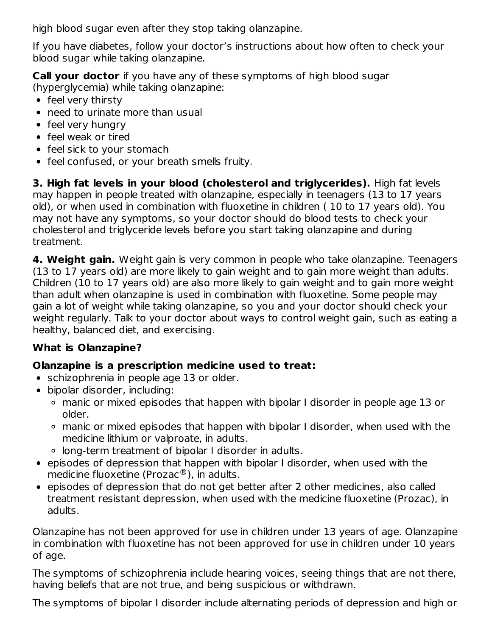high blood sugar even after they stop taking olanzapine.

If you have diabetes, follow your doctor's instructions about how often to check your blood sugar while taking olanzapine.

**Call your doctor** if you have any of these symptoms of high blood sugar (hyperglycemia) while taking olanzapine:

- feel very thirsty
- need to urinate more than usual
- feel very hungry
- feel weak or tired
- feel sick to your stomach
- feel confused, or your breath smells fruity.

**3. High fat levels in your blood (cholesterol and triglycerides).** High fat levels may happen in people treated with olanzapine, especially in teenagers (13 to 17 years old), or when used in combination with fluoxetine in children ( 10 to 17 years old). You may not have any symptoms, so your doctor should do blood tests to check your cholesterol and triglyceride levels before you start taking olanzapine and during treatment.

**4. Weight gain.** Weight gain is very common in people who take olanzapine. Teenagers (13 to 17 years old) are more likely to gain weight and to gain more weight than adults. Children (10 to 17 years old) are also more likely to gain weight and to gain more weight than adult when olanzapine is used in combination with fluoxetine. Some people may gain a lot of weight while taking olanzapine, so you and your doctor should check your weight regularly. Talk to your doctor about ways to control weight gain, such as eating a healthy, balanced diet, and exercising.

### **What is Olanzapine?**

### **Olanzapine is a prescription medicine used to treat:**

- schizophrenia in people age 13 or older.
- bipolar disorder, including:
	- manic or mixed episodes that happen with bipolar I disorder in people age 13 or older.
	- manic or mixed episodes that happen with bipolar I disorder, when used with the medicine lithium or valproate, in adults.
	- long-term treatment of bipolar I disorder in adults.
- episodes of depression that happen with bipolar I disorder, when used with the medicine fluoxetine (Prozac $^{\circledR}$ ), in adults.
- episodes of depression that do not get better after 2 other medicines, also called treatment resistant depression, when used with the medicine fluoxetine (Prozac), in adults.

Olanzapine has not been approved for use in children under 13 years of age. Olanzapine in combination with fluoxetine has not been approved for use in children under 10 years of age.

The symptoms of schizophrenia include hearing voices, seeing things that are not there, having beliefs that are not true, and being suspicious or withdrawn.

The symptoms of bipolar I disorder include alternating periods of depression and high or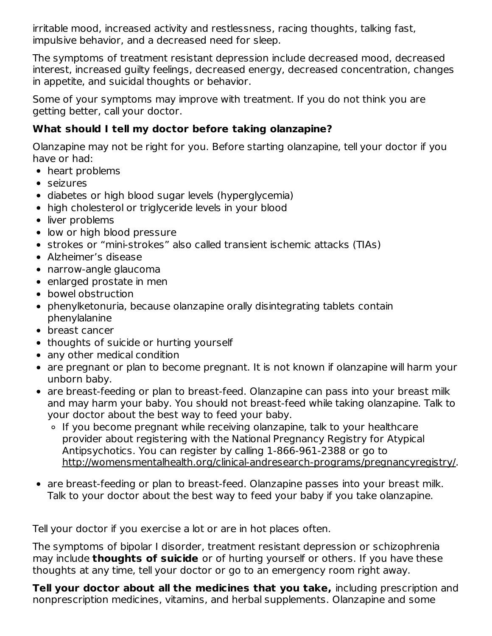irritable mood, increased activity and restlessness, racing thoughts, talking fast, impulsive behavior, and a decreased need for sleep.

The symptoms of treatment resistant depression include decreased mood, decreased interest, increased guilty feelings, decreased energy, decreased concentration, changes in appetite, and suicidal thoughts or behavior.

Some of your symptoms may improve with treatment. If you do not think you are getting better, call your doctor.

### **What should I tell my doctor before taking olanzapine?**

Olanzapine may not be right for you. Before starting olanzapine, tell your doctor if you have or had:

- heart problems
- seizures
- diabetes or high blood sugar levels (hyperglycemia)
- high cholesterol or triglyceride levels in your blood
- liver problems
- low or high blood pressure
- strokes or "mini-strokes" also called transient ischemic attacks (TIAs)
- Alzheimer's disease
- narrow-angle glaucoma
- enlarged prostate in men
- bowel obstruction
- phenylketonuria, because olanzapine orally disintegrating tablets contain phenylalanine
- breast cancer
- thoughts of suicide or hurting yourself
- any other medical condition
- are pregnant or plan to become pregnant. It is not known if olanzapine will harm your unborn baby.
- are breast-feeding or plan to breast-feed. Olanzapine can pass into your breast milk and may harm your baby. You should not breast-feed while taking olanzapine. Talk to your doctor about the best way to feed your baby.
	- If you become pregnant while receiving olanzapine, talk to your healthcare provider about registering with the National Pregnancy Registry for Atypical Antipsychotics. You can register by calling 1-866-961-2388 or go to http://womensmentalhealth.org/clinical-andresearch-programs/pregnancyregistry/.
- are breast-feeding or plan to breast-feed. Olanzapine passes into your breast milk. Talk to your doctor about the best way to feed your baby if you take olanzapine.

Tell your doctor if you exercise a lot or are in hot places often.

The symptoms of bipolar I disorder, treatment resistant depression or schizophrenia may include **thoughts of suicide** or of hurting yourself or others. If you have these thoughts at any time, tell your doctor or go to an emergency room right away.

**Tell your doctor about all the medicines that you take,** including prescription and nonprescription medicines, vitamins, and herbal supplements. Olanzapine and some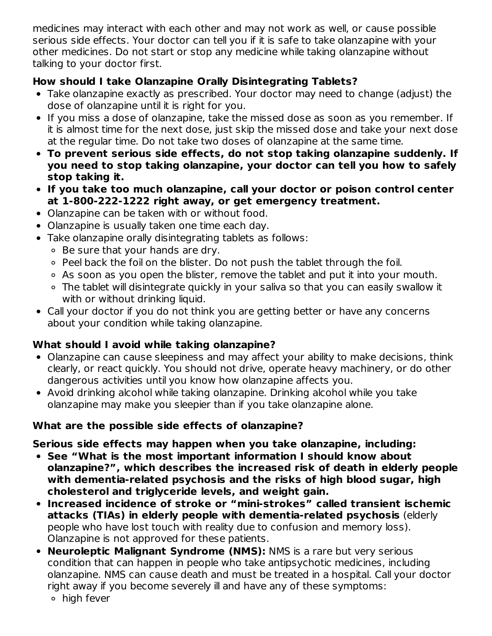medicines may interact with each other and may not work as well, or cause possible serious side effects. Your doctor can tell you if it is safe to take olanzapine with your other medicines. Do not start or stop any medicine while taking olanzapine without talking to your doctor first.

# **How should I take Olanzapine Orally Disintegrating Tablets?**

- Take olanzapine exactly as prescribed. Your doctor may need to change (adjust) the dose of olanzapine until it is right for you.
- If you miss a dose of olanzapine, take the missed dose as soon as you remember. If it is almost time for the next dose, just skip the missed dose and take your next dose at the regular time. Do not take two doses of olanzapine at the same time.
- **To prevent serious side effects, do not stop taking olanzapine suddenly. If you need to stop taking olanzapine, your doctor can tell you how to safely stop taking it.**
- **If you take too much olanzapine, call your doctor or poison control center at 1-800-222-1222 right away, or get emergency treatment.**
- Olanzapine can be taken with or without food.
- Olanzapine is usually taken one time each day.
- Take olanzapine orally disintegrating tablets as follows:
	- Be sure that your hands are dry.
	- Peel back the foil on the blister. Do not push the tablet through the foil.
	- As soon as you open the blister, remove the tablet and put it into your mouth.
	- The tablet will disintegrate quickly in your saliva so that you can easily swallow it with or without drinking liquid.
- Call your doctor if you do not think you are getting better or have any concerns about your condition while taking olanzapine.

# **What should I avoid while taking olanzapine?**

- Olanzapine can cause sleepiness and may affect your ability to make decisions, think clearly, or react quickly. You should not drive, operate heavy machinery, or do other dangerous activities until you know how olanzapine affects you.
- Avoid drinking alcohol while taking olanzapine. Drinking alcohol while you take olanzapine may make you sleepier than if you take olanzapine alone.

# **What are the possible side effects of olanzapine?**

**Serious side effects may happen when you take olanzapine, including:**

- **See "What is the most important information I should know about olanzapine?", which describes the increased risk of death in elderly people with dementia-related psychosis and the risks of high blood sugar, high cholesterol and triglyceride levels, and weight gain.**
- **Increased incidence of stroke or "mini-strokes" called transient ischemic attacks (TIAs) in elderly people with dementia-related psychosis** (elderly people who have lost touch with reality due to confusion and memory loss). Olanzapine is not approved for these patients.
- **Neuroleptic Malignant Syndrome (NMS):** NMS is a rare but very serious condition that can happen in people who take antipsychotic medicines, including olanzapine. NMS can cause death and must be treated in a hospital. Call your doctor right away if you become severely ill and have any of these symptoms:
	- high fever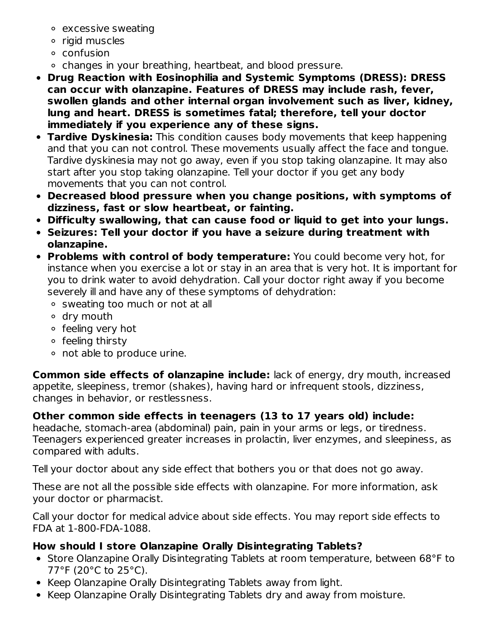- excessive sweating
- rigid muscles
- confusion
- changes in your breathing, heartbeat, and blood pressure.
- **Drug Reaction with Eosinophilia and Systemic Symptoms (DRESS): DRESS can occur with olanzapine. Features of DRESS may include rash, fever, swollen glands and other internal organ involvement such as liver, kidney, lung and heart. DRESS is sometimes fatal; therefore, tell your doctor immediately if you experience any of these signs.**
- **Tardive Dyskinesia:** This condition causes body movements that keep happening and that you can not control. These movements usually affect the face and tongue. Tardive dyskinesia may not go away, even if you stop taking olanzapine. It may also start after you stop taking olanzapine. Tell your doctor if you get any body movements that you can not control.
- **Decreased blood pressure when you change positions, with symptoms of dizziness, fast or slow heartbeat, or fainting.**
- **Difficulty swallowing, that can cause food or liquid to get into your lungs.**
- **Seizures: Tell your doctor if you have a seizure during treatment with olanzapine.**
- **Problems with control of body temperature:** You could become very hot, for instance when you exercise a lot or stay in an area that is very hot. It is important for you to drink water to avoid dehydration. Call your doctor right away if you become severely ill and have any of these symptoms of dehydration:
	- o sweating too much or not at all
	- dry mouth
	- o feeling very hot
	- o feeling thirsty
	- not able to produce urine.

**Common side effects of olanzapine include:** lack of energy, dry mouth, increased appetite, sleepiness, tremor (shakes), having hard or infrequent stools, dizziness, changes in behavior, or restlessness.

**Other common side effects in teenagers (13 to 17 years old) include:**

headache, stomach-area (abdominal) pain, pain in your arms or legs, or tiredness. Teenagers experienced greater increases in prolactin, liver enzymes, and sleepiness, as compared with adults.

Tell your doctor about any side effect that bothers you or that does not go away.

These are not all the possible side effects with olanzapine. For more information, ask your doctor or pharmacist.

Call your doctor for medical advice about side effects. You may report side effects to FDA at 1-800-FDA-1088.

# **How should I store Olanzapine Orally Disintegrating Tablets?**

- Store Olanzapine Orally Disintegrating Tablets at room temperature, between 68°F to 77°F (20°C to 25°C).
- Keep Olanzapine Orally Disintegrating Tablets away from light.
- Keep Olanzapine Orally Disintegrating Tablets dry and away from moisture.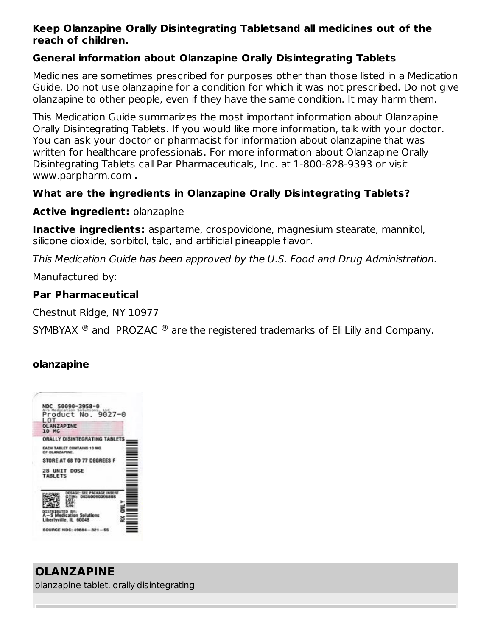#### **Keep Olanzapine Orally Disintegrating Tabletsand all medicines out of the reach of children.**

#### **General information about Olanzapine Orally Disintegrating Tablets**

Medicines are sometimes prescribed for purposes other than those listed in a Medication Guide. Do not use olanzapine for a condition for which it was not prescribed. Do not give olanzapine to other people, even if they have the same condition. It may harm them.

This Medication Guide summarizes the most important information about Olanzapine Orally Disintegrating Tablets. If you would like more information, talk with your doctor. You can ask your doctor or pharmacist for information about olanzapine that was written for healthcare professionals. For more information about Olanzapine Orally Disintegrating Tablets call Par Pharmaceuticals, Inc. at 1-800-828-9393 or visit www.parpharm.com **.**

### **What are the ingredients in Olanzapine Orally Disintegrating Tablets?**

#### **Active ingredient:** olanzapine

**Inactive ingredients:** aspartame, crospovidone, magnesium stearate, mannitol, silicone dioxide, sorbitol, talc, and artificial pineapple flavor.

This Medication Guide has been approved by the U.S. Food and Drug Administration.

Manufactured by:

### **Par Pharmaceutical**

Chestnut Ridge, NY 10977

SYMBYAX  $^{\circledR}$  and PROZAC  $^{\circledR}$  are the registered trademarks of Eli Lilly and Company.

### **olanzapine**



#### **OLANZAPINE** olanzapine tablet, orally disintegrating